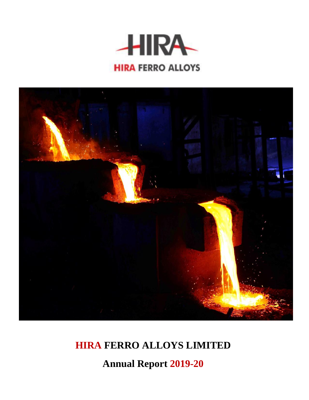



# **HIRA FERRO ALLOYS LIMITED**

**Annual Report 2019-20**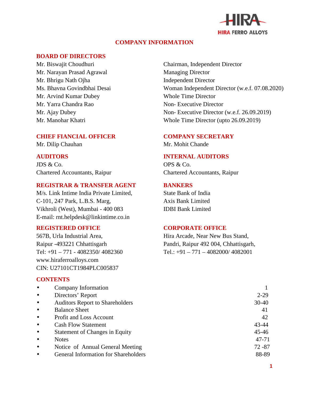

### **COMPANY INFORMATION**

#### **BOARD OF DIRECTORS**

Mr. Biswajit Choudhuri Chairman, Independent Director Mr. Narayan Prasad Agrawal Managing Director Mr. Bhrigu Nath Ojha Independent Director Mr. Arvind Kumar Dubey Whole Time Director Mr. Yarra Chandra Rao Non- Executive Director

#### **CHIEF FIANCIAL OFFICER COMPANY SECRETARY**

 $JDS & Co.$  OPS  $\& Co.$ 

#### **REGISTRAR & TRANSFER AGENT BANKERS**

M/s. Link Intime India Private Limited. State Bank of India C-101, 247 Park, L.B.S. Marg, Axis Bank Limited Vikhroli (West), Mumbai - 400 083 IDBI Bank Limited E-mail: rnt.helpdesk@linkintime.co.in

#### **REGISTERED OFFICE CORPORATE OFFICE**

567B, Urla Industrial Area, Hira Arcade, Near New Bus Stand, www.hiraferroalloys.com CIN: U27101CT1984PLC005837

#### **CONTENTS**

• Company Information 1 • Directors' Report 2-29 • Auditors Report to Shareholders 30-40  $\bullet$  Balance Sheet 41 • Profit and Loss Account 42 • Cash Flow Statement 43-44 • Statement of Changes in Equity 45-46  $\bullet$  Notes  $47-71$ • Notice of Annual General Meeting 72 -87 • General Information for Shareholders **88-89** 

Ms. Bhavna Govindbhai Desai Woman Independent Director (w.e.f. 07.08.2020) Mr. Ajay Dubey Non- Executive Director (w.e.f. 26.09.2019) Mr. Manohar Khatri Whole Time Director (upto 26.09.2019)

Mr. Dilip Chauhan Mr. Mohit Chande

#### **AUDITORS INTERNAL AUDITORS**

Chartered Accountants, Raipur Chartered Accountants, Raipur

Raipur -493221 Chhattisgarh Pandri, Raipur 492 004, Chhattisgarh, Tel: +91 – 771 - 4082350/ 4082360 Tel.: +91 – 771 – 4082000/ 4082001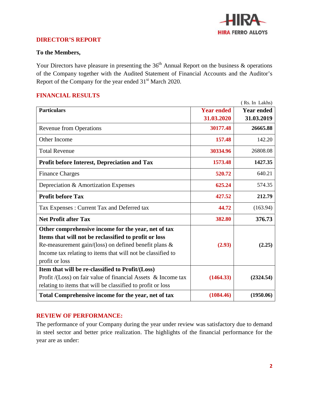

#### **DIRECTOR'S REPORT**

#### **To the Members,**

Your Directors have pleasure in presenting the  $36<sup>th</sup>$  Annual Report on the business & operations of the Company together with the Audited Statement of Financial Accounts and the Auditor's Report of the Company for the year ended 31<sup>st</sup> March 2020.

# **FINANCIAL RESULTS**

|                                                                  |                   | (Rs. In Lakhs)    |
|------------------------------------------------------------------|-------------------|-------------------|
| <b>Particulars</b>                                               | <b>Year ended</b> | <b>Year ended</b> |
|                                                                  | 31.03.2020        | 31.03.2019        |
| <b>Revenue from Operations</b>                                   | 30177.48          | 26665.88          |
| Other Income                                                     | 157.48            | 142.20            |
| <b>Total Revenue</b>                                             | 30334.96          | 26808.08          |
| <b>Profit before Interest, Depreciation and Tax</b>              | 1573.48           | 1427.35           |
| <b>Finance Charges</b>                                           | 520.72            | 640.21            |
| Depreciation & Amortization Expenses                             | 625.24            | 574.35            |
| <b>Profit before Tax</b>                                         | 427.52            | 212.79            |
| Tax Expenses: Current Tax and Deferred tax                       | 44.72             | (163.94)          |
| <b>Net Profit after Tax</b>                                      | 382.80            | 376.73            |
| Other comprehensive income for the year, net of tax              |                   |                   |
| Items that will not be reclassified to profit or loss            |                   |                   |
| Re-measurement gain/(loss) on defined benefit plans $\&$         | (2.93)            | (2.25)            |
| Income tax relating to items that will not be classified to      |                   |                   |
| profit or loss                                                   |                   |                   |
| Item that will be re-classified to Profit/(Loss)                 |                   |                   |
| Profit /(Loss) on fair value of financial Assets $\&$ Income tax | (1464.33)         | (2324.54)         |
| relating to items that will be classified to profit or loss      |                   |                   |
| Total Comprehensive income for the year, net of tax              | (1084.46)         | (1950.06)         |
|                                                                  |                   |                   |

# **REVIEW OF PERFORMANCE:**

The performance of your Company during the year under review was satisfactory due to demand in steel sector and better price realization. The highlights of the financial performance for the year are as under: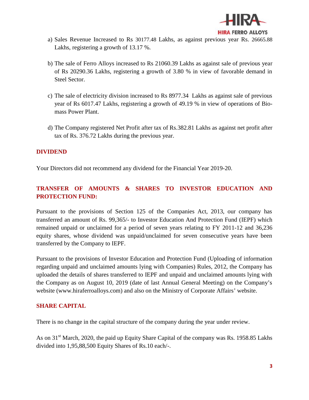

- a) Sales Revenue Increased to Rs 30177.48 Lakhs, as against previous year Rs. 26665.88 Lakhs, registering a growth of 13.17 %.
- b) The sale of Ferro Alloys increased to Rs 21060.39 Lakhs as against sale of previous year of Rs 20290.36 Lakhs, registering a growth of 3.80 % in view of favorable demand in Steel Sector.
- c) The sale of electricity division increased to Rs 8977.34 Lakhs as against sale of previous year of Rs 6017.47 Lakhs, registering a growth of 49.19 % in view of operations of Bio mass Power Plant.
- d) The Company registered Net Profit after tax of Rs.382.81 Lakhs as against net profit after tax of Rs. 376.72 Lakhs during the previous year.

### **DIVIDEND**

Your Directors did not recommend any dividend for the Financial Year 2019-20.

# **TRANSFER OF AMOUNTS & SHARES TO INVESTOR EDUCATION AND PROTECTION FUND:**

Pursuant to the provisions of Section 125 of the Companies Act, 2013, our company has transferred an amount of Rs. 99,365/- to Investor Education And Protection Fund (IEPF) which remained unpaid or unclaimed for a period of seven years relating to FY 2011-12 and 36,236 equity shares, whose dividend was unpaid/unclaimed for seven consecutive years have been transferred by the Company to IEPF.

Pursuant to the provisions of Investor Education and Protection Fund (Uploading of information regarding unpaid and unclaimed amounts lying with Companies) Rules, 2012, the Company has uploaded the details of shares transferred to IEPF and unpaid and unclaimed amounts lying with the Company as on August 10, 2019 (date of last Annual General Meeting) on the Company's website (www.hiraferroalloys.com) and also on the Ministry of Corporate Affairs' website.

# **SHARE CAPITAL**

There is no change in the capital structure of the company during the year under review.

As on 31<sup>st</sup> March, 2020, the paid up Equity Share Capital of the company was Rs. 1958.85 Lakhs divided into 1,95,88,500 Equity Shares of Rs.10 each/-.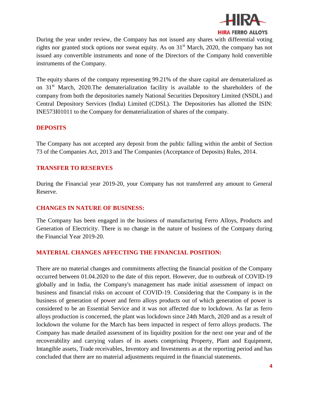

During the year under review, the Company has not issued any shares with differential voting rights nor granted stock options nor sweat equity. As on  $31<sup>st</sup>$  March, 2020, the company has not issued any convertible instruments and none of the Directors of the Company hold convertible instruments of the Company.

The equity shares of the company representing 99.21% of the share capital are dematerialized as on  $31<sup>st</sup>$  March, 2020. The dematerialization facility is available to the shareholders of the company from both the depositories namely National Securities Depository Limited (NSDL) and Central Depository Services (India) Limited (CDSL). The Depositories has allotted the ISIN: INE573I01011 to the Company for dematerialization of shares of the company.

# **DEPOSITS**

The Company has not accepted any deposit from the public falling within the ambit of Section 73 of the Companies Act, 2013 and The Companies (Acceptance of Deposits) Rules, 2014.

### **TRANSFER TO RESERVES**

During the Financial year 2019-20, your Company has not transferred any amount to General Reserve.

#### **CHANGES IN NATURE OF BUSINESS:**

The Company has been engaged in the business of manufacturing Ferro Alloys, Products and Generation of Electricity. There is no change in the nature of business of the Company during the Financial Year 2019-20.

# **MATERIAL CHANGES AFFECTING THE FINANCIAL POSITION:**

There are no material changes and commitments affecting the financial position of the Company occurred between 01.04.2020 to the date of this report. However, due to outbreak of COVID-19 globally and in India, the Company's management has made initial assessment of impact on business and financial risks on account of COVID-19. Considering that the Company is in the business of generation of power and ferro alloys products out of which generation of power is considered to be an Essential Service and it was not affected due to lockdown. As far as ferro alloys production is concerned, the plant was lockdown since 24th March, 2020 and as a result of lockdown the volume for the March has been impacted in respect of ferro alloys products. The Company has made detailed assessment of its liquidity position for the next one year and of the recoverability and carrying values of its assets comprising Property, Plant and Equipment, Intangible assets, Trade receivables, Inventory and Investments as at the reporting period and has concluded that there are no material adjustments required in the financial statements.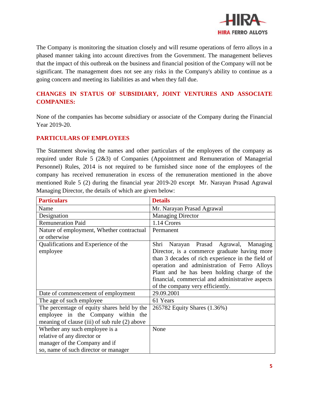

The Company is monitoring the situation closely and will resume operations of ferro alloys in a phased manner taking into account directives from the Government. The management believes that the impact of this outbreak on the business and financial position of the Company will not be significant. The management does not see any risks in the Company's ability to continue as a going concern and meeting its liabilities as and when they fall due.

# **CHANGES IN STATUS OF SUBSIDIARY, JOINT VENTURES AND ASSOCIATE COMPANIES:**

None of the companies has become subsidiary or associate of the Company during the Financial Year 2019-20.

### **PARTICULARS OF EMPLOYEES**

The Statement showing the names and other particulars of the employees of the company as required under Rule 5 (2&3) of Companies (Appointment and Remuneration of Managerial Personnel) Rules, 2014 is not required to be furnished since none of the employees of the company has received remuneration in excess of the remuneration mentioned in the above mentioned Rule 5 (2) during the financial year 2019-20 except Mr. Narayan Prasad Agrawal Managing Director, the details of which are given below:

| <b>Particulars</b>                                                                                                                     | <b>Details</b>                                                                                                                                                                                                                                                                                                                       |
|----------------------------------------------------------------------------------------------------------------------------------------|--------------------------------------------------------------------------------------------------------------------------------------------------------------------------------------------------------------------------------------------------------------------------------------------------------------------------------------|
| Name                                                                                                                                   | Mr. Narayan Prasad Agrawal                                                                                                                                                                                                                                                                                                           |
| Designation                                                                                                                            | <b>Managing Director</b>                                                                                                                                                                                                                                                                                                             |
| <b>Remuneration Paid</b>                                                                                                               | 1.14 Crores                                                                                                                                                                                                                                                                                                                          |
| Nature of employment, Whether contractual<br>or otherwise                                                                              | Permanent                                                                                                                                                                                                                                                                                                                            |
| Qualifications and Experience of the<br>employee                                                                                       | Shri<br>Narayan Prasad Agrawal, Managing<br>Director, is a commerce graduate having more<br>than 3 decades of rich experience in the field of<br>operation and administration of Ferro Alloys<br>Plant and he has been holding charge of the<br>financial, commercial and administrative aspects<br>of the company very efficiently. |
| Date of commencement of employment                                                                                                     | 29.09.2001                                                                                                                                                                                                                                                                                                                           |
| The age of such employee                                                                                                               | 61 Years                                                                                                                                                                                                                                                                                                                             |
| The percentage of equity shares held by the<br>employee in the Company within the<br>meaning of clause (iii) of sub rule (2) above     | 265782 Equity Shares (1.36%)                                                                                                                                                                                                                                                                                                         |
| Whether any such employee is a<br>relative of any director or<br>manager of the Company and if<br>so, name of such director or manager | None                                                                                                                                                                                                                                                                                                                                 |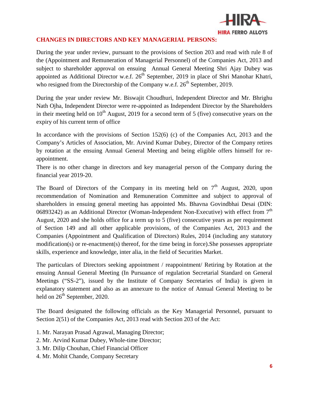

#### **CHANGES IN DIRECTORS AND KEY MANAGERIAL PERSONS:**

During the year under review, pursuant to the provisions of Section 203 and read with rule 8 of the (Appointment and Remuneration of Managerial Personnel) of the Companies Act, 2013 and subject to shareholder approval on ensuing Annual General Meeting Shri Ajay Dubey was appointed as Additional Director w.e.f.  $26<sup>th</sup>$  September, 2019 in place of Shri Manohar Khatri, who resigned from the Directorship of the Company w.e.f.  $26<sup>th</sup>$  September, 2019.

During the year under review Mr. Biswajit Choudhuri, Independent Director and Mr. Bhrighu Nath Ojha, Independent Director were re-appointed as Independent Director by the Shareholders in their meeting held on  $10^{th}$  August, 2019 for a second term of 5 (five) consecutive years on the expiry of his current term of office

In accordance with the provisions of Section 152(6) (c) of the Companies Act, 2013 and the Company's Articles of Association, Mr. Arvind Kumar Dubey, Director of the Company retires by rotation at the ensuing Annual General Meeting and being eligible offers himself for re appointment.

There is no other change in directors and key managerial person of the Company during the financial year 2019-20.

The Board of Directors of the Company in its meeting held on  $7<sup>th</sup>$  August, 2020, upon recommendation of Nomination and Remuneration Committee and subject to approval of shareholders in ensuing general meeting has appointed Ms. Bhavna Govindbhai Desai (DIN: 06893242) as an Additional Director (Woman-Independent Non-Executive) with effect from  $7<sup>th</sup>$ August, 2020 and she holds office for a term up to 5 (five) consecutive years as per requirement of Section 149 and all other applicable provisions, of the Companies Act, 2013 and the Companies (Appointment and Qualification of Directors) Rules, 2014 (including any statutory modification(s) or re-enactment(s) thereof, for the time being in force).She possesses appropriate skills, experience and knowledge, inter alia, in the field of Securities Market.

The particulars of Directors seeking appointment / reappointment/ Retiring by Rotation at the ensuing Annual General Meeting (In Pursuance of regulation Secretarial Standard on General Meetings ("SS-2"), issued by the Institute of Company Secretaries of India) is given in explanatory statement and also as an annexure to the notice of Annual General Meeting to be held on  $26<sup>th</sup>$  September, 2020.

The Board designated the following officials as the Key Managerial Personnel, pursuant to Section 2(51) of the Companies Act, 2013 read with Section 203 of the Act:

- 1. Mr. Narayan Prasad Agrawal, Managing Director;
- 2. Mr. Arvind Kumar Dubey, Whole-time Director;
- 3. Mr. Dilip Chouhan, Chief Financial Officer
- 4. Mr. Mohit Chande, Company Secretary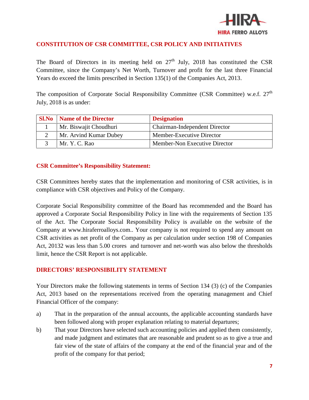

#### **CONSTITUTION OF CSR COMMITTEE, CSR POLICY AND INITIATIVES**

The Board of Directors in its meeting held on  $27<sup>th</sup>$  July, 2018 has constituted the CSR Committee, since the Company's Net Worth, Turnover and profit for the last three Financial Years do exceed the limits prescribed in Section 135(1) of the Companies Act, 2013.

The composition of Corporate Social Responsibility Committee (CSR Committee) w.e.f.  $27<sup>th</sup>$ July, 2018 is as under:

| <b>Sl.No</b> | <b>Name of the Director</b> | <b>Designation</b>            |
|--------------|-----------------------------|-------------------------------|
|              | Mr. Biswajit Choudhuri      | Chairman-Independent Director |
|              | Mr. Arvind Kumar Dubey      | Member-Executive Director     |
|              | Mr. Y. C. Rao               | Member-Non Executive Director |

### **CSR Committee's Responsibility Statement:**

CSR Committees hereby states that the implementation and monitoring of CSR activities, is in compliance with CSR objectives and Policy of the Company.

Corporate Social Responsibility committee of the Board has recommended and the Board has approved a Corporate Social Responsibility Policy in line with the requirements of Section 135 of the Act. The Corporate Social Responsibility Policy is available on the website of the Company at www.hiraferroalloys.com.. Your company is not required to spend any amount on CSR activities as net profit of the Company as per calculation under section 198 of Companies Act, 20132 was less than 5.00 crores and turnover and net-worth was also below the thresholds limit, hence the CSR Report is not applicable.

#### **DIRECTORS' RESPONSIBILITY STATEMENT**

Your Directors make the following statements in terms of Section 134 (3) (c) of the Companies Act, 2013 based on the representations received from the operating management and Chief Financial Officer of the company:

- a) That in the preparation of the annual accounts, the applicable accounting standards have been followed along with proper explanation relating to material departures;
- b) That your Directors have selected such accounting policies and applied them consistently, and made judgment and estimates that are reasonable and prudent so as to give a true and fair view of the state of affairs of the company at the end of the financial year and of the profit of the company for that period;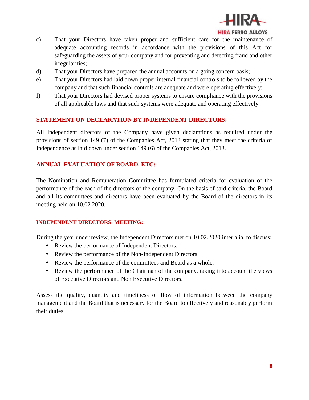

- c) That your Directors have taken proper and sufficient care for the maintenance of adequate accounting records in accordance with the provisions of this Act for safeguarding the assets of your company and for preventing and detecting fraud and other irregularities;
- d) That your Directors have prepared the annual accounts on a going concern basis;
- e) That your Directors had laid down proper internal financial controls to be followed by the company and that such financial controls are adequate and were operating effectively;
- f) That your Directors had devised proper systems to ensure compliance with the provisions of all applicable laws and that such systems were adequate and operating effectively.

### **STATEMENT ON DECLARATION BY INDEPENDENT DIRECTORS:**

All independent directors of the Company have given declarations as required under the provisions of section 149 (7) of the Companies Act, 2013 stating that they meet the criteria of Independence as laid down under section 149 (6) of the Companies Act, 2013.

# **ANNUAL EVALUATION OF BOARD, ETC:**

The Nomination and Remuneration Committee has formulated criteria for evaluation of the performance of the each of the directors of the company. On the basis of said criteria, the Board and all its committees and directors have been evaluated by the Board of the directors in its meeting held on 10.02.2020.

#### **INDEPENDENT DIRECTORS' MEETING:**

During the year under review, the Independent Directors met on 10.02.2020 inter alia, to discuss:

- Review the performance of Independent Directors.
- Review the performance of the Non-Independent Directors.
- Review the performance of the committees and Board as a whole.
- Review the performance of the Chairman of the company, taking into account the views of Executive Directors and Non Executive Directors.

Assess the quality, quantity and timeliness of flow of information between the company management and the Board that is necessary for the Board to effectively and reasonably perform their duties.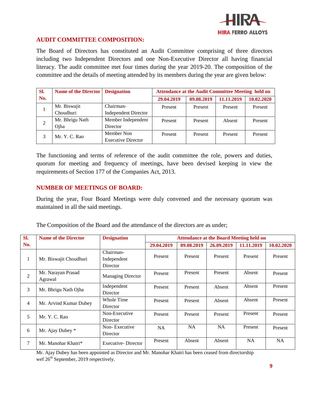

#### **AUDIT COMMITTEE COMPOSITION:**

The Board of Directors has constituted an Audit Committee comprising of three directors including two Independent Directors and one Non-Executive Director all having financial literacy. The audit committee met four times during the year 2019-20. The composition of the committee and the details of meeting attended by its members during the year are given below:

| SI. | <b>Name of the Director</b> | <b>Designation</b>          | <b>Attendance at the Audit Committee Meeting held on</b> |            |            |            |
|-----|-----------------------------|-----------------------------|----------------------------------------------------------|------------|------------|------------|
| No. |                             |                             | 29.04.2019                                               | 09.08.2019 | 11.11.2019 | 10.02.2020 |
|     | Mr. Biswajit                | Chairman-                   | Present                                                  | Present    | Present    | Present    |
|     | Choudhuri                   | <b>Independent Director</b> |                                                          |            |            |            |
|     | Mr. Bhrigu Nath             | Member Independent          | Present                                                  | Present    | Absent     | Present    |
| 2   | Ojha                        | Director                    |                                                          |            |            |            |
|     | Mr. Y. C. Rao               | Member Non                  | Present                                                  | Present    | Present    | Present    |
|     |                             | <b>Executive Director</b>   |                                                          |            |            |            |

The functioning and terms of reference of the audit committee the role, powers and duties, quorum for meeting and frequency of meetings, have been devised keeping in view the requirements of Section 177 of the Companies Act, 2013.

### **NUMBER OF MEETINGS OF BOARD:**

During the year, Four Board Meetings were duly convened and the necessary quorum was maintained in all the said meetings.

| SI.            | <b>Name of the Director</b>   | <b>Designation</b>                   | <b>Attendance at the Board Meeting held on</b> |            |            |            |            |
|----------------|-------------------------------|--------------------------------------|------------------------------------------------|------------|------------|------------|------------|
| No.            |                               |                                      | 29.04.2019                                     | 09.08.2019 | 26.09.2019 | 11.11.2019 | 10.02.2020 |
| 1              | Mr. Biswajit Choudhuri        | Chairman-<br>Independent<br>Director | Present                                        | Present    | Present    | Present    | Present    |
| $\overline{2}$ | Mr. Narayan Prasad<br>Agrawal | <b>Managing Director</b>             | Present                                        | Present    | Present    | Absent     | Present    |
| 3              | Mr. Bhrigu Nath Ojha          | Independent<br>Director              | Present                                        | Present    | Absent     | Absent     | Present    |
| 4              | Mr. Arvind Kumar Dubey        | Whole Time<br>Director               | Present                                        | Present    | Absent     | Absent     | Present    |
| 5              | Mr. Y. C. Rao                 | Non-Executive<br>Director            | Present                                        | Present    | Present    | Present    | Present    |
| 6              | Mr. Ajay Dubey *              | Non-Executive<br>Director            | NA                                             | <b>NA</b>  | <b>NA</b>  | Present    | Present    |
| 7              | Mr. Manohar Khatri*           | Executive-Director                   | Present                                        | Absent     | Absent     | NA         | <b>NA</b>  |

Mr. Ajay Dubey has been appointed as Director and Mr. Manohar Khatri has been ceased from directorship wef  $26<sup>th</sup>$  September, 2019 respectively.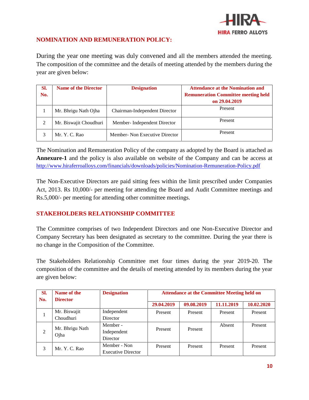

### **NOMINATION AND REMUNERATION POLICY:**

During the year one meeting was duly convened and all the members attended the meeting. The composition of the committee and the details of meeting attended by the members during the year are given below:

| SI.<br>No. | <b>Name of the Director</b> | <b>Designation</b>             | <b>Attendance at the Nomination and</b><br><b>Remuneration Committee meeting held</b><br>on 29.04.2019 |
|------------|-----------------------------|--------------------------------|--------------------------------------------------------------------------------------------------------|
|            | Mr. Bhrigu Nath Ojha        | Chairman-Independent Director  | Present                                                                                                |
|            | Mr. Biswajit Choudhuri      | Member-Independent Director    | Present                                                                                                |
|            | Mr. Y. C. Rao               | Member- Non Executive Director | Present                                                                                                |

The Nomination and Remuneration Policy of the company as adopted by the Board is attached as **Annexure-1** and the policy is also available on website of the Company and can be access at http://www.hiraferroalloys.com/financials/downloads/policies/Nomination-Remuneration-Policy.pdf

The Non-Executive Directors are paid sitting fees within the limit prescribed under Companies Act, 2013. Rs 10,000/- per meeting for attending the Board and Audit Committee meetings and Rs.5,000/- per meeting for attending other committee meetings.

# **STAKEHOLDERS RELATIONSHIP COMMITTEE**

The Committee comprises of two Independent Directors and one Non-Executive Director and Company Secretary has been designated as secretary to the committee. During the year there is no change in the Composition of the Committee.

The Stakeholders Relationship Committee met four times during the year 2019-20. The composition of the committee and the details of meeting attended by its members during the year are given below:

| SI.<br>No.     | Name of the<br><b>Director</b> | <b>Designation</b>        | <b>Attendance at the Committee Meeting held on</b> |            |            |            |
|----------------|--------------------------------|---------------------------|----------------------------------------------------|------------|------------|------------|
|                |                                |                           | 29.04.2019                                         | 09.08.2019 | 11.11.2019 | 10.02.2020 |
|                | Mr. Biswajit                   | Independent               | Present                                            | Present    | Present    | Present    |
|                | Choudhuri                      | Director                  |                                                    |            |            |            |
|                | Mr. Bhrigu Nath                | Member -                  |                                                    |            | Absent     | Present    |
| $\overline{c}$ |                                | Independent               | Present                                            | Present    |            |            |
|                | Ojha                           | Director                  |                                                    |            |            |            |
|                | Mr. Y. C. Rao                  | Member - Non              | Present                                            | Present    | Present    | Present    |
| 3              |                                | <b>Executive Director</b> |                                                    |            |            |            |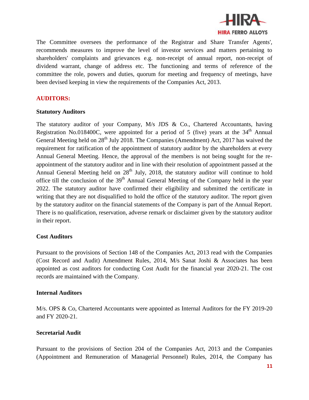

The Committee oversees the performance of the Registrar and Share Transfer Agents', recommends measures to improve the level of investor services and matters pertaining to shareholders' complaints and grievances e.g. non-receipt of annual report, non-receipt of dividend warrant, change of address etc. The functioning and terms of reference of the committee the role, powers and duties, quorum for meeting and frequency of meetings, have been devised keeping in view the requirements of the Companies Act, 2013.

### **AUDITORS:**

#### **Statutory Auditors**

The statutory auditor of your Company, M/s JDS & Co., Chartered Accountants, having Registration No.018400C, were appointed for a period of 5 (five) years at the  $34<sup>th</sup>$  Annual General Meeting held on 28<sup>th</sup> July 2018. The Companies (Amendment) Act, 2017 has waived the requirement for ratification of the appointment of statutory auditor by the shareholders at every Annual General Meeting. Hence, the approval of the members is not being sought for the re appointment of the statutory auditor and in line with their resolution of appointment passed at the Annual General Meeting held on  $28<sup>th</sup>$  July, 2018, the statutory auditor will continue to hold office till the conclusion of the  $39<sup>th</sup>$  Annual General Meeting of the Company held in the year 2022. The statutory auditor have confirmed their eligibility and submitted the certificate in writing that they are not disqualified to hold the office of the statutory auditor. The report given by the statutory auditor on the financial statements of the Company is part of the Annual Report. There is no qualification, reservation, adverse remark or disclaimer given by the statutory auditor in their report.

#### **Cost Auditors**

Pursuant to the provisions of Section 148 of the Companies Act, 2013 read with the Companies (Cost Record and Audit) Amendment Rules, 2014, M/s Sanat Joshi & Associates has been appointed as cost auditors for conducting Cost Audit for the financial year 2020-21. The cost records are maintained with the Company.

#### **Internal Auditors**

M/s. OPS & Co, Chartered Accountants were appointed as Internal Auditors for the FY 2019-20 and FY 2020-21.

#### **Secretarial Audit**

Pursuant to the provisions of Section 204 of the Companies Act, 2013 and the Companies (Appointment and Remuneration of Managerial Personnel) Rules, 2014, the Company has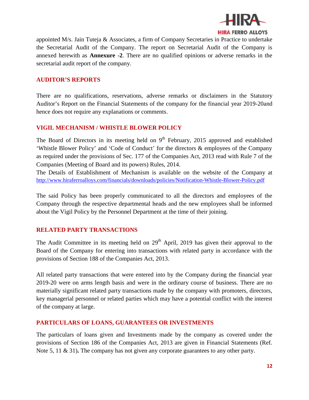

appointed M/s. Jain Tuteja & Associates, a firm of Company Secretaries in Practice to undertake the Secretarial Audit of the Company. The report on Secretarial Audit of the Company is annexed herewith as **Annexure -2**. There are no qualified opinions or adverse remarks in the secretarial audit report of the company.

# **AUDITOR'S REPORTS**

There are no qualifications, reservations, adverse remarks or disclaimers in the Statutory Auditor's Report on the Financial Statements of the company for the financial year 2019-20and hence does not require any explanations or comments.

# **VIGIL MECHANISM / WHISTLE BLOWER POLICY**

The Board of Directors in its meeting held on  $9<sup>th</sup>$  February, 2015 approved and established 'Whistle Blower Policy' and 'Code of Conduct' for the directors & employees of the Company as required under the provisions of Sec. 177 of the Companies Act, 2013 read with Rule 7 of the Companies (Meeting of Board and its powers) Rules, 2014.

The Details of Establishment of Mechanism is available on the website of the Company at http://www.hiraferroalloys.com/financials/downloads/policies/Notification-Whistle-Blower-Policy.pdf

The said Policy has been properly communicated to all the directors and employees of the Company through the respective departmental heads and the new employees shall be informed about the Vigil Policy by the Personnel Department at the time of their joining.

# **RELATED PARTY TRANSACTIONS**

The Audit Committee in its meeting held on  $29<sup>th</sup>$  April, 2019 has given their approval to the Board of the Company for entering into transactions with related party in accordance with the provisions of Section 188 of the Companies Act, 2013.

All related party transactions that were entered into by the Company during the financial year 2019-20 were on arms length basis and were in the ordinary course of business. There are no materially significant related party transactions made by the company with promoters, directors, key managerial personnel or related parties which may have a potential conflict with the interest of the company at large.

# **PARTICULARS OF LOANS, GUARANTEES OR INVESTMENTS**

The particulars of loans given and Investments made by the company as covered under the provisions of Section 186 of the Companies Act, 2013 are given in Financial Statements (Ref. Note 5, 11 & 31). The company has not given any corporate guarantees to any other party.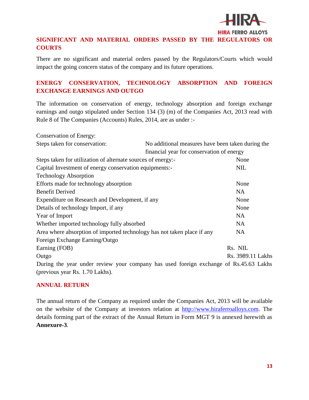

# **SIGNIFICANT AND MATERIAL ORDERS PASSED BY THE REGULATORS OR COURTS**

There are no significant and material orders passed by the Regulators/Courts which would impact the going concern status of the company and its future operations.

# **ENERGY CONSERVATION, TECHNOLOGY ABSORPTION AND FOREIGN EXCHANGE EARNINGS AND OUTGO**

The information on conservation of energy, technology absorption and foreign exchange earnings and outgo stipulated under Section 134 (3) (m) of the Companies Act, 2013 read with Rule 8 of The Companies (Accounts) Rules, 2014, are as under :-

| <b>Conservation of Energy:</b>                                                        |                                                   |                   |  |
|---------------------------------------------------------------------------------------|---------------------------------------------------|-------------------|--|
| Steps taken for conservation:                                                         | No additional measures have been taken during the |                   |  |
|                                                                                       | financial year for conservation of energy         |                   |  |
| Steps taken for utilization of alternate sources of energy:-                          |                                                   | None              |  |
| Capital Investment of energy conservation equipments:-                                |                                                   | <b>NIL</b>        |  |
| <b>Technology Absorption</b>                                                          |                                                   |                   |  |
| Efforts made for technology absorption                                                |                                                   | None              |  |
| <b>Benefit Derived</b>                                                                |                                                   | <b>NA</b>         |  |
| Expenditure on Research and Development, if any                                       |                                                   | None              |  |
| Details of technology Import, if any                                                  |                                                   | None              |  |
| Year of Import                                                                        |                                                   | <b>NA</b>         |  |
| Whether imported technology fully absorbed                                            |                                                   | NA                |  |
| Area where absorption of imported technology has not taken place if any               |                                                   | <b>NA</b>         |  |
| Foreign Exchange Earning/Outgo                                                        |                                                   |                   |  |
| Earning (FOB)                                                                         |                                                   | Rs. NIL           |  |
| Outgo                                                                                 |                                                   | Rs. 3989.11 Lakhs |  |
| During the year under review your company has used foreign exchange of Rs.45.63 Lakhs |                                                   |                   |  |
| (previous year Rs. 1.70 Lakhs).                                                       |                                                   |                   |  |

# **ANNUAL RETURN**

The annual return of the Company as required under the Companies Act, 2013 will be available on the website of the Company at investors relation at http://www.hiraferroalloys.com. The details forming part of the extract of the Annual Return in Form MGT 9 is annexed herewith as **Annexure-3**.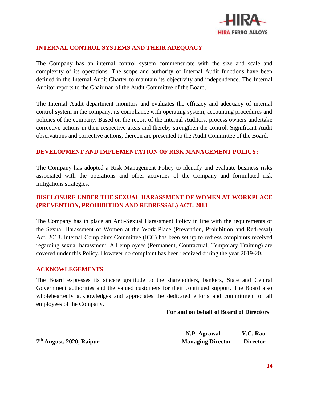

### **INTERNAL CONTROL SYSTEMS AND THEIR ADEQUACY**

The Company has an internal control system commensurate with the size and scale and complexity of its operations. The scope and authority of Internal Audit functions have been defined in the Internal Audit Charter to maintain its objectivity and independence. The Internal Auditor reports to the Chairman of the Audit Committee of the Board.

The Internal Audit department monitors and evaluates the efficacy and adequacy of internal control system in the company, its compliance with operating system, accounting procedures and policies of the company. Based on the report of the Internal Auditors, process owners undertake corrective actions in their respective areas and thereby strengthen the control. Significant Audit observations and corrective actions, thereon are presented to the Audit Committee of the Board.

#### **DEVELOPMENT AND IMPLEMENTATION OF RISK MANAGEMENT POLICY:**

The Company has adopted a Risk Management Policy to identify and evaluate business risks associated with the operations and other activities of the Company and formulated risk mitigations strategies.

# **DISCLOSURE UNDER THE SEXUAL HARASSMENT OF WOMEN AT WORKPLACE (PREVENTION, PROHIBITION AND REDRESSAL) ACT, 2013**

The Company has in place an Anti-Sexual Harassment Policy in line with the requirements of the Sexual Harassment of Women at the Work Place (Prevention, Prohibition and Redressal) Act, 2013. Internal Complaints Committee (ICC) has been set up to redress complaints received regarding sexual harassment. All employees (Permanent, Contractual, Temporary Training) are covered under this Policy. However no complaint has been received during the year 2019-20.

#### **ACKNOWLEGEMENTS**

The Board expresses its sincere gratitude to the shareholders, bankers, State and Central Government authorities and the valued customers for their continued support. The Board also wholeheartedly acknowledges and appreciates the dedicated efforts and commitment of all employees of the Company.

#### **For and on behalf of Board of Directors**

|                            | N.P. Agrawal             | Y.C. Rao        |  |
|----------------------------|--------------------------|-----------------|--|
| $7th$ August, 2020, Raipur | <b>Managing Director</b> | <b>Director</b> |  |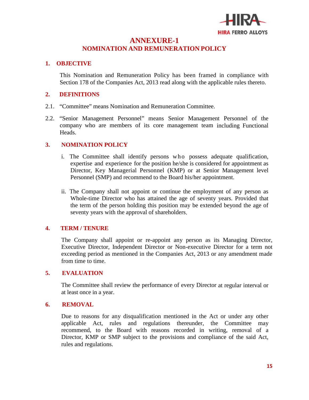

# **ANNEXURE-1 NOMINATION AND REMUNERATION POLICY**

#### **1. OBJECTIVE**

This Nomination and Remuneration Policy has been framed in compliance with Section 178 of the Companies Act, 2013 read along with the applicable rules thereto.

#### **2. DEFINITIONS**

- 2.1. "Committee" means Nomination and Remuneration Committee.
- 2.2. "Senior Management Personnel" means Senior Management Personnel of the company who are members of its core management team including Functional Heads.

#### **3. NOMINATION POLICY**

- i. The Committee shall identify persons who possess adequate qualification, expertise and experience for the position he/she is considered for appointment as Director, Key Managerial Personnel (KMP) or at Senior Management level Personnel (SMP) and recommend to the Board his/her appointment.
- ii. The Company shall not appoint or continue the employment of any person as Whole-time Director who has attained the age of seventy years. Provided that the term of the person holding this position may be extended beyond the age of seventy years with the approval of shareholders.

#### **4. TERM / TENURE**

The Company shall appoint or re-appoint any person as its Managing Director, Executive Director, Independent Director or Non-executive Director for a term not exceeding period as mentioned in the Companies Act, 2013 or any amendment made from time to time.

#### **5. EVALUATION**

The Committee shall review the performance of every Director at regular interval or at least once in a year.

#### **6. REMOVAL**

Due to reasons for any disqualification mentioned in the Act or under any other applicable Act, rules and regulations thereunder, the Committee may recommend, to the Board with reasons recorded in writing, removal of a Director, KMP or SMP subject to the provisions and compliance of the said Act, rules and regulations.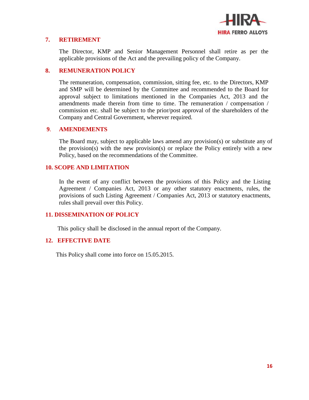

#### **7. RETIREMENT**

The Director, KMP and Senior Management Personnel shall retire as per the applicable provisions of the Act and the prevailing policy of the Company.

# **8. REMUNERATION POLICY**

The remuneration, compensation, commission, sitting fee, etc. to the Directors, KMP and SMP will be determined by the Committee and recommended to the Board for approval subject to limitations mentioned in the Companies Act, 2013 and the amendments made therein from time to time. The remuneration / compensation / commission etc. shall be subject to the prior/post approval of the shareholders of the Company and Central Government, wherever required.

### **9**. **AMENDEMENTS**

The Board may, subject to applicable laws amend any provision(s) or substitute any of the provision(s) with the new provision(s) or replace the Policy entirely with a new Policy, based on the recommendations of the Committee.

### **10. SCOPE AND LIMITATION**

In the event of any conflict between the provisions of this Policy and the Listing Agreement / Companies Act, 2013 or any other statutory enactments, rules, the provisions of such Listing Agreement / Companies Act, 2013 or statutory enactments, rules shall prevail over this Policy.

#### **11. DISSEMINATION OF POLICY**

This policy shall be disclosed in the annual report of the Company.

#### **12. EFFECTIVE DATE**

This Policy shall come into force on 15.05.2015.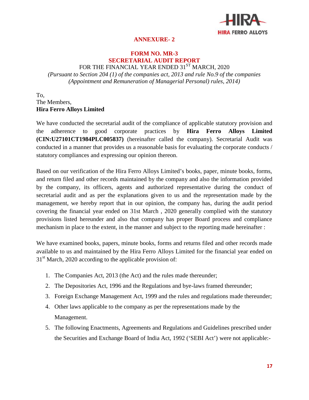

# **ANNEXURE- 2**

# **FORM NO. MR-3 SECRETARIAL AUDIT REPORT**

FOR THE FINANCIAL YEAR ENDED 31<sup>ST</sup> MARCH, 2020 *(Pursuant to Section 204 (1) of the companies act, 2013 and rule No.9 of the companies (Appointment and Remuneration of Managerial Personal) rules, 2014)*

#### To, The Members, **Hira Ferro Alloys Limited**

We have conducted the secretarial audit of the compliance of applicable statutory provision and the adherence to good corporate practices by **Hira Ferro Alloys Limited (CIN:U27101CT1984PLC005837)** (hereinafter called the company). Secretarial Audit was conducted in a manner that provides us a reasonable basis for evaluating the corporate conducts / statutory compliances and expressing our opinion thereon.

Based on our verification of the Hira Ferro Alloys Limited's books, paper, minute books, forms, and return filed and other records maintained by the company and also the information provided by the company, its officers, agents and authorized representative during the conduct of secretarial audit and as per the explanations given to us and the representation made by the management, we hereby report that in our opinion, the company has, during the audit period covering the financial year ended on 31st March , 2020 generally complied with the statutory provisions listed hereunder and also that company has proper Board process and compliance mechanism in place to the extent, in the manner and subject to the reporting made hereinafter :

We have examined books, papers, minute books, forms and returns filed and other records made available to us and maintained by the Hira Ferro Alloys Limited for the financial year ended on  $31<sup>st</sup>$  March, 2020 according to the applicable provision of:

- 1. The Companies Act, 2013 (the Act) and the rules made thereunder;
- 2. The Depositories Act, 1996 and the Regulations and bye-laws framed thereunder;
- 3. Foreign Exchange Management Act, 1999 and the rules and regulations made thereunder;
- 4. Other laws applicable to the company as per the representations made by the Management.
- 5. The following Enactments, Agreements and Regulations and Guidelines prescribed under the Securities and Exchange Board of India Act, 1992 ('SEBI Act') were not applicable:-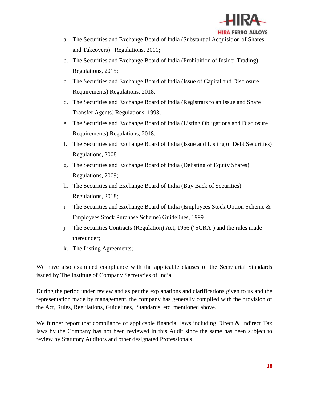

- a. The Securities and Exchange Board of India (Substantial Acquisition of Shares and Takeovers) Regulations, 2011;
- b. The Securities and Exchange Board of India (Prohibition of Insider Trading) Regulations, 2015;
- c. The Securities and Exchange Board of India (Issue of Capital and Disclosure Requirements) Regulations, 2018,
- d. The Securities and Exchange Board of India (Registrars to an Issue and Share Transfer Agents) Regulations, 1993,
- e. The Securities and Exchange Board of India (Listing Obligations and Disclosure Requirements) Regulations, 2018.
- f. The Securities and Exchange Board of India (Issue and Listing of Debt Securities) Regulations, 2008
- g. The Securities and Exchange Board of India (Delisting of Equity Shares) Regulations, 2009;
- h. The Securities and Exchange Board of India (Buy Back of Securities) Regulations, 2018;
- i. The Securities and Exchange Board of India (Employees Stock Option Scheme & Employees Stock Purchase Scheme) Guidelines, 1999
- j. The Securities Contracts (Regulation) Act, 1956 ('SCRA') and the rules made thereunder;
- k. The Listing Agreements;

We have also examined compliance with the applicable clauses of the Secretarial Standards issued by The Institute of Company Secretaries of India.

During the period under review and as per the explanations and clarifications given to us and the representation made by management, the company has generally complied with the provision of the Act, Rules, Regulations, Guidelines, Standards, etc. mentioned above.

We further report that compliance of applicable financial laws including Direct & Indirect Tax laws by the Company has not been reviewed in this Audit since the same has been subject to review by Statutory Auditors and other designated Professionals.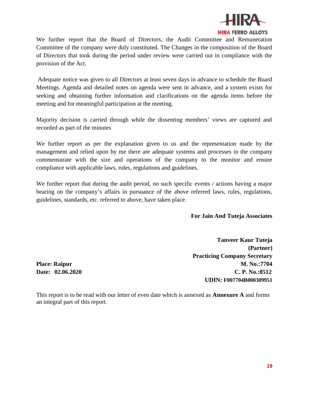

We further report that the Board of Directors, the Audit Committee and Remuneration Committee of the company were duly constituted. The Changes in the composition of the Board of Directors that took during the period under review were carried out in compliance with the provision of the Act.

Adequate notice was given to all Directors at least seven days in advance to schedule the Board Meetings. Agenda and detailed notes on agenda were sent in advance, and a system exists for seeking and obtaining further information and clarifications on the agenda items before the meeting and for meaningful participation at the meeting.

Majority decision is carried through while the dissenting members' views are captured and recorded as part of the minutes

We further report as per the explanation given to us and the representation made by the management and relied upon by me there are adequate systems and processes in the company commensurate with the size and operations of the company to the monitor and ensure compliance with applicable laws, rules, regulations and guidelines.

We further report that during the audit period, no such specific events / actions having a major bearing on the company's affairs in pursuance of the above referred laws, rules, regulations, guidelines, standards, etc. referred to above, have taken place.

**For Jain And Tuteja Associates**

**Tanveer Kaur Tuteja (Partner) Practicing Company Secretary Place: Raipur M. No.:7704 Date: 02.06.2020 C. P. No.:8512 UDIN: F007704B000309951**

This report is to be read with our letter of even date which is annexed as **Annexure A** and forms an integral part of this report.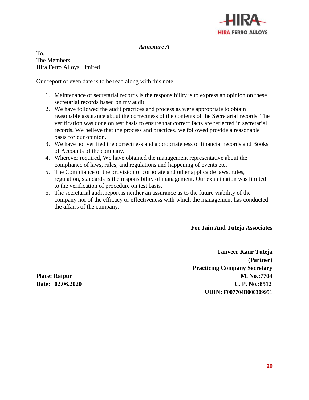

#### *Annexure A*

To, The Members Hira Ferro Alloys Limited

Our report of even date is to be read along with this note.

- 1. Maintenance of secretarial records is the responsibility is to express an opinion on these secretarial records based on my audit.
- 2. We have followed the audit practices and process as were appropriate to obtain reasonable assurance about the correctness of the contents of the Secretarial records. The verification was done on test basis to ensure that correct facts are reflected in secretarial records. We believe that the process and practices, we followed provide a reasonable basis for our opinion.
- 3. We have not verified the correctness and appropriateness of financial records and Books of Accounts of the company.
- 4. Wherever required, We have obtained the management representative about the compliance of laws, rules, and regulations and happening of events etc.
- 5. The Compliance of the provision of corporate and other applicable laws, rules, regulation, standards is the responsibility of management. Our examination was limited to the verification of procedure on test basis.
- 6. The secretarial audit report is neither an assurance as to the future viability of the company nor of the efficacy or effectiveness with which the management has conducted the affairs of the company.

#### **For Jain And Tuteja Associates**

**Tanveer Kaur Tuteja (Partner) Practicing Company Secretary Place: Raipur M. No.:7704 Date: 02.06.2020 C. P. No.:8512 UDIN: F007704B000309951**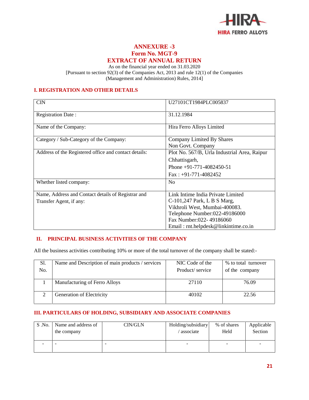

### **ANNEXURE -3 Form No. MGT-9 EXTRACT OF ANNUAL RETURN**

As on the financial year ended on 31.03.2020 [Pursuant to section 92(3) of the Companies Act, 2013 and rule 12(1) of the Companies (Management and Administration) Rules, 2014]

#### **I. REGISTRATION AND OTHER DETAILS**

| <b>CIN</b>                                            | U27101CT1984PLC005837                        |
|-------------------------------------------------------|----------------------------------------------|
| <b>Registration Date:</b>                             | 31.12.1984                                   |
| Name of the Company:                                  | Hira Ferro Alloys Limited                    |
| Category / Sub-Category of the Company:               | Company Limited By Shares                    |
|                                                       | Non Govt. Company                            |
| Address of the Registered office and contact details: | Plot No. 567/B, Urla Industrial Area, Raipur |
|                                                       | Chhattisgarh,                                |
|                                                       | Phone $+91-771-4082450-51$                   |
|                                                       | $Fax: +91-771-4082452$                       |
| Whether listed company:                               | N <sub>o</sub>                               |
| Name, Address and Contact details of Registrar and    | Link Intime India Private Limited            |
| Transfer Agent, if any:                               | C-101,247 Park, L B S Marg,                  |
|                                                       | Vikhroli West, Mumbai-400083.                |
|                                                       | Telephone Number:022-49186000                |
|                                                       | Fax Number:022-49186060                      |
|                                                       | Email: rnt.helpdesk@linkintime.co.in         |

#### **II. PRINCIPAL BUSINESS ACTIVITIES OF THE COMPANY**

All the business activities contributing 10% or more of the total turnover of the company shall be stated:-

| Sl.<br>No. | Name and Description of main products / services | NIC Code of the<br>Product/service | % to total turnover<br>of the company |
|------------|--------------------------------------------------|------------------------------------|---------------------------------------|
|            | Manufacturing of Ferro Alloys                    | 27110                              | 76.09                                 |
|            | Generation of Electricity                        | 40102                              | 22.56                                 |

#### **III. PARTICULARS OF HOLDING, SUBSIDIARY AND ASSOCIATE COMPANIES**

| $S$ .No. | Name and address of<br>the company | CIN/GLN | Holding/subsidiary<br>associate | % of shares<br>Held | Applicable<br>Section    |
|----------|------------------------------------|---------|---------------------------------|---------------------|--------------------------|
|          | $\overline{\phantom{a}}$           | -       | -                               | -                   | $\overline{\phantom{0}}$ |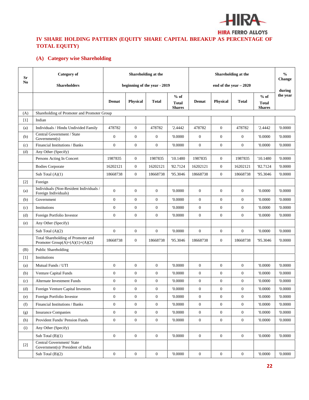

# **IV SHARE HOLDING PATTERN (EQUITY SHARE CAPITAL BREAKUP AS PERCENTAGE OF TOTAL EQUITY)**

# **(A) Category wise Shareholding**

| Sr             | <b>Category</b> of                                                      | Shareholding at the |                  |                              |                                         | Shareholding at the |                  |                         |                                         | $\frac{0}{0}$<br><b>Change</b> |
|----------------|-------------------------------------------------------------------------|---------------------|------------------|------------------------------|-----------------------------------------|---------------------|------------------|-------------------------|-----------------------------------------|--------------------------------|
| N <sub>0</sub> | <b>Shareholders</b>                                                     |                     |                  | beginning of the year - 2019 |                                         |                     |                  | end of the year $-2020$ |                                         | during                         |
|                |                                                                         | Demat               | <b>Physical</b>  | <b>Total</b>                 | $%$ of<br><b>Total</b><br><b>Shares</b> | Demat               | <b>Physical</b>  | <b>Total</b>            | $%$ of<br><b>Total</b><br><b>Shares</b> | the year                       |
| (A)            | Shareholding of Promoter and Promoter Group                             |                     |                  |                              |                                         |                     |                  |                         |                                         |                                |
| $[1]$          | Indian                                                                  |                     |                  |                              |                                         |                     |                  |                         |                                         |                                |
| (a)            | Individuals / Hindu Undivided Family                                    | 478782              | $\overline{0}$   | 478782                       | '2.4442                                 | 478782              | $\mathbf{0}$     | 478782                  | '2.4442                                 | '0.0000                        |
| (b)            | Central Government / State<br>Government(s)                             | $\boldsymbol{0}$    | $\mathbf{0}$     | $\mathbf{0}$                 | 0.0000                                  | $\mathbf{0}$        | $\mathbf{0}$     | $\mathbf{0}$            | '0.0000                                 | 0.0000                         |
| (c)            | Financial Institutions / Banks                                          | $\boldsymbol{0}$    | $\boldsymbol{0}$ | $\overline{0}$               | 0.0000                                  | $\boldsymbol{0}$    | $\mathbf{0}$     | $\boldsymbol{0}$        | '0.0000                                 | 0.0000                         |
| (d)            | Any Other (Specify)                                                     |                     |                  |                              |                                         |                     |                  |                         |                                         |                                |
|                | Persons Acting In Concert                                               | 1987835             | $\boldsymbol{0}$ | 1987835                      | '10.1480                                | 1987835             | $\mathbf{0}$     | 1987835                 | '10.1480                                | '0.0000                        |
|                | <b>Bodies Corporate</b>                                                 | 16202121            | $\mathbf{0}$     | 16202121                     | '82.7124                                | 16202121            | $\mathbf{0}$     | 16202121                | '82.7124                                | 0.0000                         |
|                | Sub Total $(A)(1)$                                                      | 18668738            | $\mathbf{0}$     | 18668738                     | '95.3046                                | 18668738            | $\boldsymbol{0}$ | 18668738                | '95.3046                                | 0.0000                         |
| $[2]$          | Foreign                                                                 |                     |                  |                              |                                         |                     |                  |                         |                                         |                                |
| (a)            | Individuals (Non-Resident Individuals /<br>Foreign Individuals)         | $\boldsymbol{0}$    | $\mathbf{0}$     | $\mathbf{0}$                 | '0.0000                                 | $\overline{0}$      | $\mathbf{0}$     | $\mathbf{0}$            | '0.0000                                 | '0.0000                        |
| (b)            | Government                                                              | $\boldsymbol{0}$    | $\boldsymbol{0}$ | $\mathbf{0}$                 | 0.0000                                  | $\boldsymbol{0}$    | $\mathbf{0}$     | $\mathbf{0}$            | '0.0000                                 | 0.0000                         |
| (c)            | Institutions                                                            | $\boldsymbol{0}$    | $\mathbf{0}$     | $\mathbf{0}$                 | '0.0000                                 | $\boldsymbol{0}$    | $\boldsymbol{0}$ | $\boldsymbol{0}$        | '0.0000                                 | 0.0000                         |
| (d)            | Foreign Portfolio Investor                                              | $\boldsymbol{0}$    | $\overline{0}$   | $\mathbf{0}$                 | '0.0000                                 | $\overline{0}$      | $\boldsymbol{0}$ | $\boldsymbol{0}$        | '0.0000                                 | '0.0000                        |
| (e)            | Any Other (Specify)                                                     |                     |                  |                              |                                         |                     |                  |                         |                                         |                                |
|                | Sub Total $(A)(2)$                                                      | $\boldsymbol{0}$    | $\mathbf{0}$     | $\mathbf{0}$                 | 0.0000                                  | $\boldsymbol{0}$    | $\mathbf{0}$     | $\boldsymbol{0}$        | '0.0000                                 | '0.0000                        |
|                | Total Shareholding of Promoter and<br>Promoter $Group(A)=(A)(1)+(A)(2)$ | 18668738            | $\boldsymbol{0}$ | 18668738                     | '95.3046                                | 18668738            | $\mathbf{0}$     | 18668738                | '95.3046                                | 0.0000                         |
| (B)            | Public Shareholding                                                     |                     |                  |                              |                                         |                     |                  |                         |                                         |                                |
| $[1]$          | Institutions                                                            |                     |                  |                              |                                         |                     |                  |                         |                                         |                                |
| (a)            | Mutual Funds / UTI                                                      | $\boldsymbol{0}$    | $\boldsymbol{0}$ | $\mathbf{0}$                 | '0.0000                                 | $\mathbf{0}$        | $\mathbf{0}$     | $\mathbf{0}$            | '0.0000                                 | 0.0000                         |
| (b)            | Venture Capital Funds                                                   | $\boldsymbol{0}$    | $\mathbf{0}$     | $\mathbf{0}$                 | '0.0000                                 | $\overline{0}$      | $\overline{0}$   | $\mathbf{0}$            | '0.0000                                 | '0.0000                        |
| (c)            | Alternate Investment Funds                                              | $\boldsymbol{0}$    | $\boldsymbol{0}$ | $\mathbf{0}$                 | '0.0000                                 | $\boldsymbol{0}$    | $\mathbf{0}$     | $\boldsymbol{0}$        | '0.0000                                 | '0.0000                        |
| (d)            | Foreign Venture Capital Investors                                       | $\boldsymbol{0}$    | $\boldsymbol{0}$ | $\mathbf{0}$                 | '0.0000                                 | $\boldsymbol{0}$    | $\boldsymbol{0}$ | $\boldsymbol{0}$        | '0.0000                                 | 0.0000                         |
| (e)            | Foreign Portfolio Investor                                              | $\boldsymbol{0}$    | $\boldsymbol{0}$ | $\boldsymbol{0}$             | 0.0000                                  | $\boldsymbol{0}$    | $\boldsymbol{0}$ | $\boldsymbol{0}$        | '0.0000                                 | '0.0000                        |
| (f)            | Financial Institutions / Banks                                          | $\boldsymbol{0}$    | $\boldsymbol{0}$ | $\overline{0}$               | 0.0000                                  | $\mathbf{0}$        | $\boldsymbol{0}$ | $\boldsymbol{0}$        | 0.0000                                  | 0.0000                         |
| (g)            | <b>Insurance Companies</b>                                              | $\boldsymbol{0}$    | $\mathbf{0}$     | $\mathbf{0}$                 | 0.0000                                  | $\mathbf{0}$        | $\overline{0}$   | $\boldsymbol{0}$        | 0.0000                                  | 0.0000                         |
| (h)            | Provident Funds/ Pension Funds                                          | $\boldsymbol{0}$    | $\boldsymbol{0}$ | $\mathbf{0}$                 | 0.0000                                  | $\boldsymbol{0}$    | $\boldsymbol{0}$ | $\boldsymbol{0}$        | '0.0000                                 | 0.0000                         |
| (i)            | Any Other (Specify)                                                     |                     |                  |                              |                                         |                     |                  |                         |                                         |                                |
|                | Sub Total $(B)(1)$                                                      | $\boldsymbol{0}$    | $\boldsymbol{0}$ | $\boldsymbol{0}$             | 0.0000                                  | $\boldsymbol{0}$    | $\boldsymbol{0}$ | $\boldsymbol{0}$        | '0.0000                                 | 0.0000                         |
| $[2]$          | Central Government/ State<br>Government(s)/ President of India          |                     |                  |                              |                                         |                     |                  |                         |                                         |                                |
|                | Sub Total $(B)(2)$                                                      | $\boldsymbol{0}$    | $\boldsymbol{0}$ | $\boldsymbol{0}$             | 0.0000                                  | $\boldsymbol{0}$    | $\boldsymbol{0}$ | $\boldsymbol{0}$        | '0.0000                                 | '0.0000                        |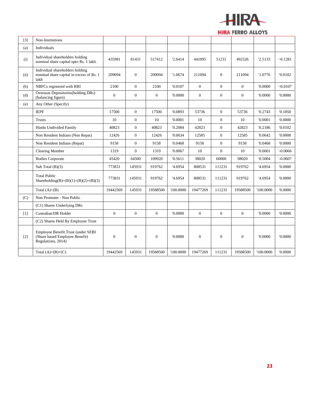

|  |  | <b>HIRA FERRO ALLOYS</b> |
|--|--|--------------------------|
|--|--|--------------------------|

| [3]               | Non-Institutions                                                                           |                |                  |                |           |                  |                  |                |           |           |
|-------------------|--------------------------------------------------------------------------------------------|----------------|------------------|----------------|-----------|------------------|------------------|----------------|-----------|-----------|
| (a)               | Individuals                                                                                |                |                  |                |           |                  |                  |                |           |           |
| (i)               | Individual shareholders holding<br>nominal share capital upto Rs. 1 lakh.                  | 435981         | 81431            | 517412         | 2.6414    | 441095           | 51231            | 492326         | 2.5133    | $-0.1281$ |
| (ii)              | Individual shareholders holding<br>nominal share capital in excess of Rs. 1<br>lakh        | 209094         | $\boldsymbol{0}$ | 209094         | '1.0674   | 211094           | $\boldsymbol{0}$ | 211094         | '1.0776   | '0.0102   |
| (b)               | NBFCs registered with RBI                                                                  | 2100           | $\mathbf{0}$     | 2100           | '0.0107   | $\boldsymbol{0}$ | $\mathbf{0}$     | $\mathbf{0}$   | 0.0000    | $-0.0107$ |
| (d)               | Overseas Depositories (holding DRs)<br>(balancing figure)                                  | $\overline{0}$ | $\boldsymbol{0}$ | $\overline{0}$ | '0.0000   | $\mathbf{0}$     | $\mathbf{0}$     | $\overline{0}$ | '0.0000   | 0.0000    |
| (e)               | Any Other (Specify)                                                                        |                |                  |                |           |                  |                  |                |           |           |
|                   | <b>IEPF</b>                                                                                | 17500          | $\boldsymbol{0}$ | 17500          | '0.0893   | 53736            | $\boldsymbol{0}$ | 53736          | 0.2743    | '0.1850   |
|                   | <b>Trusts</b>                                                                              | 10             | $\mathbf{0}$     | 10             | '0.0001   | 10               | $\mathbf{0}$     | 10             | '0.0001   | '0.0000   |
|                   | Hindu Undivided Family                                                                     | 40823          | $\mathbf{0}$     | 40823          | '0.2084   | 42823            | $\mathbf{0}$     | 42823          | 0.2186    | '0.0102   |
|                   | Non Resident Indians (Non Repat)                                                           | 12426          | $\mathbf{0}$     | 12426          | 0.0634    | 12585            | $\boldsymbol{0}$ | 12585          | 0.0642    | '0.0008   |
|                   | Non Resident Indians (Repat)                                                               | 9158           | $\boldsymbol{0}$ | 9158           | 0.0468    | 9158             | $\boldsymbol{0}$ | 9158           | 0.0468    | 0.0000    |
|                   | <b>Clearing Member</b>                                                                     | 1319           | $\boldsymbol{0}$ | 1319           | '0.0067   | 10               | $\mathbf{0}$     | 10             | '0.0001   | $-0.0066$ |
|                   | <b>Bodies Corporate</b>                                                                    | 45420          | 64500            | 109920         | 0.5611    | 38020            | 60000            | 98020          | '0.5004   | $-0.0607$ |
|                   | Sub Total $(B)(3)$                                                                         | 773831         | 145931           | 919762         | '4.6954   | 808531           | 111231           | 919762         | '4.6954   | '0.0000   |
|                   | <b>Total Public</b><br>Shareholding(B)=(B)(1)+(B)(2)+(B)(3)                                | 773831         | 145931           | 919762         | '4.6954   | 808531           | 111231           | 919762         | '4.6954   | '0.0000   |
|                   | Total $(A)+(B)$                                                                            | 19442569       | 145931           | 19588500       | '100.0000 | 19477269         | 111231           | 19588500       | '100.0000 | '0.0000   |
| (C)               | Non Promoter - Non Public                                                                  |                |                  |                |           |                  |                  |                |           |           |
|                   | (C1) Shares Underlying DRs                                                                 |                |                  |                |           |                  |                  |                |           |           |
| [1]               | Custodian/DR Holder                                                                        | $\overline{0}$ | $\overline{0}$   | $\mathbf{0}$   | '0.0000   | $\mathbf{0}$     | $\mathbf{0}$     | $\theta$       | '0.0000   | '0.0000   |
|                   | (C2) Shares Held By Employee Trust                                                         |                |                  |                |           |                  |                  |                |           |           |
| $\lceil 2 \rceil$ | Employee Benefit Trust (under SEBI<br>(Share based Employee Benefit)<br>Regulations, 2014) | $\Omega$       | $\overline{0}$   | $\mathbf{0}$   | '0.0000   | $\mathbf{0}$     | $\theta$         | $\theta$       | '0.0000   | '0.0000   |
|                   | Total $(A)+(B)+(C)$                                                                        | 19442569       | 145931           | 19588500       | '100.0000 | 19477269         | 111231           | 19588500       | '100.0000 | 0.0000    |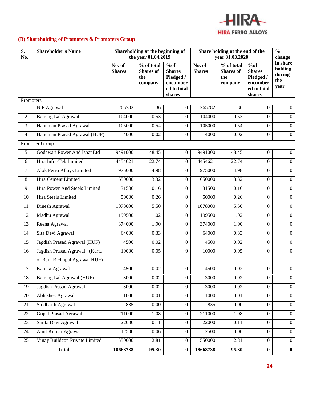

#### **(B) Shareholding of Promoters & Promoters Group**

| S.<br><b>Shareholder's Name</b><br>No. |                                |                         | Shareholding at the beginning of<br>the year 01.04.2019 |                                                                        | Share holding at the end of the<br>year 31.03.2020 | $\frac{0}{0}$<br>change                          |                                                                        |                                              |
|----------------------------------------|--------------------------------|-------------------------|---------------------------------------------------------|------------------------------------------------------------------------|----------------------------------------------------|--------------------------------------------------|------------------------------------------------------------------------|----------------------------------------------|
|                                        |                                | No. of<br><b>Shares</b> | % of total<br><b>Shares</b> of<br>the<br>company        | %of<br><b>Shares</b><br>Pledged /<br>encumber<br>ed to total<br>shares | No. of<br><b>Shares</b>                            | % of total<br><b>Shares</b> of<br>the<br>company | %of<br><b>Shares</b><br>Pledged /<br>encumber<br>ed to total<br>shares | in share<br>holding<br>during<br>the<br>year |
| Promoters                              |                                |                         |                                                         |                                                                        |                                                    |                                                  |                                                                        |                                              |
| $\mathbf{1}$                           | N P Agrawal                    | 265782                  | 1.36                                                    | $\overline{0}$                                                         | 265782                                             | 1.36                                             | $\overline{0}$                                                         | $\boldsymbol{0}$                             |
| $\overline{2}$                         | Bajrang Lal Agrawal            | 104000                  | 0.53                                                    | $\boldsymbol{0}$                                                       | 104000                                             | 0.53                                             | $\mathbf{0}$                                                           | $\boldsymbol{0}$                             |
| 3                                      | Hanuman Prasad Agrawal         | 105000                  | 0.54                                                    | $\boldsymbol{0}$                                                       | 105000                                             | 0.54                                             | $\overline{0}$                                                         | $\mathbf{0}$                                 |
| 4                                      | Hanuman Prasad Agrawal (HUF)   | 4000                    | 0.02                                                    | $\boldsymbol{0}$                                                       | 4000                                               | 0.02                                             | $\boldsymbol{0}$                                                       | $\boldsymbol{0}$                             |
|                                        | Promoter Group                 |                         |                                                         |                                                                        |                                                    |                                                  |                                                                        |                                              |
| 5                                      | Godawari Power And Ispat Ltd   | 9491000                 | 48.45                                                   | $\boldsymbol{0}$                                                       | 9491000                                            | 48.45                                            | $\boldsymbol{0}$                                                       | $\boldsymbol{0}$                             |
| 6                                      | Hira Infra-Tek Limited         | 4454621                 | 22.74                                                   | $\boldsymbol{0}$                                                       | 4454621                                            | 22.74                                            | $\boldsymbol{0}$                                                       | $\boldsymbol{0}$                             |
| 7                                      | Alok Ferro Alloys Limited      | 975000                  | 4.98                                                    | $\mathbf{0}$                                                           | 975000                                             | 4.98                                             | $\boldsymbol{0}$                                                       | $\boldsymbol{0}$                             |
| 8                                      | Hira Cement Limited            | 650000                  | 3.32                                                    | $\boldsymbol{0}$                                                       | 650000                                             | 3.32                                             | $\boldsymbol{0}$                                                       | $\boldsymbol{0}$                             |
| 9                                      | Hira Power And Steels Limited  | 31500                   | 0.16                                                    | $\boldsymbol{0}$                                                       | 31500                                              | 0.16                                             | $\boldsymbol{0}$                                                       | $\boldsymbol{0}$                             |
| 10                                     | Hira Steels Limited            | 50000                   | 0.26                                                    | $\boldsymbol{0}$                                                       | 50000                                              | 0.26                                             | $\boldsymbol{0}$                                                       | $\boldsymbol{0}$                             |
| 11                                     | Dinesh Agrawal                 | 1078000                 | 5.50                                                    | $\boldsymbol{0}$                                                       | 1078000                                            | 5.50                                             | $\boldsymbol{0}$                                                       | $\boldsymbol{0}$                             |
| 12                                     | Madhu Agrawal                  | 199500                  | 1.02                                                    | $\boldsymbol{0}$                                                       | 199500                                             | 1.02                                             | $\boldsymbol{0}$                                                       | $\boldsymbol{0}$                             |
| 13                                     | Reena Agrawal                  | 374000                  | 1.90                                                    | $\boldsymbol{0}$                                                       | 374000                                             | 1.90                                             | $\boldsymbol{0}$                                                       | $\boldsymbol{0}$                             |
| 14                                     | Sita Devi Agrawal              | 64000                   | 0.33                                                    | $\boldsymbol{0}$                                                       | 64000                                              | 0.33                                             | $\mathbf{0}$                                                           | $\boldsymbol{0}$                             |
| 15                                     | Jagdish Prasad Agrawal (HUF)   | 4500                    | 0.02                                                    | $\boldsymbol{0}$                                                       | 4500                                               | 0.02                                             | $\mathbf{0}$                                                           | $\boldsymbol{0}$                             |
| 16                                     | Jagdish Prasad Agrawal (Karta  | 10000                   | 0.05                                                    | $\boldsymbol{0}$                                                       | 10000                                              | 0.05                                             | $\mathbf{0}$                                                           | $\boldsymbol{0}$                             |
|                                        | of Ram Richhpal Agrawal HUF)   |                         |                                                         |                                                                        |                                                    |                                                  |                                                                        |                                              |
| 17                                     | Kanika Agrawal                 | 4500                    | 0.02                                                    | $\boldsymbol{0}$                                                       | 4500                                               | 0.02                                             | $\boldsymbol{0}$                                                       | $\boldsymbol{0}$                             |
| 18                                     | Bajrang Lal Agrawal (HUF)      | 3000                    | $0.02\,$                                                | $\boldsymbol{0}$                                                       | 3000                                               | 0.02                                             | $\Omega$                                                               | $\boldsymbol{0}$                             |
| 19                                     | Jagdish Prasad Agrawal         | 3000                    | 0.02                                                    | $\boldsymbol{0}$                                                       | 3000                                               | $0.02\,$                                         | $\overline{0}$                                                         | $\boldsymbol{0}$                             |
| 20                                     | Abhishek Agrawal               | 1000                    | 0.01                                                    | $\boldsymbol{0}$                                                       | 1000                                               | $0.01\,$                                         | $\overline{0}$                                                         | $\boldsymbol{0}$                             |
| 21                                     | Siddharth Agrawal              | 835                     | 0.00                                                    | $\overline{0}$                                                         | 835                                                | 0.00                                             | $\overline{0}$                                                         | $\boldsymbol{0}$                             |
| 22                                     | <b>Gopal Prasad Agrawal</b>    | 211000                  | 1.08                                                    | $\mathbf{0}$                                                           | 211000                                             | 1.08                                             | $\overline{0}$                                                         | $\boldsymbol{0}$                             |
| 23                                     | Sarita Devi Agrawal            | 22000                   | 0.11                                                    | $\overline{0}$                                                         | 22000                                              | 0.11                                             | $\overline{0}$                                                         | $\boldsymbol{0}$                             |
| 24                                     | Amit Kumar Agrawal             | 12500                   | 0.06                                                    | $\boldsymbol{0}$                                                       | 12500                                              | 0.06                                             | $\overline{0}$                                                         | $\boldsymbol{0}$                             |
| 25                                     | Vinay Buildcon Private Limited | 550000                  | 2.81                                                    | $\boldsymbol{0}$                                                       | 550000                                             | 2.81                                             | $\Omega$                                                               | $\boldsymbol{0}$                             |
|                                        | <b>Total</b>                   | 18668738                | 95.30                                                   | $\boldsymbol{0}$                                                       | 18668738                                           | 95.30                                            | $\pmb{0}$                                                              | $\bf{0}$                                     |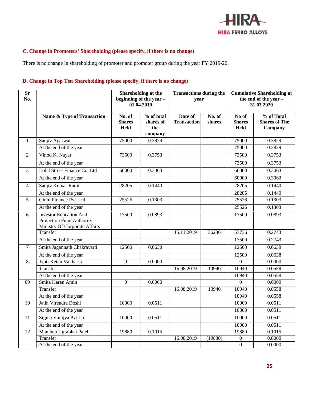

### **C. Change in Promoters' Shareholding (please specify, if there is no change)**

There is no change in shareholding of promoter and promoter group during the year FY 2019-20.

#### **D. Change in Top Ten Shareholding (please specify, if there is no change)**

| <b>Sr</b><br>No. |                                                                                             | Shareholding at the<br>beginning of the year -<br>01.04.2019 |                                           | <b>Transactions during the</b><br>year |                  | <b>Cumulative Shareholding at</b><br>the end of the year -<br>31.03.2020 |                                               |  |
|------------------|---------------------------------------------------------------------------------------------|--------------------------------------------------------------|-------------------------------------------|----------------------------------------|------------------|--------------------------------------------------------------------------|-----------------------------------------------|--|
|                  | Name & Type of Transaction                                                                  | No. of<br><b>Shares</b><br><b>Held</b>                       | % of total<br>shares of<br>the<br>company | Date of<br><b>Transaction</b>          | No. of<br>shares | No of<br><b>Shares</b><br>Held                                           | % of Total<br><b>Shares of The</b><br>Company |  |
| $\mathbf{1}$     | Sanjiv Agarwal                                                                              | 75000                                                        | 0.3829                                    |                                        |                  | 75000                                                                    | 0.3829                                        |  |
|                  | At the end of the year                                                                      |                                                              |                                           |                                        |                  | 75000                                                                    | 0.3829                                        |  |
| $\overline{2}$   | Vinod K. Nayar                                                                              | 73509                                                        | 0.3753                                    |                                        |                  | 73509                                                                    | 0.3753                                        |  |
|                  | At the end of the year                                                                      |                                                              |                                           |                                        |                  | 73509                                                                    | 0.3753                                        |  |
| 3                | Dalal Street Finance Co. Ltd                                                                | 60000                                                        | 0.3063                                    |                                        |                  | 60000                                                                    | 0.3063                                        |  |
|                  | At the end of the year                                                                      |                                                              |                                           |                                        |                  | 60000                                                                    | 0.3063                                        |  |
| $\overline{4}$   | Sanjiv Kumar Rathi                                                                          | 28205                                                        | 0.1440                                    |                                        |                  | 28205                                                                    | 0.1440                                        |  |
|                  | At the end of the year                                                                      |                                                              |                                           |                                        |                  | 28205                                                                    | 0.1440                                        |  |
| 5                | Ginni Finance Pvt. Ltd.                                                                     | 25526                                                        | 0.1303                                    |                                        |                  | 25526                                                                    | 0.1303                                        |  |
|                  | At the end of the year                                                                      |                                                              |                                           |                                        |                  | 25526                                                                    | 0.1303                                        |  |
| 6                | <b>Investor Education And</b><br>Protection Fund Authority<br>Ministry Of Corporate Affairs | 17500                                                        | 0.0893                                    |                                        |                  | 17500                                                                    | 0.0893                                        |  |
|                  | Transfer                                                                                    |                                                              |                                           | 15.11.2019                             | 36236            | 53736                                                                    | 0.2743                                        |  |
|                  | At the end of the year                                                                      |                                                              |                                           |                                        |                  | 17500                                                                    | 0.2743                                        |  |
| $\overline{7}$   | Smita Jagannath Chakravarti                                                                 | 12500                                                        | 0.0638                                    |                                        |                  | 12500                                                                    | 0.0638                                        |  |
|                  | At the end of the year                                                                      |                                                              |                                           |                                        |                  | 12500                                                                    | 0.0638                                        |  |
| 8                | Jyoti Ketan Vakharia                                                                        | $\overline{0}$                                               | 0.0000                                    |                                        |                  | $\boldsymbol{0}$                                                         | 0.0000                                        |  |
|                  | Transfer                                                                                    |                                                              |                                           | 16.08.2019                             | 10940            | 10940                                                                    | 0.0558                                        |  |
|                  | At the end of the year                                                                      |                                                              |                                           |                                        |                  | 10940                                                                    | 0.0558                                        |  |
| 09               | Smita Haren Amin                                                                            | $\overline{0}$                                               | 0.0000                                    |                                        |                  | $\mathbf{0}$                                                             | 0.0000                                        |  |
|                  | Transfer                                                                                    |                                                              |                                           | 16.08.2019                             | 10940            | 10940                                                                    | 0.0558                                        |  |
|                  | At the end of the year                                                                      |                                                              |                                           |                                        |                  | 10940                                                                    | 0.0558                                        |  |
| 10               | Jatin Virendra Doshi                                                                        | 10000                                                        | 0.0511                                    |                                        |                  | 10000                                                                    | 0.0511                                        |  |
|                  | At the end of the year                                                                      |                                                              |                                           |                                        |                  | 10000                                                                    | 0.0511                                        |  |
| 11               | Sigma Vanijya Pvt Ltd                                                                       | 10000                                                        | 0.0511                                    |                                        |                  | 10000                                                                    | 0.0511                                        |  |
|                  | At the end of the year                                                                      |                                                              |                                           |                                        |                  | 10000                                                                    | 0.0511                                        |  |
| 12               | Maniben Ugrabhai Patel                                                                      | 19880                                                        | 0.1015                                    |                                        |                  | 19880                                                                    | 0.1015                                        |  |
|                  | Transfer                                                                                    |                                                              |                                           | 16.08.2019                             | (19880)          | $\boldsymbol{0}$                                                         | 0.0000                                        |  |
|                  | At the end of the year                                                                      |                                                              |                                           |                                        |                  | $\overline{0}$                                                           | 0.0000                                        |  |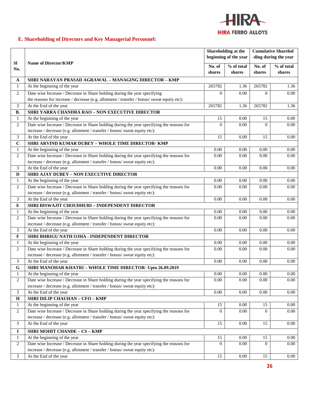

# **E. Shareholding of Directors and Key Managerial Personnel:**

|              |                                                                                            |                  | Shareholding at the<br>beginning of the year |                  | <b>Cumulative Sharehol</b><br>-ding during the year |
|--------------|--------------------------------------------------------------------------------------------|------------------|----------------------------------------------|------------------|-----------------------------------------------------|
| SI<br>No.    | <b>Name of Director/KMP</b>                                                                | No. of<br>shares | % of total<br>shares                         | No. of<br>shares | % of total<br>shares                                |
| A            | SHRI NARAYAN PRASAD AGRAWAL - MANAGING DIRECTOR - KMP                                      |                  |                                              |                  |                                                     |
| 1            | At the beginning of the year                                                               | 265782           | 1.36                                         | 265782           | 1.36                                                |
| 2            | Date wise Increase / Decrease in Share holding during the year specifying                  | $\overline{0}$   | 0.00                                         | $\Omega$         | 0.00                                                |
|              | the reasons for increase / decrease (e.g. allotment / transfer / bonus/ sweat equity etc): |                  |                                              |                  |                                                     |
| 3            | At the End of the year                                                                     | 265782           | 1.36                                         | 265782           | 1.36                                                |
| <b>B.</b>    | SHRI YARRA CHANDRA RAO - NON EXECUTIVE DIRECTOR                                            |                  |                                              |                  |                                                     |
| $\mathbf{1}$ | At the beginning of the year                                                               | 15               | 0.00                                         | 15               | 0.00                                                |
| 2            | Date wise Increase / Decrease in Share holding during the year specifying the reasons for  | $\mathbf{0}$     | 0.00                                         | $\overline{0}$   | 0.00                                                |
|              | increase / decrease (e.g. allotment / transfer / bonus/ sweat equity etc):                 |                  |                                              |                  |                                                     |
| 3            | At the End of the year                                                                     | 15               | 0.00                                         | 15               | 0.00                                                |
| $\mathbf C$  | SHRI ARVIND KUMAR DUBEY - WHOLE TIME DIRECTOR- KMP                                         |                  |                                              |                  |                                                     |
| $\mathbf{1}$ | At the beginning of the year                                                               | 0.00             | 0.00                                         | 0.00             | 0.00                                                |
| 2            | Date wise Increase / Decrease in Share holding during the year specifying the reasons for  | 0.00             | 0.00                                         | 0.00             | 0.00                                                |
|              | increase / decrease (e.g. allotment / transfer / bonus/ sweat equity etc):                 |                  |                                              |                  |                                                     |
| 3            | At the End of the year                                                                     | 0.00             | 0.00                                         | 0.00             | 0.00                                                |
| $\mathbf D$  | <b>SHRI AJAY DUBEY - NON EXECUTIVE DIRECTOR</b>                                            |                  |                                              |                  |                                                     |
| 1            | At the beginning of the year                                                               | 0.00             | 0.00                                         | 0.00             | 0.00                                                |
| 2            | Date wise Increase / Decrease in Share holding during the year specifying the reasons for  | 0.00             | 0.00                                         | 0.00             | 0.00                                                |
|              | increase / decrease (e.g. allotment / transfer / bonus/ sweat equity etc):                 |                  |                                              |                  |                                                     |
| 3            | At the End of the year                                                                     | 0.00             | 0.00                                         | 0.00             | 0.00                                                |
| E            | SHRI BISWAJIT CHOUDHURI - INDEPENDENT DIRECTOR                                             |                  |                                              |                  |                                                     |
| 1            | At the beginning of the year                                                               | 0.00             | 0.00                                         | 0.00             | 0.00                                                |
| 2            | Date wise Increase / Decrease in Share holding during the year specifying the reasons for  | 0.00             | 0.00                                         | 0.00             | 0.00                                                |
|              | increase / decrease (e.g. allotment / transfer / bonus/ sweat equity etc):                 |                  |                                              |                  |                                                     |
| 3            | At the End of the year                                                                     | 0.00             | 0.00                                         | 0.00             | 0.00                                                |
| $\mathbf F$  | SHRI BHRIGU NATH OJHA - INDEPENDENT DIRECTOR                                               |                  |                                              |                  |                                                     |
| $\mathbf{1}$ | At the beginning of the year                                                               | 0.00             | 0.00                                         | 0.00             | 0.00                                                |
| 2            | Date wise Increase / Decrease in Share holding during the year specifying the reasons for  | 0.00             | 0.00                                         | 0.00             | $0.00\,$                                            |
|              | increase / decrease (e.g. allotment / transfer / bonus/ sweat equity etc):                 |                  |                                              |                  |                                                     |
| 3            | At the End of the year                                                                     | 0.00             | 0.00                                         | 0.00             | 0.00                                                |
| $\mathbf G$  | SHRI MANOHAR KHATRI - WHOLE TIME DIRECTOR- Upto 26.09.2019                                 |                  |                                              |                  |                                                     |
| 1            | At the beginning of the year                                                               | $0.00\,$         | $0.00\,$                                     | 0.00             | $0.00\,$                                            |
| 2            | Date wise Increase / Decrease in Share holding during the year specifying the reasons for  | 0.00             | 0.00                                         | 0.00             | 0.00                                                |
|              | increase / decrease (e.g. allotment / transfer / bonus/ sweat equity etc):                 |                  |                                              |                  |                                                     |
| 3            | At the End of the year                                                                     | 0.00             | 0.00                                         | 0.00             | 0.00                                                |
| $\mathbf H$  | <b>SHRI DILIP CHAUHAN - CFO - KMP</b>                                                      |                  |                                              |                  |                                                     |
| 1            | At the beginning of the year                                                               | 15               | 0.00                                         | 15               | 0.00                                                |
| 2            | Date wise Increase / Decrease in Share holding during the year specifying the reasons for  | $\overline{0}$   | 0.00                                         | $\overline{0}$   | 0.00                                                |
|              | increase / decrease (e.g. allotment / transfer / bonus/ sweat equity etc):                 |                  |                                              |                  |                                                     |
| 3            | At the End of the year                                                                     | 15               | 0.00                                         | 15               | 0.00                                                |
| $\bf{I}$     | <b>SHRI MOHIT CHANDE - CS - KMP</b>                                                        |                  |                                              |                  |                                                     |
| 1            | At the beginning of the year                                                               | 15               | 0.00                                         | 15               | 0.00                                                |
| 2            | Date wise Increase / Decrease in Share holding during the year specifying the reasons for  | $\mathbf{0}$     | 0.00                                         | $\overline{0}$   | 0.00                                                |
|              | increase / decrease (e.g. allotment / transfer / bonus/ sweat equity etc):                 |                  |                                              |                  |                                                     |
| 3            | At the End of the year                                                                     | 15               | 0.00                                         | 15               | 0.00                                                |
|              |                                                                                            |                  |                                              |                  |                                                     |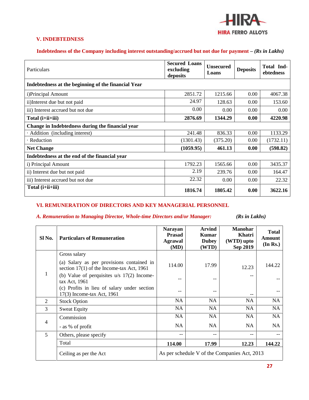

#### **V. INDEBTEDNESS**

# **Indebtedness of the Company including interest outstanding/accrued but not due for payment –** *(Rs in Lakhs)*

| Particulars                                         | <b>Secured Loans</b><br>excluding<br>deposits | <b>Unsecured</b><br>Loans | <b>Deposits</b> | Total Ind-<br>ebtedness |
|-----------------------------------------------------|-----------------------------------------------|---------------------------|-----------------|-------------------------|
| Indebtedness at the beginning of the financial Year |                                               |                           |                 |                         |
| i)Principal Amount                                  | 2851.72                                       | 1215.66                   | 0.00            | 4067.38                 |
| ii)Interest due but not paid                        | 24.97                                         | 128.63                    | 0.00            | 153.60                  |
| iii) Interest accrued but not due                   | 0.00                                          | 0.00                      | 0.00            | 0.00                    |
| Total (i+ii+iii)                                    | 2876.69                                       | 1344.29                   | 0.00            | 4220.98                 |
| Change in Indebtedness during the financial year    |                                               |                           |                 |                         |
| · Addition (including interest)                     | 241.48                                        | 836.33                    | 0.00            | 1133.29                 |
| · Reduction                                         | (1301.43)                                     | (375.20)                  | 0.00            | (1732.11)               |
| <b>Net Change</b>                                   | (1059.95)                                     | 461.13                    | 0.00            | (598.82)                |
| Indebtedness at the end of the financial year       |                                               |                           |                 |                         |
| i) Principal Amount                                 | 1792.23                                       | 1565.66                   | 0.00            | 3435.37                 |
| ii) Interest due but not paid                       | 2.19                                          | 239.76                    | 0.00            | 164.47                  |
| iii) Interest accrued but not due                   | 22.32                                         | 0.00                      | 0.00            | 22.32                   |
| Total $(i+iii+iii)$                                 | 1816.74                                       | 1805.42                   | 0.00            | 3622.16                 |

### **VI. REMUNERATION OF DIRECTORS AND KEY MANAGERIAL PERSONNEL**

*A. Remuneration to Managing Director, Whole-time Directors and/or Manager: (Rs in Lakhs)*

| Sl No. | <b>Particulars of Remuneration</b>                                                       | <b>Narayan</b><br><b>Prasad</b><br><b>Agrawal</b><br>(MD) | <b>Arvind</b><br>Kumar<br><b>Dubey</b><br>(WTD) | <b>Manohar</b><br>Khatri<br>(WTD) upto<br>Sep 2019 | <b>Total</b><br>Amount<br>(In Rs.) |
|--------|------------------------------------------------------------------------------------------|-----------------------------------------------------------|-------------------------------------------------|----------------------------------------------------|------------------------------------|
|        | Gross salary                                                                             |                                                           |                                                 |                                                    |                                    |
|        | (a) Salary as per provisions contained in<br>section $17(1)$ of the Income-tax Act, 1961 | 114.00                                                    | 17.99                                           | 12.23                                              | 144.22                             |
| 1      | (b) Value of perquisites $u/s$ 17(2) Income-<br>tax Act, 1961                            | $-$                                                       |                                                 | --                                                 | $-$                                |
|        | (c) Profits in lieu of salary under section<br>17(3) Income-tax Act, 1961                | $- -$                                                     |                                                 | $- -$                                              | $- -$                              |
| 2      | <b>Stock Option</b>                                                                      | NA                                                        | <b>NA</b>                                       | <b>NA</b>                                          | <b>NA</b>                          |
| 3      | <b>Sweat Equity</b>                                                                      | NA                                                        | <b>NA</b>                                       | NA                                                 | <b>NA</b>                          |
|        | Commission                                                                               | NA                                                        | <b>NA</b>                                       | <b>NA</b>                                          | NA                                 |
| 4      | - as % of profit                                                                         | NA                                                        | <b>NA</b>                                       | <b>NA</b>                                          | <b>NA</b>                          |
| 5      | Others, please specify                                                                   | $- -$                                                     | --                                              | $- -$                                              | $- -$                              |
|        | Total                                                                                    | 114.00                                                    | 17.99                                           | 12.23                                              | 144.22                             |
|        | Ceiling as per the Act                                                                   |                                                           |                                                 | As per schedule V of the Companies Act, 2013       |                                    |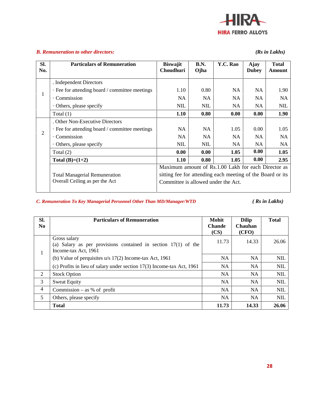

#### *B. Remuneration to other directors: (Rs in Lakhs)*

| Sl.<br>No. | <b>Particulars of Remuneration</b>             | <b>Biswajit</b><br><b>Choudhuri</b>                        | B.N.<br>Ojha | Y.C. Rao  | <b>A</b> jay<br><b>Dubey</b> | <b>Total</b><br>Amount |
|------------|------------------------------------------------|------------------------------------------------------------|--------------|-----------|------------------------------|------------------------|
|            | . Independent Directors                        |                                                            |              |           |                              |                        |
|            | · Fee for attending board / committee meetings | 1.10                                                       | 0.80         | <b>NA</b> | NA                           | 1.90                   |
| $\pm$      | · Commission                                   | <b>NA</b>                                                  | <b>NA</b>    | <b>NA</b> | NA.                          | NA.                    |
|            | Others, please specify                         | <b>NIL</b>                                                 | <b>NIL</b>   | NA.       | NA.                          | <b>NIL</b>             |
|            | Total $(1)$                                    | 1.10                                                       | 0.80         | 0.00      | 0.00                         | 1.90                   |
|            | . Other Non-Executive Directors                |                                                            |              |           |                              |                        |
| 2          | · Fee for attending board / committee meetings | <b>NA</b>                                                  | <b>NA</b>    | 1.05      | 0.00                         | 1.05                   |
|            | Commission                                     | <b>NA</b>                                                  | <b>NA</b>    | <b>NA</b> | <b>NA</b>                    | <b>NA</b>              |
|            | Others, please specify                         | <b>NIL</b>                                                 | <b>NIL</b>   | <b>NA</b> | <b>NA</b>                    | <b>NA</b>              |
|            | Total $(2)$                                    | 0.00                                                       | 0.00         | 1.05      | 0.00                         | 1.05                   |
|            | Total $(B)=(1+2)$                              | 1.10                                                       | 0.80         | 1.05      | 0.00                         | 2.95                   |
|            |                                                | Maximum amount of Rs.1.00 Lakh for each Director as        |              |           |                              |                        |
|            | <b>Total Managerial Remuneration</b>           | sitting fee for attending each meeting of the Board or its |              |           |                              |                        |
|            | Overall Ceiling as per the Act                 | Committee is allowed under the Act.                        |              |           |                              |                        |
|            |                                                |                                                            |              |           |                              |                        |

*C. Remuneration To Key Managerial Personnel Other Than MD/Manager/WTD ( Rs in Lakhs)*

| SI.<br>N <sub>0</sub> | <b>Particulars of Remuneration</b>                                                                       | Mohit<br><b>Chande</b><br>(CS) | <b>Dilip</b><br><b>Chauhan</b><br>(CFO) | <b>Total</b> |
|-----------------------|----------------------------------------------------------------------------------------------------------|--------------------------------|-----------------------------------------|--------------|
|                       | Gross salary<br>(a) Salary as per provisions contained in section $17(1)$ of the<br>Income-tax Act, 1961 | 11.73                          | 14.33                                   | 26.06        |
|                       | (b) Value of perquisites $u/s$ 17(2) Income-tax Act, 1961                                                | NA                             | <b>NA</b>                               | <b>NIL</b>   |
|                       | (c) Profits in lieu of salary under section $17(3)$ Income-tax Act, 1961                                 | NA                             | <b>NA</b>                               | <b>NIL</b>   |
| 2                     | <b>Stock Option</b>                                                                                      | <b>NA</b>                      | <b>NA</b>                               | <b>NIL</b>   |
| 3                     | <b>Sweat Equity</b>                                                                                      | NA                             | <b>NA</b>                               | <b>NIL</b>   |
| 4                     | Commission – as % of profit                                                                              | <b>NA</b>                      | <b>NA</b>                               | <b>NIL</b>   |
| 5                     | Others, please specify                                                                                   | NA                             | <b>NA</b>                               | <b>NIL</b>   |
|                       | <b>Total</b>                                                                                             | 11.73                          | 14.33                                   | 26.06        |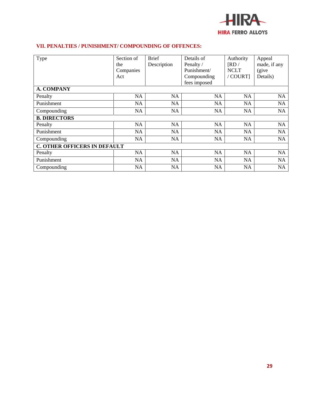

#### **VII. PENALTIES / PUNISHMENT/ COMPOUNDING OF OFFENCES:**

| Type                         | Section of<br>the<br>Companies<br>Act | <b>Brief</b><br>Description | Details of<br>Penalty /<br>Punishment/<br>Compounding | Authority<br>(RD)<br><b>NCLT</b><br>/ COURT] | Appeal<br>made, if any<br>(give)<br>Details) |
|------------------------------|---------------------------------------|-----------------------------|-------------------------------------------------------|----------------------------------------------|----------------------------------------------|
|                              |                                       |                             | fees imposed                                          |                                              |                                              |
| A. COMPANY                   |                                       |                             |                                                       |                                              |                                              |
| Penalty                      | <b>NA</b>                             | <b>NA</b>                   | NA                                                    | <b>NA</b>                                    | <b>NA</b>                                    |
| Punishment                   | <b>NA</b>                             | <b>NA</b>                   | NA                                                    | NA                                           | NA                                           |
| Compounding                  | NA                                    | NA                          | NA                                                    | NA                                           | NA                                           |
| <b>B. DIRECTORS</b>          |                                       |                             |                                                       |                                              |                                              |
| Penalty                      | <b>NA</b>                             | <b>NA</b>                   | NA.                                                   | <b>NA</b>                                    | <b>NA</b>                                    |
| Punishment                   | <b>NA</b>                             | <b>NA</b>                   | NA                                                    | <b>NA</b>                                    | NA                                           |
| Compounding                  | <b>NA</b>                             | <b>NA</b>                   | NA                                                    | <b>NA</b>                                    | NA                                           |
| C. OTHER OFFICERS IN DEFAULT |                                       |                             |                                                       |                                              |                                              |
| Penalty                      | <b>NA</b>                             | <b>NA</b>                   | NA.                                                   | <b>NA</b>                                    | NA                                           |
| Punishment                   | <b>NA</b>                             | <b>NA</b>                   | <b>NA</b>                                             | <b>NA</b>                                    | NA                                           |
| Compounding                  | NA                                    | <b>NA</b>                   | NA                                                    | <b>NA</b>                                    | <b>NA</b>                                    |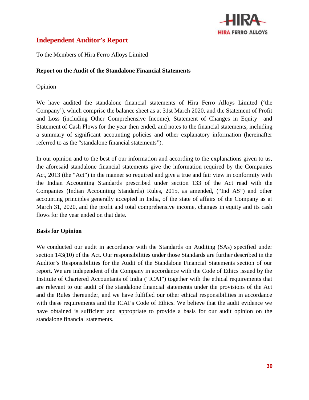

# **Independent Auditor's Report**

To the Members of Hira Ferro Alloys Limited

### **Report on the Audit of the Standalone Financial Statements**

### Opinion

We have audited the standalone financial statements of Hira Ferro Alloys Limited ('the Company'), which comprise the balance sheet as at 31st March 2020, and the Statement of Profit and Loss (including Other Comprehensive Income), Statement of Changes in Equity and Statement of Cash Flows for the year then ended, and notes to the financial statements, including a summary of significant accounting policies and other explanatory information (hereinafter referred to as the "standalone financial statements").

In our opinion and to the best of our information and according to the explanations given to us, the aforesaid standalone financial statements give the information required by the Companies Act, 2013 (the "Act") in the manner so required and give a true and fair view in conformity with the Indian Accounting Standards prescribed under section 133 of the Act read with the Companies (Indian Accounting Standards) Rules, 2015, as amended, ("Ind AS") and other accounting principles generally accepted in India, of the state of affairs of the Company as at March 31, 2020, and the profit and total comprehensive income, changes in equity and its cash flows for the year ended on that date.

#### **Basis for Opinion**

We conducted our audit in accordance with the Standards on Auditing (SAs) specified under section 143(10) of the Act. Our responsibilities under those Standards are further described in the Auditor's Responsibilities for the Audit of the Standalone Financial Statements section of our report. We are independent of the Company in accordance with the Code of Ethics issued by the Institute of Chartered Accountants of India ("ICAI") together with the ethical requirements that are relevant to our audit of the standalone financial statements under the provisions of the Act and the Rules thereunder, and we have fulfilled our other ethical responsibilities in accordance with these requirements and the ICAI's Code of Ethics. We believe that the audit evidence we have obtained is sufficient and appropriate to provide a basis for our audit opinion on the standalone financial statements.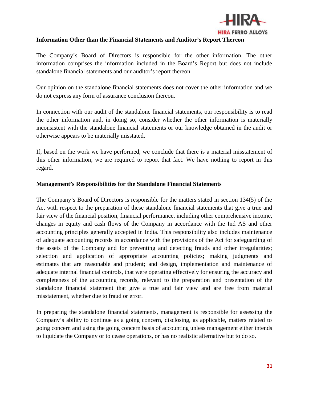

### **Information Other than the Financial Statements and Auditor's Report Thereon**

The Company's Board of Directors is responsible for the other information. The other information comprises the information included in the Board's Report but does not include standalone financial statements and our auditor's report thereon.

Our opinion on the standalone financial statements does not cover the other information and we do not express any form of assurance conclusion thereon.

In connection with our audit of the standalone financial statements, our responsibility is to read the other information and, in doing so, consider whether the other information is materially inconsistent with the standalone financial statements or our knowledge obtained in the audit or otherwise appears to be materially misstated.

If, based on the work we have performed, we conclude that there is a material misstatement of this other information, we are required to report that fact. We have nothing to report in this regard.

### **Management's Responsibilities for the Standalone Financial Statements**

The Company's Board of Directors is responsible for the matters stated in section 134(5) of the Act with respect to the preparation of these standalone financial statements that give a true and fair view of the financial position, financial performance, including other comprehensive income, changes in equity and cash flows of the Company in accordance with the Ind AS and other accounting principles generally accepted in India. This responsibility also includes maintenance of adequate accounting records in accordance with the provisions of the Act for safeguarding of the assets of the Company and for preventing and detecting frauds and other irregularities; selection and application of appropriate accounting policies; making judgments and estimates that are reasonable and prudent; and design, implementation and maintenance of adequate internal financial controls, that were operating effectively for ensuring the accuracy and completeness of the accounting records, relevant to the preparation and presentation of the standalone financial statement that give a true and fair view and are free from material misstatement, whether due to fraud or error.

In preparing the standalone financial statements, management is responsible for assessing the Company's ability to continue as a going concern, disclosing, as applicable, matters related to going concern and using the going concern basis of accounting unless management either intends to liquidate the Company or to cease operations, or has no realistic alternative but to do so.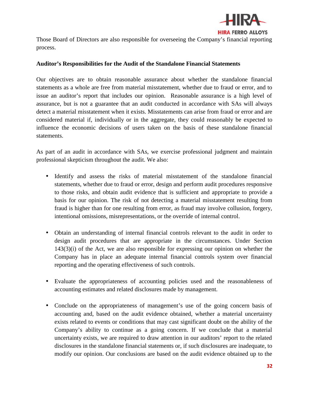

Those Board of Directors are also responsible for overseeing the Company's financial reporting process.

### **Auditor's Responsibilities for the Audit of the Standalone Financial Statements**

Our objectives are to obtain reasonable assurance about whether the standalone financial statements as a whole are free from material misstatement, whether due to fraud or error, and to issue an auditor's report that includes our opinion. Reasonable assurance is a high level of assurance, but is not a guarantee that an audit conducted in accordance with SAs will always detect a material misstatement when it exists. Misstatements can arise from fraud or error and are considered material if, individually or in the aggregate, they could reasonably be expected to influence the economic decisions of users taken on the basis of these standalone financial statements.

As part of an audit in accordance with SAs, we exercise professional judgment and maintain professional skepticism throughout the audit. We also:

- Identify and assess the risks of material misstatement of the standalone financial statements, whether due to fraud or error, design and perform audit procedures responsive to those risks, and obtain audit evidence that is sufficient and appropriate to provide a basis for our opinion. The risk of not detecting a material misstatement resulting from fraud is higher than for one resulting from error, as fraud may involve collusion, forgery, intentional omissions, misrepresentations, or the override of internal control.
- Obtain an understanding of internal financial controls relevant to the audit in order to design audit procedures that are appropriate in the circumstances. Under Section 143(3)(i) of the Act, we are also responsible for expressing our opinion on whether the Company has in place an adequate internal financial controls system over financial reporting and the operating effectiveness of such controls.
- Evaluate the appropriateness of accounting policies used and the reasonableness of accounting estimates and related disclosures made by management.
- Conclude on the appropriateness of management's use of the going concern basis of accounting and, based on the audit evidence obtained, whether a material uncertainty exists related to events or conditions that may cast significant doubt on the ability of the Company's ability to continue as a going concern. If we conclude that a material uncertainty exists, we are required to draw attention in our auditors' report to the related disclosures in the standalone financial statements or, if such disclosures are inadequate, to modify our opinion. Our conclusions are based on the audit evidence obtained up to the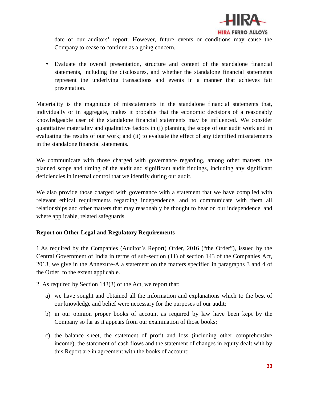

date of our auditors' report. However, future events or conditions may cause the Company to cease to continue as a going concern.

 Evaluate the overall presentation, structure and content of the standalone financial statements, including the disclosures, and whether the standalone financial statements represent the underlying transactions and events in a manner that achieves fair presentation.

Materiality is the magnitude of misstatements in the standalone financial statements that, individually or in aggregate, makes it probable that the economic decisions of a reasonably knowledgeable user of the standalone financial statements may be influenced. We consider quantitative materiality and qualitative factors in (i) planning the scope of our audit work and in evaluating the results of our work; and (ii) to evaluate the effect of any identified misstatements in the standalone financial statements.

We communicate with those charged with governance regarding, among other matters, the planned scope and timing of the audit and significant audit findings, including any significant deficiencies in internal control that we identify during our audit.

We also provide those charged with governance with a statement that we have complied with relevant ethical requirements regarding independence, and to communicate with them all relationships and other matters that may reasonably be thought to bear on our independence, and where applicable, related safeguards.

# **Report on Other Legal and Regulatory Requirements**

1.As required by the Companies (Auditor's Report) Order, 2016 ("the Order"), issued by the Central Government of India in terms of sub-section (11) of section 143 of the Companies Act, 2013, we give in the Annexure-A a statement on the matters specified in paragraphs 3 and 4 of the Order, to the extent applicable.

2. As required by Section 143(3) of the Act, we report that:

- a) we have sought and obtained all the information and explanations which to the best of our knowledge and belief were necessary for the purposes of our audit;
- b) in our opinion proper books of account as required by law have been kept by the Company so far as it appears from our examination of those books;
- c) the balance sheet, the statement of profit and loss (including other comprehensive income), the statement of cash flows and the statement of changes in equity dealt with by this Report are in agreement with the books of account;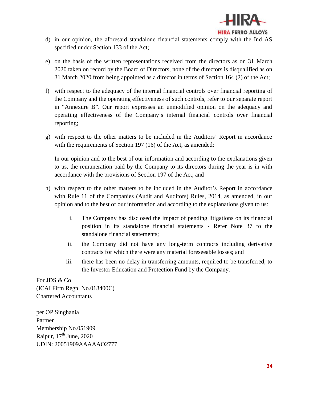

- d) in our opinion, the aforesaid standalone financial statements comply with the Ind AS specified under Section 133 of the Act;
- e) on the basis of the written representations received from the directors as on 31 March 2020 taken on record by the Board of Directors, none of the directors is disqualified as on 31 March 2020 from being appointed as a director in terms of Section 164 (2) of the Act;
- f) with respect to the adequacy of the internal financial controls over financial reporting of the Company and the operating effectiveness of such controls, refer to our separate report in "Annexure B". Our report expresses an unmodified opinion on the adequacy and operating effectiveness of the Company's internal financial controls over financial reporting;
- g) with respect to the other matters to be included in the Auditors' Report in accordance with the requirements of Section 197 (16) of the Act, as amended:

In our opinion and to the best of our information and according to the explanations given to us, the remuneration paid by the Company to its directors during the year is in with accordance with the provisions of Section 197 of the Act; and

- h) with respect to the other matters to be included in the Auditor's Report in accordance with Rule 11 of the Companies (Audit and Auditors) Rules, 2014, as amended, in our opinion and to the best of our information and according to the explanations given to us:
	- i. The Company has disclosed the impact of pending litigations on its financial position in its standalone financial statements - Refer Note 37 to the standalone financial statements;
	- ii. the Company did not have any long-term contracts including derivative contracts for which there were any material foreseeable losses; and
	- iii. there has been no delay in transferring amounts, required to be transferred, to the Investor Education and Protection Fund by the Company.

For JDS & Co (ICAI Firm Regn. No.018400C) Chartered Accountants

per OP Singhania Partner Membership No.051909 Raipur, 17<sup>th</sup> June, 2020 UDIN: 20051909AAAAAO2777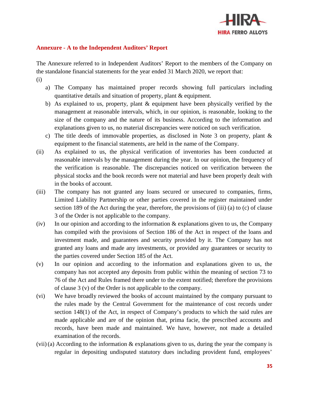

# **Annexure - A to the Independent Auditors' Report**

The Annexure referred to in Independent Auditors' Report to the members of the Company on the standalone financial statements for the year ended 31 March 2020, we report that:

- (i)
- a) The Company has maintained proper records showing full particulars including quantitative details and situation of property, plant & equipment.
- b) As explained to us, property, plant & equipment have been physically verified by the management at reasonable intervals, which, in our opinion, is reasonable, looking to the size of the company and the nature of its business. According to the information and explanations given to us, no material discrepancies were noticed on such verification.
- c) The title deeds of immovable properties, as disclosed in Note 3 on property, plant & equipment to the financial statements, are held in the name of the Company.
- (ii) As explained to us, the physical verification of inventories has been conducted at reasonable intervals by the management during the year. In our opinion, the frequency of the verification is reasonable. The discrepancies noticed on verification between the physical stocks and the book records were not material and have been properly dealt with in the books of account.
- (iii) The company has not granted any loans secured or unsecured to companies, firms, Limited Liability Partnership or other parties covered in the register maintained under section 189 of the Act during the year, therefore, the provisions of (iii) (a) to (c) of clause 3 of the Order is not applicable to the company.
- (iv) In our opinion and according to the information  $\&$  explanations given to us, the Company has compiled with the provisions of Section 186 of the Act in respect of the loans and investment made, and guarantees and security provided by it. The Company has not granted any loans and made any investments, or provided any guarantees or security to the parties covered under Section 185 of the Act.
- (v) In our opinion and according to the information and explanations given to us, the company has not accepted any deposits from public within the meaning of section 73 to 76 of the Act and Rules framed there under to the extent notified; therefore the provisions of clause 3 (v) of the Order is not applicable to the company.
- (vi) We have broadly reviewed the books of account maintained by the company pursuant to the rules made by the Central Government for the maintenance of cost records under section 148(1) of the Act, in respect of Company's products to which the said rules are made applicable and are of the opinion that, prima facie, the prescribed accounts and records, have been made and maintained. We have, however, not made a detailed examination of the records.
- $(vii)$  (a) According to the information  $\&$  explanations given to us, during the year the company is regular in depositing undisputed statutory dues including provident fund, employees'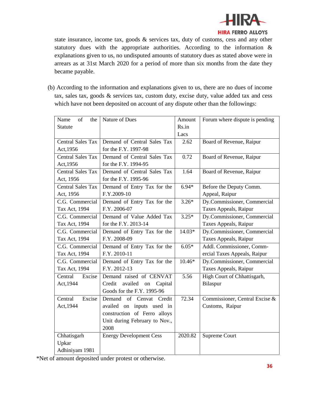

state insurance, income tax, goods & services tax, duty of customs, cess and any other statutory dues with the appropriate authorities. According to the information & explanations given to us, no undisputed amounts of statutory dues as stated above were in arrears as at 31st March 2020 for a period of more than six months from the date they became payable.

(b) According to the information and explanations given to us, there are no dues of income tax, sales tax, goods & services tax, custom duty, excise duty, value added tax and cess which have not been deposited on account of any dispute other than the followings:

| Name<br>of<br>the        | Nature of Dues                 | Amount   | Forum where dispute is pending |
|--------------------------|--------------------------------|----------|--------------------------------|
| Statute                  |                                | Rs.in    |                                |
|                          |                                | Lacs     |                                |
| <b>Central Sales Tax</b> | Demand of Central Sales Tax    | 2.62     | Board of Revenue, Raipur       |
| Act, 1956                | for the F.Y. 1997-98           |          |                                |
| <b>Central Sales Tax</b> | Demand of Central Sales Tax    | 0.72     | Board of Revenue, Raipur       |
| Act, 1956                | for the F.Y. 1994-95           |          |                                |
| <b>Central Sales Tax</b> | Demand of Central Sales Tax    | 1.64     | Board of Revenue, Raipur       |
| Act, 1956                | for the F.Y. 1995-96           |          |                                |
| <b>Central Sales Tax</b> | Demand of Entry Tax for the    | $6.94*$  | Before the Deputy Comm.        |
| Act, 1956                | F.Y.2009-10                    |          | Appeal, Raipur                 |
| C.G. Commercial          | Demand of Entry Tax for the    | $3.26*$  | Dy.Commissioner, Commercial    |
| Tax Act, 1994            | F.Y. 2006-07                   |          | Taxes Appeals, Raipur          |
| C.G. Commercial          | Demand of Value Added Tax      | $3.25*$  | Dy.Commissioner, Commercial    |
| Tax Act, 1994            | for the F.Y. 2013-14           |          | Taxes Appeals, Raipur          |
| C.G. Commercial          | Demand of Entry Tax for the    | 14.03*   | Dy.Commissioner, Commercial    |
| Tax Act, 1994            | F.Y. 2008-09                   |          | Taxes Appeals, Raipur          |
| C.G. Commercial          | Demand of Entry Tax for the    | $6.05*$  | Addl. Commissioner, Comm-      |
| Tax Act, 1994            | F.Y. 2010-11                   |          | ercial Taxes Appeals, Raipur   |
| C.G. Commercial          | Demand of Entry Tax for the    | $10.46*$ | Dy.Commissioner, Commercial    |
| Tax Act, 1994            | F.Y. 2012-13                   |          | Taxes Appeals, Raipur          |
| Central<br>Excise        | Demand raised of CENVAT        | 5.56     | High Court of Chhattisgarh,    |
| Act, 1944                | Credit availed on Capital      |          | Bilaspur                       |
|                          | Goods for the F.Y. 1995-96     |          |                                |
| Central<br>Excise        | Demand of Cenvat Credit        | 72.34    | Commissioner, Central Excise & |
| Act, 1944                | availed on inputs used in      |          | Customs, Raipur                |
|                          | construction of Ferro alloys   |          |                                |
|                          | Unit during February to Nov.,  |          |                                |
|                          | 2008                           |          |                                |
| Chhatisgarh              | <b>Energy Development Cess</b> | 2020.82  | Supreme Court                  |
| Upkar                    |                                |          |                                |
| Adhiniyam 1981           |                                |          |                                |

\*Net of amount deposited under protest or otherwise.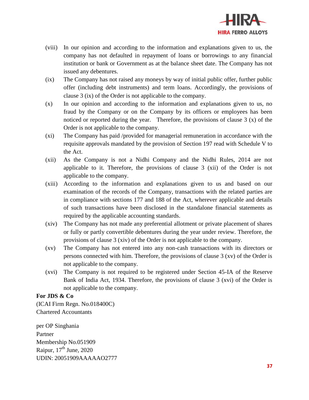

- (viii) In our opinion and according to the information and explanations given to us, the company has not defaulted in repayment of loans or borrowings to any financial institution or bank or Government as at the balance sheet date. The Company has not issued any debentures.
- (ix) The Company has not raised any moneys by way of initial public offer, further public offer (including debt instruments) and term loans. Accordingly, the provisions of clause 3 (ix) of the Order is not applicable to the company.
- (x) In our opinion and according to the information and explanations given to us, no fraud by the Company or on the Company by its officers or employees has been noticed or reported during the year. Therefore, the provisions of clause  $3(x)$  of the Order is not applicable to the company.
- (xi) The Company has paid /provided for managerial remuneration in accordance with the requisite approvals mandated by the provision of Section 197 read with Schedule V to the Act.
- (xii) As the Company is not a Nidhi Company and the Nidhi Rules, 2014 are not applicable to it. Therefore, the provisions of clause 3 (xii) of the Order is not applicable to the company.
- (xiii) According to the information and explanations given to us and based on our examination of the records of the Company, transactions with the related parties are in compliance with sections 177 and 188 of the Act, wherever applicable and details of such transactions have been disclosed in the standalone financial statements as required by the applicable accounting standards.
- (xiv) The Company has not made any preferential allotment or private placement of shares or fully or partly convertible debentures during the year under review. Therefore, the provisions of clause 3 (xiv) of the Order is not applicable to the company.
- (xv) The Company has not entered into any non-cash transactions with its directors or persons connected with him. Therefore, the provisions of clause 3 (xv) of the Order is not applicable to the company.
- (xvi) The Company is not required to be registered under Section 45-IA of the Reserve Bank of India Act, 1934. Therefore, the provisions of clause 3 (xvi) of the Order is not applicable to the company.

# **For JDS & Co**

(ICAI Firm Regn. No.018400C) Chartered Accountants

per OP Singhania Partner Membership No.051909 Raipur, 17<sup>th</sup> June, 2020 UDIN: 20051909AAAAAO2777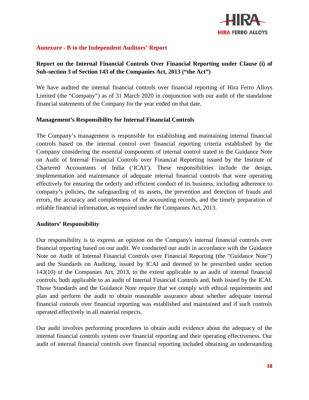

# **Annexure - B to the Independent Auditors' Report**

# **Report on the Internal Financial Controls Over Financial Reporting under Clause (i) of Sub-section 3 of Section 143 of the Companies Act, 2013 ("the Act")**

We have audited the internal financial controls over financial reporting of Hira Ferro Alloys Limited (the "Company") as of 31 March 2020 in conjunction with our audit of the standalone financial statements of the Company for the year ended on that date.

# **Management's Responsibility for Internal Financial Controls**

The Company's management is responsible for establishing and maintaining internal financial controls based on the internal control over financial reporting criteria established by the Company considering the essential components of internal control stated in the Guidance Note on Audit of Internal Financial Controls over Financial Reporting issued by the Institute of Chartered Accountants of India ('ICAI'). These responsibilities include the design, implementation and maintenance of adequate internal financial controls that were operating effectively for ensuring the orderly and efficient conduct of its business, including adherence to company's policies, the safeguarding of its assets, the prevention and detection of frauds and errors, the accuracy and completeness of the accounting records, and the timely preparation of reliable financial information, as required under the Companies Act, 2013.

# **Auditors' Responsibility**

Our responsibility is to express an opinion on the Company's internal financial controls over financial reporting based on our audit. We conducted our audit in accordance with the Guidance Note on Audit of Internal Financial Controls over Financial Reporting (the "Guidance Note") and the Standards on Auditing, issued by ICAI and deemed to be prescribed under section 143(10) of the Companies Act, 2013, to the extent applicable to an audit of internal financial controls, both applicable to an audit of Internal Financial Controls and, both issued by the ICAI. Those Standards and the Guidance Note require that we comply with ethical requirements and plan and perform the audit to obtain reasonable assurance about whether adequate internal financial controls over financial reporting was established and maintained and if such controls operated effectively in all material respects.

Our audit involves performing procedures to obtain audit evidence about the adequacy of the internal financial controls system over financial reporting and their operating effectiveness. Our audit of internal financial controls over financial reporting included obtaining an understanding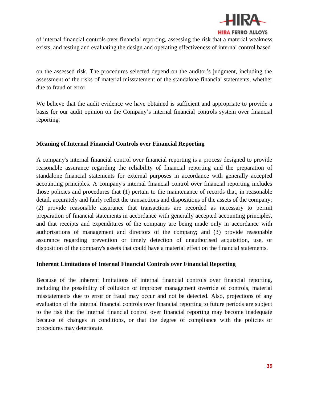

of internal financial controls over financial reporting, assessing the risk that a material weakness exists, and testing and evaluating the design and operating effectiveness of internal control based

on the assessed risk. The procedures selected depend on the auditor's judgment, including the assessment of the risks of material misstatement of the standalone financial statements, whether due to fraud or error.

We believe that the audit evidence we have obtained is sufficient and appropriate to provide a basis for our audit opinion on the Company's internal financial controls system over financial reporting.

# **Meaning of Internal Financial Controls over Financial Reporting**

A company's internal financial control over financial reporting is a process designed to provide reasonable assurance regarding the reliability of financial reporting and the preparation of standalone financial statements for external purposes in accordance with generally accepted accounting principles. A company's internal financial control over financial reporting includes those policies and procedures that (1) pertain to the maintenance of records that, in reasonable detail, accurately and fairly reflect the transactions and dispositions of the assets of the company; (2) provide reasonable assurance that transactions are recorded as necessary to permit preparation of financial statements in accordance with generally accepted accounting principles, and that receipts and expenditures of the company are being made only in accordance with authorisations of management and directors of the company; and (3) provide reasonable assurance regarding prevention or timely detection of unauthorised acquisition, use, or disposition of the company's assets that could have a material effect on the financial statements.

# **Inherent Limitations of Internal Financial Controls over Financial Reporting**

Because of the inherent limitations of internal financial controls over financial reporting, including the possibility of collusion or improper management override of controls, material misstatements due to error or fraud may occur and not be detected. Also, projections of any evaluation of the internal financial controls over financial reporting to future periods are subject to the risk that the internal financial control over financial reporting may become inadequate because of changes in conditions, or that the degree of compliance with the policies or procedures may deteriorate.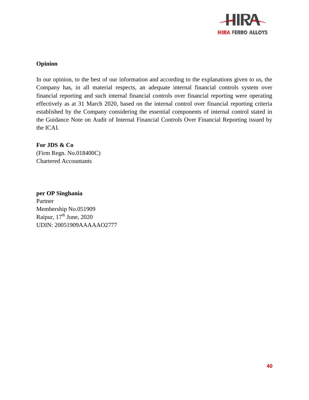

# **Opinion**

In our opinion, to the best of our information and according to the explanations given to us, the Company has, in all material respects, an adequate internal financial controls system over financial reporting and such internal financial controls over financial reporting were operating effectively as at 31 March 2020, based on the internal control over financial reporting criteria established by the Company considering the essential components of internal control stated in the Guidance Note on Audit of Internal Financial Controls Over Financial Reporting issued by the ICAI.

**For JDS & Co** (Firm Regn. No.018400C) Chartered Accountants

**per OP Singhania** Partner Membership No.051909 Raipur, 17<sup>th</sup> June, 2020 UDIN: 20051909AAAAAO2777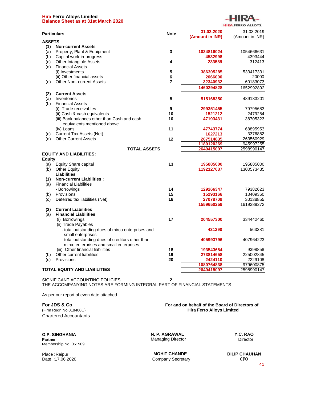### **Hira Ferro Alloys Limited Balance Sheet as at 31st March 2020**



**HIRA FERRO ALLOYS** 

| <b>Particulars</b> |                                                                             | <b>Note</b>    | 31.03.2020<br>(Amount in INR) | 31.03.2019<br>(Amount in INR) |  |
|--------------------|-----------------------------------------------------------------------------|----------------|-------------------------------|-------------------------------|--|
| <b>ASSETS</b>      |                                                                             |                |                               |                               |  |
| (1)                | <b>Non-current Assets</b>                                                   |                |                               |                               |  |
| (a)                | Property, Plant & Equipment                                                 | 3              | 1034816024                    | 1054666631                    |  |
| (b)                | Capital work-in-progress                                                    |                | 4532998                       | 4393444                       |  |
| (c)                | Other Intangible Assets                                                     | 4              | 233589                        | 312413                        |  |
| (d)                | <b>Financial Assets</b>                                                     |                |                               |                               |  |
|                    | (i) Investments                                                             | 5              | 386305285                     | 533417331                     |  |
|                    | (ii) Other financial assets                                                 | 6              | 2066000                       | 20000                         |  |
| (e)                | <b>Other Non- current Assets</b>                                            | $\overline{7}$ | 32340932                      | 60183073                      |  |
|                    |                                                                             |                | 1460294828                    | 1652992892                    |  |
| (2)                | <b>Current Assets</b>                                                       |                |                               |                               |  |
| (a)                | Inventories                                                                 | 8              | 515168350                     | 489183201                     |  |
| (b)                | <b>Financial Assets</b>                                                     |                |                               |                               |  |
|                    | (i) Trade receivables                                                       |                |                               |                               |  |
|                    |                                                                             | 9<br>10        | 299351455<br>1521212          | 79795683                      |  |
|                    | (ii) Cash & cash equivalents                                                |                |                               | 2479284                       |  |
|                    | (iii) Bank balances other than Cash and cash<br>equivalents mentioned above | 10             | 47193431                      | 38705323                      |  |
|                    | (iv) Loans                                                                  | 11             | 47743774                      | 68895953                      |  |
|                    | <b>Current Tax Assets (Net)</b>                                             |                | 1627213                       | 3376882                       |  |
| (c)<br>(d)         | <b>Other Current Assets</b>                                                 | 12             |                               |                               |  |
|                    |                                                                             |                | 267514835<br>1180120269       | 263560929<br>945997255        |  |
|                    | <b>TOTAL ASSETS</b>                                                         |                | 2640415097                    | 2598990147                    |  |
|                    | <b>EQUITY AND LIABILITIES:</b>                                              |                |                               |                               |  |
| <b>Equity</b>      |                                                                             |                |                               |                               |  |
| (a)                | Equity Share capital                                                        | 13             | 195885000                     | 195885000                     |  |
| (b)                | <b>Other Equity</b>                                                         |                | 1192127037                    | 1300573435                    |  |
|                    | <b>Liabilities</b>                                                          |                |                               |                               |  |
| (1)                | <b>Non-current Liabilities:</b>                                             |                |                               |                               |  |
| (a)                | <b>Financial Liabilities</b>                                                |                |                               |                               |  |
|                    | - Borrowings                                                                | 14             | 129266347                     | 79382623                      |  |
| (b)                | Provisions                                                                  | 15             | 15293166                      | 13409360                      |  |
| (c)                | Deferred tax liabilities (Net)                                              | 16             | 27078709                      | 30138855                      |  |
|                    |                                                                             |                | 1559650259                    | 1619389272                    |  |
| (2)                | <b>Current Liabilities</b>                                                  |                |                               |                               |  |
| (a)                | <b>Financial Liabilities</b>                                                |                |                               |                               |  |
|                    | (i) Borrowings                                                              | 17             | 204557300                     | 334442460                     |  |
|                    | (ii) Trade Payables                                                         |                |                               |                               |  |
|                    | - total outstanding dues of mirco enterprises and                           |                | 431290                        | 563381                        |  |
|                    | small enterprises                                                           |                |                               |                               |  |
|                    | - total outstanding dues of creditors other than                            |                | 405993796                     | 407964223                     |  |
|                    | mirco enterprises and small enterprises                                     |                |                               |                               |  |
|                    | (iii) Other financial liabilities                                           | 18             | 193543684                     | 9398858                       |  |
| (b)                | Other current liabilities                                                   | 19             | 273814658                     | 225002845                     |  |
| (c)                | Provisions                                                                  | 20             | 2424110                       | 2229108                       |  |
|                    |                                                                             |                | 1080764838                    | 979600875                     |  |
|                    | <b>TOTAL EQUITY AND LIABILITIES</b>                                         |                | 2640415097                    | 2598990147                    |  |
|                    |                                                                             |                |                               |                               |  |

SIGNIFICANT ACCOUNTING POLICIES **2** THE ACCOMPANYING NOTES ARE FORMING INTEGRAL PART OF FINANCIAL STATEMENTS

As per our report of even date attached

**For JDS & Co** (Firm Regn.No.018400C) Chartered Accountants

**O.P. SINGHANIA N. P. AGRAWAL Y.C. RAO Partner Managing Director Director Director Director** 

**Hira Ferro Alloys Limited**

**For and on behalf of the Board of Directors of**

Place : Raipur **CHAUHAN CHANDE**<br>
DILIP CHAUHAN Date :17.06.2020 **DILIP CHAUHAN** Company Secretary **DILIP CHAUHAN** Date :17.06.2020 Company Secretary CFO  **MOHIT CHANDE**

**41**

# Membership No. 051909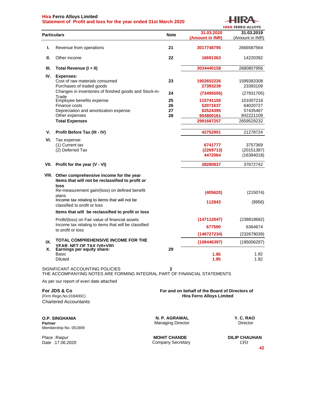### **Hira Ferro Alloys Limited Statement of Profit and loss for the year ended 31st March 2020**



|      |                                                                               |              |                 | <b>HIRA FERRO ALLOYS</b> |
|------|-------------------------------------------------------------------------------|--------------|-----------------|--------------------------|
|      | <b>Particulars</b>                                                            | <b>Note</b>  | 31.03.2020      | 31.03.2019               |
|      |                                                                               |              | (Amount in INR) | (Amount in INR)          |
| ı.   | Revenue from operations                                                       | 21           | 3017748795      | 2666587564               |
| Ш.   | Other income                                                                  | 22           | 16691363        | 14220392                 |
| III. | Total Revenue (I + II)                                                        |              | 3034440158      | 2680807956               |
| IV.  | <b>Expenses:</b><br>Cost of raw materials consumed                            | 23           | 1902652226      |                          |
|      | Purchases of traded goods                                                     |              | 27393239        | 1599383308<br>23393109   |
|      | Changes in inventories of finished goods and Stock-in-                        | 24           | (73495555)      | (27931705)               |
|      | Trade<br>Employee benefits expense                                            | 25           | 115741155       | 101007216                |
|      | Finance costs                                                                 | 26           | 52071637        | 64020727                 |
|      | Depreciation and amortization expense                                         | 27           | 62524395        | 57435467                 |
|      | Other expenses                                                                | 28           | 904800161       | 842221109                |
|      | <b>Total Expenses</b>                                                         |              | 2991687257      | 2659529232               |
| ٧.   | Profit Before Tax (III - IV)                                                  |              | 42752901        | 21278724                 |
| VI.  | Tax expense:                                                                  |              |                 |                          |
|      | (1) Current tax                                                               |              | 6741777         | 3757369                  |
|      | (2) Deferred Tax                                                              |              | (2269713)       | (20151387)               |
|      |                                                                               |              | 4472064         | (16394018)               |
|      | VII. Profit for the year (V - VI)                                             |              | 38280837        | 37672742                 |
|      | VIII. Other comprehensive income for the year                                 |              |                 |                          |
|      | Items that will not be reclassified to profit or<br>loss                      |              |                 |                          |
|      | Re-measurement gain/(loss) on defined benefit<br>plans                        |              | (405620)        | (215074)                 |
|      | Income tax relating to items that will not be<br>classified to profit or loss |              | 112843          | (9956)                   |
|      | Items that will be reclassified to profit or loss                             |              |                 |                          |
|      | Profit/(loss) on Fair value of financial assets                               |              | (147112047)     | (238818682)              |
|      | Income tax relating to items that will be classified<br>to profit or loss     |              | 677590          | 6364674                  |
|      |                                                                               |              | (146727234)     | (232679039)              |
| IX.  | <b>TOTAL COMPREHENSIVE INCOME FOR THE</b><br>YEAR. NET OF TAX (VII+VIII)      |              | (108446397)     | (195006297)              |
| х.   | Earnings per equity share:                                                    | 29           |                 |                          |
|      | Basic                                                                         |              | 1.95            | 1.92                     |
|      | <b>Diluted</b>                                                                |              | 1.95            | 1.92                     |
|      | SIGNIFICANT ACCOUNTING POLICIES                                               | $\mathbf{2}$ |                 |                          |

THE ACCOMPANYING NOTES ARE FORMING INTEGRAL PART OF FINANCIAL STATEMENTS

As per our report of even date attached

**For JDS & Co** (Firm Regn.No.018400C) Chartered Accountants

**O.P. SINGHANIA 1988 120 CO.P. SINGHANIA** 1999 120 2012 121 2012 131 2012 131 2012 131 2012 131 2012 131 2012 131 2012 131 2012 131 2012 131 2012 131 2012 131 2012 131 2012 131 2012 131 2012 131 2012 131 2012 131 2012 131 **Partner Communist Communist Communist Communist Communist Communist Communist Communist Communist Communist Communist Communist Communist Communist Communist Communist Communist Communist Communist Communist Communist Com** Membership No. 051909

**Hira Ferro Alloys Limited For and on behalf of the Board of Directors of**

Place : Raipur<br>
D**illie Chaud Ann and Company Company Secretary**<br>
Company Secretary Company Secretary CFO Date :17.06.2020 Company Secretary CFO

**42**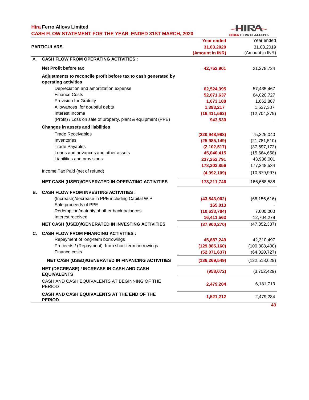# **Hira Ferro Alloys Limited**

## **CASH FLOW STATEMENT FOR THE YEAR ENDED 31ST MARCH, 2020**



|    |                                                                         | <b>Year ended</b> | Year ended      |
|----|-------------------------------------------------------------------------|-------------------|-----------------|
|    | <b>PARTICULARS</b>                                                      | 31.03.2020        | 31.03.2019      |
|    |                                                                         | (Amount in INR)   | (Amount in INR) |
| А. | <b>CASH FLOW FROM OPERATING ACTIVITIES :</b>                            |                   |                 |
|    | Net Profit before tax                                                   | 42,752,901        | 21,278,724      |
|    | Adjustments to reconcile profit before tax to cash generated by         |                   |                 |
|    | operating activities                                                    |                   |                 |
|    | Depreciation and amortization expense                                   | 62,524,395        | 57,435,467      |
|    | <b>Finance Costs</b>                                                    | 52,071,637        | 64,020,727      |
|    | <b>Provision for Gratuity</b>                                           | 1,673,188         | 1,662,887       |
|    | Allowances for doubtful debts                                           | 1,393,217         | 1,537,307       |
|    | Interest Income                                                         | (16, 411, 563)    | (12,704,279)    |
|    | (Profit) / Loss on sale of property, plant & equipment (PPE)            | 943,530           |                 |
|    | <b>Changes in assets and liabilities</b>                                |                   |                 |
|    | <b>Trade Receivables</b>                                                | (220, 948, 988)   | 75,325,040      |
|    | Inventories                                                             | (25,985,149)      | (21, 781, 510)  |
|    | <b>Trade Payables</b>                                                   | (2, 102, 517)     | (37, 697, 172)  |
|    | Loans and advances and other assets                                     | 45,040,415        | (15,664,658)    |
|    | Liabilities and provisions                                              | 237,252,791       | 43,936,001      |
|    |                                                                         | 178,203,856       | 177,348,534     |
|    | Income Tax Paid (net of refund)                                         | (4,992,109)       | (10,679,997)    |
|    | NET CASH (USED)/GENERATED IN OPERATING ACTIVITIES                       | 173,211,746       | 166,668,538     |
| В. | <b>CASH FLOW FROM INVESTING ACTIVITIES:</b>                             |                   |                 |
|    | (Increase)/decrease in PPE including Capital WIP                        | (43,843,062)      | (68, 156, 616)  |
|    | Sale proceeds of PPE                                                    | 165,013           |                 |
|    | Redemption/maturity of other bank balances                              | (10, 633, 784)    | 7,600,000       |
|    | Interest received                                                       | 16,411,563        | 12,704,279      |
|    | NET CASH (USED)/GENERATED IN INVESTING ACTIVITIES                       | (37,900,270)      | (47, 852, 337)  |
| С. | <b>CASH FLOW FROM FINANCING ACTIVITIES:</b>                             |                   |                 |
|    | Repayment of long-term borrowings                                       | 45,687,249        | 42,310,497      |
|    | Proceeds / (Repayment) from short-term borrowings                       | (129, 885, 160)   | (100, 808, 400) |
|    | Finance costs                                                           | (52,071,637)      | (64,020,727)    |
|    | <b>NET CASH (USED)/GENERATED IN FINANCING ACTIVITIES</b>                | (136, 269, 549)   | (122, 518, 629) |
|    | <b>NET (DECREASE) / INCREASE IN CASH AND CASH</b><br><b>EQUIVALENTS</b> | (958, 072)        | (3,702,429)     |
|    | CASH AND CASH EQUIVALENTS AT BEGINNING OF THE<br><b>PERIOD</b>          | 2,479,284         | 6,181,713       |
|    | CASH AND CASH EQUIVALENTS AT THE END OF THE<br><b>PERIOD</b>            | 1,521,212         | 2,479,284       |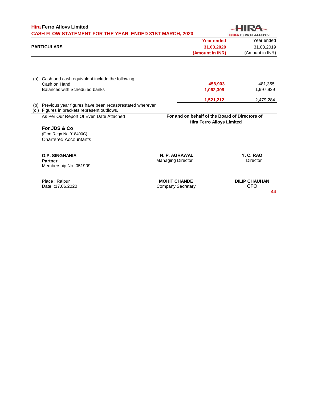| <b>Hira Ferro Alloys Limited</b><br>CASH FLOW STATEMENT FOR THE YEAR ENDED 31ST MARCH, 2020 | <b>A FERRO ALLOYS</b>                          |                      |
|---------------------------------------------------------------------------------------------|------------------------------------------------|----------------------|
|                                                                                             | <b>Year ended</b>                              | Year ended           |
| <b>PARTICULARS</b>                                                                          | 31.03.2020                                     | 31.03.2019           |
|                                                                                             | (Amount in INR)                                | (Amount in INR)      |
|                                                                                             |                                                |                      |
| (a) Cash and cash equivalent include the following:<br>Cash on Hand                         | 458,903                                        | 481,355              |
| Balances with Scheduled banks                                                               | 1,062,309                                      | 1,997,929            |
|                                                                                             |                                                |                      |
|                                                                                             | 1,521,212                                      | 2,479,284            |
| (b) Previous year figures have been recast/restated wherever                                |                                                |                      |
| (c) Figures in brackets represent outflows.                                                 |                                                |                      |
| As Per Our Report Of Even Date Attached                                                     | For and on behalf of the Board of Directors of |                      |
|                                                                                             | <b>Hira Ferro Alloys Limited</b>               |                      |
| For JDS & Co.                                                                               |                                                |                      |
| (Firm Regn.No.018400C)                                                                      |                                                |                      |
| <b>Chartered Accountants</b>                                                                |                                                |                      |
| <b>O.P. SINGHANIA</b><br><b>Partner</b>                                                     | N. P. AGRAWAL<br><b>Managing Director</b>      | Y.C.RAO<br>Director  |
| Membership No. 051909                                                                       |                                                |                      |
| Place: Raipur                                                                               | <b>MOHIT CHANDE</b>                            | <b>DILIP CHAUHAN</b> |
| Date: 17.06.2020                                                                            | <b>Company Secretary</b>                       | <b>CFO</b>           |
|                                                                                             |                                                | 44                   |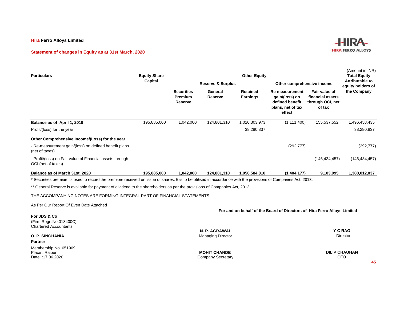### **Hira Ferro Alloys Limited**



### **Statement of changes in Equity as at 31st March, 2020**

| <b>Particulars</b>                                                              | <b>Equity Share</b> |                                                |                           | <b>Other Equity</b>         |                                                                                    |                                                                 | (Amount in INR)<br><b>Total Equity</b> |
|---------------------------------------------------------------------------------|---------------------|------------------------------------------------|---------------------------|-----------------------------|------------------------------------------------------------------------------------|-----------------------------------------------------------------|----------------------------------------|
|                                                                                 | Capital             | <b>Reserve &amp; Surplus</b>                   |                           |                             | Other comprehensive income                                                         |                                                                 | Attributable to<br>equity holders of   |
|                                                                                 |                     | <b>Securities</b><br><b>Premium</b><br>Reserve | General<br><b>Reserve</b> | Retained<br><b>Earnings</b> | Re-measurement<br>gain/(loss) on<br>defined benefit<br>plans, net of tax<br>effect | Fair value of<br>financial assets<br>through OCI, net<br>of tax | the Company                            |
| Balance as of April 1, 2019                                                     | 195,885,000         | 1,042,000                                      | 124,801,310               | 1,020,303,973               | (1,111,400)                                                                        | 155,537,552                                                     | 1,496,458,435                          |
| Profit/(loss) for the year                                                      |                     |                                                |                           | 38,280,837                  |                                                                                    |                                                                 | 38,280,837                             |
| Other Comprehensive Income/(Loss) for the year                                  |                     |                                                |                           |                             |                                                                                    |                                                                 |                                        |
| - Re-measurement gain/(loss) on defined benefit plans<br>(net of taxes)         |                     |                                                |                           |                             | (292, 777)                                                                         |                                                                 | (292, 777)                             |
| - Profit/(loss) on Fair value of Financial assets through<br>OCI (net of taxes) |                     |                                                |                           |                             |                                                                                    | (146, 434, 457)                                                 | (146, 434, 457)                        |
| Balance as of March 31st, 2020                                                  | 195,885,000         | 1,042,000                                      | 124,801,310               | 1,058,584,810               | (1,404,177)                                                                        | 9,103,095                                                       | 1,388,012,037                          |

Securities premium is used to record the premium received on issue of shares. It is to be utilised in accordance with the provisions of Companies Act, 2013.

\*\* General Reserve is available for payment of dividend to the shareholders as per the provisions of Companies Act, 2013.

### THE ACCOMPANYING NOTES ARE FORMING INTEGRAL PART OF FINANCIAL STATEMENTS

### As Per Our Report Of Even Date Attached

|                                                                        |                                                 | For and on behalf of the Board of Directors of Hira Ferro Alloys Limited |
|------------------------------------------------------------------------|-------------------------------------------------|--------------------------------------------------------------------------|
| For JDS & Co<br>(Firm Regn.No.018400C)<br><b>Chartered Accountants</b> |                                                 |                                                                          |
|                                                                        | N. P. AGRAWAL                                   | <b>Y C RAO</b>                                                           |
| <b>O. P. SINGHANIA</b>                                                 | <b>Managing Director</b>                        | <b>Director</b>                                                          |
| <b>Partner</b>                                                         |                                                 |                                                                          |
| Membership No. 051909<br>Place: Raipur<br>Date: 17.06.2020             | <b>MOHIT CHANDE</b><br><b>Company Secretary</b> | <b>DILIP CHAUHAN</b><br><b>CFO</b>                                       |
|                                                                        |                                                 | <b>A5</b>                                                                |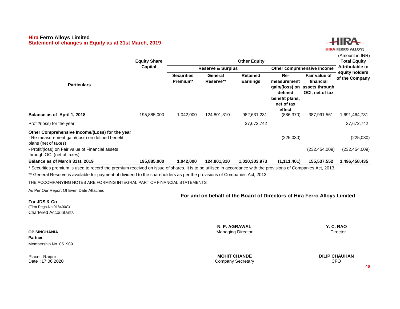### **Statement of changes in Equity as at 31st March, 2019 Hira Ferro Alloys Limited**



|                                                                                                                           | <b>Equity Share</b> |                               |                      | <b>Other Equity</b>                |                                                                         |                                                                                | (Amount in INR)<br><b>Total Equity</b> |
|---------------------------------------------------------------------------------------------------------------------------|---------------------|-------------------------------|----------------------|------------------------------------|-------------------------------------------------------------------------|--------------------------------------------------------------------------------|----------------------------------------|
|                                                                                                                           | <b>Capital</b>      | <b>Reserve &amp; Surplus</b>  |                      |                                    | Other comprehensive income                                              |                                                                                | Attributable to                        |
| <b>Particulars</b>                                                                                                        |                     | <b>Securities</b><br>Premium* | General<br>Reserve** | <b>Retained</b><br><b>Earnings</b> | Re-<br>measurement<br>defined<br>benefit plans,<br>net of tax<br>effect | Fair value of<br>financial<br>gain/(loss) on assets through<br>OCI, net of tax | equity holders<br>of the Company       |
| Balance as of April 1, 2018                                                                                               | 195,885,000         | 1,042,000                     | 124,801,310          | 982,631,231                        | (886, 370)                                                              | 387,991,561                                                                    | 1,691,464,731                          |
| Profit/(loss) for the year                                                                                                |                     |                               |                      | 37,672,742                         |                                                                         |                                                                                | 37,672,742                             |
| Other Comprehensive Income/(Loss) for the year<br>- Re-measurement gain/(loss) on defined benefit<br>plans (net of taxes) |                     |                               |                      |                                    | (225,030)                                                               |                                                                                | (225,030)                              |
| - Profit/(loss) on Fair value of Financial assets<br>through OCI (net of taxes)                                           |                     |                               |                      |                                    |                                                                         | (232, 454, 009)                                                                | (232, 454, 009)                        |
| Balance as of March 31st, 2019                                                                                            | 195,885,000         | 1,042,000                     | 124,801,310          | 1,020,303,973                      | (1, 111, 401)                                                           | 155,537,552                                                                    | 1,496,458,435                          |

THE ACCOMPANYING NOTES ARE FORMING INTEGRAL PART OF FINANCIAL STATEMENTS

As Per Our Report Of Even Date Attached

# **For and on behalf of the Board of Directors of Hira Ferro Alloys Limited**

**For JDS & Co** (Firm Regn.No.018400C) Chartered Accountants

| <b>OP SINGHANIA</b><br>Partner<br>Membership No. 051909 | N. P. AGRAWAL<br><b>Managing Director</b> | Y. C. RAO<br>Director                 |
|---------------------------------------------------------|-------------------------------------------|---------------------------------------|
| Place : Raipur<br>Date: 17.06.2020                      | <b>MOHIT CHANDE</b><br>Company Secretary  | <b>DILIP CHAUHAN</b><br>CFO<br>$\sim$ |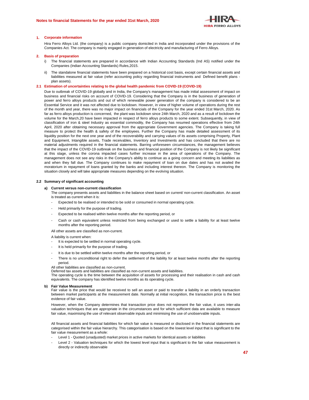

#### **1. Corporate information**

Hira Ferro Alloys Ltd. (the company) is a public company domiciled in India and incorporated under the provisions of the Companies Act. The company is mainly engaged in generation of electricity and manufacturing of Ferro Alloys.

#### **2. Basis of preparation**

- i) The financial statements are prepared in accordance with Indian Accounting Standards (Ind AS) notified under the Companies (Indian Accounting Standards) Rules,2015.
- ii) The standalone financial statements have been prepared on a historical cost basis, except certain financial assets and liabilities measured at fair value (refer accounting policy regarding financial instruments and Defined benefit plans plan assets).

#### **2.1 Estimation of uncertainties relating to the global health pandemic from COVID-19 (COVID-19)**

Due to outbreak of COVID-19 globally and in India, the Company's management has made initial assessment of impact on business and financial risks on account of COVID-19. Considering that the Company is in the business of generation of power and ferro alloys products and out of which renewable power generation of the company is considered to be an Essential Service and it was not affected due to lockdown. However, in view of higher volume of operations during the rest of the month and year, there was no major impact on financials of the Company for the year ended 31st March, 2020. As far as ferro alloys production is concerned, the plant was lockdown since 24th March, 2020 and as a result of lockdown the volume for the March,20 have been impacted in respect of ferro alloys products to some extent. Subsequently, in view of classification of iron & steel Industry as essential commodity, the Company has resumed operations effective from 24th April, 2020 after obtaining necessary approval from the appropriate Government agencies. The Company is taking full measure to protect the health & safety of the employees. Further the Company has made detailed assessment of its liquidity position for the next one year and of the recoverability and carrying values of its assets comprising Property, Plant and Equipment, Intangible assets, Trade receivables, Inventory and Investments and has concluded that there are no material adjustments required in the financial statements. Barring unforeseen circumstances, the management believes that the impact of the COVID-19 outbreak on the business and financial position of the Company is notlikely be significant at this stage, unless the corona impacted cases further increase in the area of operations of the Company. The management does not see any risks in the Company's ability to continue as a going concern and meeting its liabilities as and when they fall due. The Company continues to make repayment of loan on due dates and has not availed the moratorium in repayment of loans granted by the banks and including interest thereon. The Company is monitoring the situation closely and will take appropriate measures depending on the evolving situation.

#### **2.2 Summary of significant accounting**

#### **a) Current versus non-current classification**

The company presents assets and liabilities in the balance sheet based on current/ non-current classification. An asset<br>is treated as current when it is:<br>- Expected to be realised or intended to be sold or consumed in norm is treated as current when it is:

- Expected to be realised or intended to be sold or consumed in normal operating cycle.
- Held primarily for the purpose of trading.
- Expected to be realised within twelve months after the reporting period, or
- Cash or cash equivalent unless restricted from being exchanged or used to settle a liability for at least twelve months after the reporting period.

All other assets are classified as non-current.

A liability is current when:

- It is expected to be settled in normal operating cycle.
- It is held primarily for the purpose of trading.
- It is due to be settled within twelve months after the reporting period, or
- There is no unconditional right to defer the settlement of the liability for at least twelve months after the reporting period.

All other liabilities are classified as non-current.

Deferred tax assets and liabilities are classified as non-current assets and liabilities.

The operating cycle is the time between the acquisition of assets for processing and their realisation in cash and cash equivalents. The company has identified twelve months as its operating cycle.

#### **b) Fair Value Measurement**

Fair value is the price thatwould be received to sell an asset or paid to transfer a liability in an orderly transaction between market participants at the measurement date. Normally at initial recognition, the transaction price is the best evidence of fair value.

However, when the Company determines that transaction price does not represent the fair value, it uses inter-alia valuation techniques that are appropriate in the circumstances and forwhich sufficient data are available to measure fair value, maximising the use of relevant observable inputs and minimising the use of unobservable inputs.

All financial assets and financial liabilities for which fair value is measured or disclosed in the financial statements are categorised within the fair value hierarchy. This categorisation is based on the lowest level input that is significant to the fair value measurement as a whole:

- Level 1 Quoted (unadjusted) market prices in active markets for identical assets or liabilities
- Level 2 Valuation techniques for which the lowest level input that is significant to the fair value measurement is directly or indirectly observable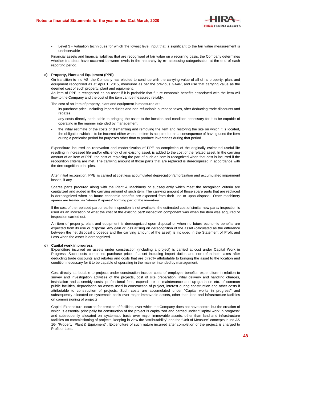

- Level 3 - Valuation techniques for which the lowest level input that is significant to the fair value measurement is unobservable

Financial assets and financial liabilities that are recognised at fair value on a recurring basis, the Company determines whether transfers have occurred between levels in the hierarchy by re- assessing categorisation at the end of each reporting period.

#### **c) Property, Plant and Equipment (PPE)**

On transition to Ind AS, the Company has elected to continue with the carrying value of all of its property, plant and equipment recognised as at April 1, 2015, measured as per the previous GAAP, and use that carrying value as the deemed cost of such property, plant and equipment.

An item of PPE is recognized as an asset if it is probable that future economic benefits associated with the item will flow to the Company and the cost of the item can be measured reliably.

The cost of an item of property, plant and equipment is measured at :

- its purchase price, including import duties and non-refundable purchase taxes, after deducting trade discounts and rebates.
- any costs directly attributable to bringing the asset to the location and condition necessary for it to be capable of operating in the manner intended by management.
- the initial estimate of the costs of dismantling and removing the item andrestoring the site on which it is located, the obligation which is to be incurred either when the item is acquired or as a consequence of having used the item during a particular period for purposes other than to produce inventories during that period.

Expenditure incurred on renovation and modernization of PPE on completion of the originally estimated useful life resulting in increased life and/or efficiency of an existing asset, is added to the cost of the related asset. In the carrying amount of an item of PPE, the cost of replacing the part of such an item is recognized when that cost is incurred if the recognition criteria are met. The carrying amount of those parts that are replaced is derecognized in accordance with the derecognition principles.

After initial recognition, PPE is carried at cost less accumulated depreciation/amortization and accumulated impairment losses, if any

Spares parts procured along with the Plant & Machinery or subsequently which meet the recognition criteria are capitalized and added in the carrying amount of such item. The carrying amount of those spare parts that are replaced is derecognized when no future economic benefits are expected from their use or upon disposal. Other machinery spares are treated as "stores & spares" forming part of the inventory. Spares parts procured along with the Plant & Machinery or subsequently which meet the recognition criteria are<br>capitalized and added in the carrying amount of such item. The carrying amount of those spare parts that are re

used as an indication of what the cost of the existing part/ inspection component was when the item was acquired or inspection carried out.

An item of property, plant and equipment is derecognized upon disposal or when no future economic benefits are expected from its use or disposal. Any gain or loss arising on derecognition of the asset (calculated as the difference between the net disposal proceeds and the carrying amount of the asset) is included in the Statement of Profit and Loss when the asset is derecognized.

#### **d) Capital work in progress**

Expenditure incurred on assets under construction (including a project) is carried at cost under Capital Work in Progress. Such costs comprises purchase price of asset including import duties and non-refundable taxes after deducting trade discounts and rebates and costs that are directly attributable to bringing the asset to the location and condition necessary for it to be capable of operating in the manner intended by management.

Cost directly attributable to projects under construction include costs of employee benefits, expenditure in relation to survey and investigation activities of the projects, cost of site preparation, initial delivery and handling charges, installation and assembly costs, professional fees, expenditure on maintenance and up-gradation etc. of common public facilities, depreciation on assets used in construction of project, interest during construction and other costs if attributable to construction of projects. Such costs are accumulated under "Capital works in progress" and subsequently allocated on systematic basis over major immovable assets, other than land and infrastructure facilities on commissioning of projects.

Capital Expenditure incurred for creation of facilities, over which the Company does nothave control but the creation of which is essential principally for construction of the project is capitalized and carried under "Capital work in progress" and subsequently allocated on systematic basis over major immovable assets, other than land and infrastructure facilities on commissioning of projects, keeping in view the "attributability" and the "Unit of Measure" concepts in Ind AS 16- "Property, Plant & Equipment" . Expenditure of such nature incurred after completion of the project, is charged to Profit or Loss.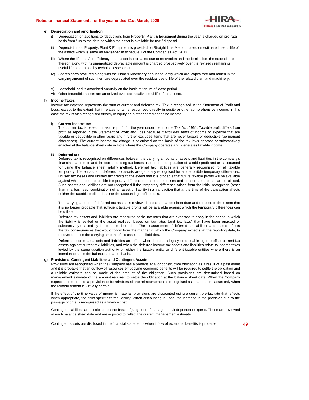

#### **e) Depreciation and amortisation**

- i) Depreciation on additions to /deductions from Property, Plant & Equipment during the year is charged on pro-rata basis from / up to the date on which the asset is available for use / disposal.
- ii) Depreciation on Property, Plant & Equipment is provided on Straight Line Method based on estimated useful life of the assets which is same as envisaged in schedule II of the Companies Act, 2013.
- iii) Where the life and / or efficiency of an asset is increased due to renovation and modernization, the expenditure thereon along with its unamortized depreciable amount is charged prospectively over the revised / remaining useful life determined by technical assessment.
- iv) Spares parts procured along with the Plant & Machinery or subsequently which are capitalized and added in the carrying amount of such item are depreciated over the residual useful life of the related plant and machinery.
- v) Leasehold land is amortised annually on the basis of tenure of lease period.
- vi) Other Intangible assets are amortized over technically useful life of the assets.

#### **f) Income Taxes**

Income tax expense represents the sum of current and deferred tax. Tax is recognised in the Statement of Profit and Loss, except to the extent that it relates to items recognised directly in equity or other comprehensive income. In this case the tax is also recognised directly in equity or in other comprehensive income.

#### i) **Current income tax**

The current tax is based on taxable profit for the year under the Income Tax Act, 1961. Taxable profit differs from profit as reported in the Statement of Profit and Loss because it excludes items of income or expense thatare taxable or deductible in other years and it further excludes items that are never taxable or deductible (permanent differences). The current income tax charge is calculated on the basis of the tax laws enacted or substantively enacted at the balance sheet date in India where the Company operates and generates taxable income.

#### ii) **Deferred tax**

Deferred tax is recognised on differences between the carrying amounts of assets and liabilities in the company's financial statements and the corresponding tax bases used in the computation of taxable profit and are accounted for using the balance sheet liability method. Deferred tax liabilities are generally recognised for all taxable temporary differences, and deferred tax assets are generally recognised for all deductible temporary differences, unused tax losses and unused tax credits to the extent that it is probable that future taxable profits will be available against which those deductible temporary differences, unused tax losses and unused tax credits can be utilised. Such assets and liabilities are not recognised if the temporary difference arises from the initial recognition (other than in a business combination) of an asset or liability in a transaction that at the time of the transaction affects neither the taxable profit or loss nor the accounting profit or loss.

The carrying amount of deferred tax assets is reviewed at each balance sheet date and reduced to the extent that it is no longer probable that sufficient taxable profits will be available against which the temporary differences can be utilised.

Deferred tax assets and liabilities are measured at the tax rates that are expected to apply in the period in which the liability is settled or the asset realised, based on tax rates (and tax laws) that have been enacted or substantively enacted by the balance sheet date. The measurement of deferred tax liabilities and assets reflects the tax consequences that would follow from the manner in which the Company expects, at the reporting date, to recover or settle the carrying amount of its assets and liabilities.

Deferred income tax assets and liabilities are offset when there is a legally enforceable right to offset current tax assets against current tax liabilities, and when the deferred income tax assets and liabilities relate to income taxes levied by the same taxation authority on either the taxable entity or different taxable entities where there is an intention to settle the balances on a net basis.

#### **g) Provisions, Contingent Liabilities and Contingent Assets**

Provisions are recognised when the Company has a present legal or constructive obligation as a result of a past event and it is probable that an outflow of resources embodying economic benefits will be required to settle the obligation and a reliable estimate can be made of the amount of the obligation. Such provisions are determined based on management estimate of the amount required to settle the obligation at the balance sheet date. When the Company expects some or all of a provision to be reimbursed, the reimbursement is recognised as a standalone asset only when the reimbursement is virtually certain.

If the effect of the time value of money is material, provisions are discounted using a current pre-tax rate that reflects when appropriate, the risks specific to the liability. When discounting is used, the increase in the provision due to the passage of time is recognised as a finance cost.

Contingent liabilities are disclosed on the basis of judgment of management/independent experts. These are reviewed at each balance sheet date and are adjusted to reflect the current management estimate.

Contingent assets are disclosed in the financial statements when inflow of economic benefits is probable.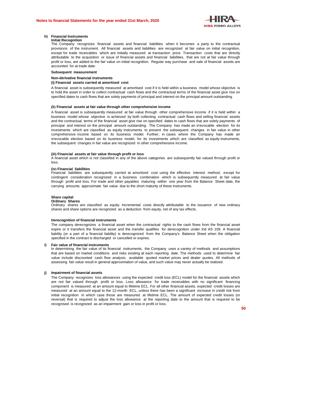

#### **h) Financial Instruments**

**Initial Recognition**

The Company recognizes financial assets and financial liabilities when it becomes a party to the contractual provisions of the instrument. All financial assets and liabilities are recognized at fair value on initial recognition, except for trade receivables which are initially measured at transaction price. Transaction costs that are directly attributable to the acquisition or issue of financial assets and financial liabilities, that are not at fair value through profit or loss, are added to the fair value on initial recognition. Regular way purchase and sale of financial assets are accounted for at trade date.

#### **Subsequent measurement**

#### **Non-derivative financial instruments**

#### **(i) Financial assets carried at amortised cost**

A financial asset is subsequently measured at amortised cost if it is held within a business model whose objective is to hold the asset in order to collect contractual cash flows and the contractual terms of the financial asset give rise on specified dates to cash flows that are solely payments of principal and interest on the principal amount outstanding.

#### **(ii) Financial assets at fair value through other comprehensive income**

A financial asset is subsequently measured at fair value through other comprehensive income if it is held within a business model whose objective is achieved by both collecting contractual cash flows and selling financial assets and the contractual terms of the financial asset give rise on specified dates to cash flows that are solely payments of principal and interest on the principal amount outstanding. The Company has made an irrevocable election for its investments which are classified as equity instruments to present the subsequent changes in fair value in other comprehensive income based on its business model. Further, in cases where the Company has made an irrevocable election based on its business model, for its investments which are classified as equity instruments, the subsequent changes in fair value are recognized in other comprehensive income.

#### **(iii) Financial assets at fair value through profit or loss**

A financial asset which is not classified in any of the above categories are subsequently fair valued through profit or loss.

#### **(iv) Financial liabilities**

Financial liabilities are subsequently carried at amortized cost using the effective interest method, except for contingent consideration recognized in a business combination which is subsequently measured at fair value through profit and loss. For trade and other payables maturing within one year from the Balance Sheet date, the carrying amounts approximate fair value due to the short maturity of these instruments.

#### **Share capital**

#### **Ordinary Shares**

Ordinary shares are classified as equity. Incremental costs directly attributable to the issuance of new ordinary shares and share options are recognized as a deduction from equity, net of any tax effects.

#### **Derecognition of financial instruments**

The company derecognizes a financial asset when the contractual rights to the cash flows from the financial asset expire or it transfers the financial asset and the transfer qualifies for derecognition under Ind AS 109. A financial liability (or a part of a financial liability) is derecognized from the Company's Balance Sheet when the obligation specified in the contract is discharged or cancelled or expires.

#### **i) Fair value of financial instruments**

In determining the fair value of its financial instruments, the Company uses a variety of methods and assumptions that are based on market conditions and risks existing at each reporting date. The methods used to determine fair value include discounted cash flow analysis, available quoted market prices and dealer quotes. All methods of assessing fair value result in general approximation of value, and such value may never actually be realized.

#### **j) Impairment of financial assets**

The Company recognizes loss allowances using the expected credit loss (ECL) model for the financial assets which are not fair valued through profit or loss. Loss allowance for trade receivables with no significant financing component is measured at an amount equal to lifetime ECL. For all other financial assets, expected credit losses are measured at an amount equal to the 12-month ECL, unless there has been a significant increase in credit risk from initial recognition in which case those are measured at lifetime ECL. The amount of expected credit losses (or reversal) that is required to adjust the loss allowance at the reporting date to the amount that is required to be recognised is recognized as an impairment gain or loss in profit or loss.

**50**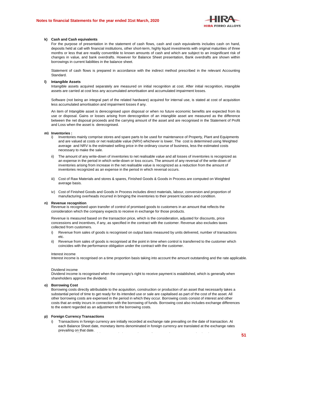

#### **k) Cash and Cash equivalents**

For the purpose of presentation in the statement of cash flows, cash and cash equivalents includes cash on hand, deposits held at call with financial institutions, other short-term, highly liquid investments with original maturities of three months or less that are readily convertible to known amounts of cash and which are subject to an insignificant risk of changes in value, and bank overdrafts. However for Balance Sheet presentation, Bank overdrafts are shown within borrowings in current liabilities in the balance sheet.

Statement of cash flows is prepared in accordance with the indirect method prescribed in the relevant Accounting Standard.

#### **l) Intangible Assets**

Intangible assets acquired separately are measured on initial recognition at cost. After initial recognition, intangible assets are carried at cost less any accumulated amortisation and accumulated impairment losses.

Software (not being an integral part of the related hardware) acquired for internal use, is stated at cost of acquisition less accumulated amortisation and impairment losses if any.

An item of Intangible asset is derecognised upon disposal or when no future economic benefits are expected from its use or disposal. Gains or losses arising from derecognition of an intangible asset are measured as the difference between the net disposal proceeds and the carrying amount of the asset and are recognised in the Statement of Profit and Loss when the asset is derecognised.

#### **m) Inventories :**

- i) Inventories mainly comprise stores and spare parts to be used for maintenance of Property, Plant and Equipments and are valued at costs or net realizable value (NRV) whichever is lower. The cost is determined using Weighted average and NRV is the estimated selling price in the ordinary course of business, less the estimated costs necessary to make the sale.
- ii) The amount of any write-down of inventories to net realisable value and all losses of inventories is recognized as an expense in the period in which write-down or loss occurs. The amount of any reversal of the write-down of inventories arising from increase in the net realisable value is recognized as a reduction from the amount of inventories recognized as an expense in the period in which reversal occurs.
- iii) Cost of Raw Materials and stores & spares, Finished Goods & Goods in Process are computed on Weighted average basis.
- iv) Cost of Finished Goods and Goods in Process includes direct materials, labour, conversion and proportion of manufacturing overheads incurred in bringing the inventories to their present location and condition.

#### **n) Revenue recognition**

Revenue is recognised upon transfer of control of promised goods to customers in an amount that reflects the consideration which the company expects to receive in exchange for those products.

Revenue is measured based on the transaction price, which is the consideration, adjusted for discounts, price concessions and incentives, if any, as specified in the contract with the customer. Revenue also excludes taxes collected from customers.

- i) Revenue from sales of goods is recognised on output basis measured by units delivered, number of transactions etc.
- ii) Revenue from sales of goods is recognised at the point in time when control is transferred to the customer which coincides with the performance obligation under the contract with the customer.

#### Interest income

Interest income is recognised on a time proportion basis taking into account the amount outstanding and the rate applicable.

#### Dividend income

Dividend income is recognised when the company's right to receive payment is established, which is generally when shareholders approve the dividend.

#### **o) Borrowing Cost**

Borrowing costs directly attributable to the acquisition, construction or production of an asset that necessarily takes a substantial period of time to get ready for its intended use or sale are capitalised as part of the cost of the asset. All other borrowing costs are expensed in the period in which they occur. Borrowing costs consist of interest and other costs that an entity incurs in connection with the borrowing of funds. Borrowing cost also includes exchange differences to the extent regarded as an adjustment to the borrowing costs.

#### **p) Foreign Currency Transactions**

i) Transactions in foreign currency are initially recorded at exchange rate prevailing on the date of transaction. At ii) **51** each Balance Sheet date, monetary items denominated in foreign currency are translated at the exchange rates prevailing on that date.  $\mathbf{E} = \mathbf{E} \mathbf{S}$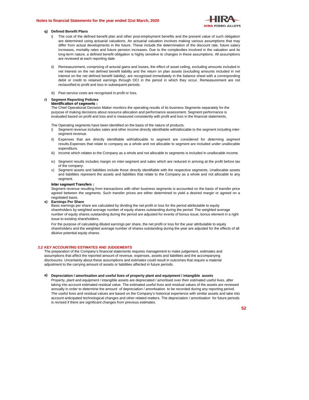#### **Notes to financial Statements for the year ended 31st March, 2020**



#### **q) Defined Benefit Plans**

- i) The cost of the defined benefit plan and other post-employment benefits and the present value of such obligation are determined using actuarial valuations. An actuarial valuation involves making various assumptions that may differ from actual developments in the future. These include the determination of the discount rate, future salary increases, mortality rates and future pension increases. Due to the complexities involved in the valuation and its long-term nature, a defined benefit obligation is highly sensitive to changes in these assumptions. All assumptions are reviewed at each reporting date.
- ii) Remeasurement, comprising of acturial gains and losses, the effect of asset ceiling, excluding amounts included in net interest on the net defined benefit liability and the return on plan assets (excluding amounts included in net interest on the net defined benefit liability), are recognised immediately in the balance sheet with a corresponding debit or credit to retained earnings through OCI in the period in which they occur. Remeasurement are not reclassified to profit and loss in subsequent periods.
- iii) Past service costs are recognised in profit or loss.

#### **r) Segment Reporting Policies**

*Identification of segments :*

The Chief Operational Decision Maker monitors the operating results of its business Segments separately for the purpose of making decisions about resource allocation and performance assessment. Segment performance is evaluated based on profit and loss and is measured consistently with profit and loss in the financial statements.

#### The Operating segments have been identified on the basis of the nature of products.

- i) Segment revenue includes sales and other income directly identifiable with/allocable to the segment including intersegment revenue.
- ii) Expenses that are directly identifiable with/allocable to segment are considered for determing segment results.Expenses that relate to company as a whole and not allocable to segment are included under unallocable expenditure.
- iii) Income which relates to the Company as a whole and not allocable to segments is included in unallocable income.
- iv) Segment results includes margin on inter-segment and sales which are reduced in arriving at the profit before tax of the company.
- v) Segment assets and liabilities include those directly identifiable with the respective segments. Unallocable assets and liabilities represent the assets and liabilities that relate to the Company as a whole and not allocable to any segment.

#### *Inter segment Transfers :*

Segment revenue resulting from transactions with other business segments is accounted on the basis of transfer price agreed between the segments. Such transfer prices are either determined to yield a desired margin or agreed on a negotiated basis.

**s) Earnings Per Share**

Basic earnings per share are calculated by dividing the net profit or loss for the period attributable to equity shareholders by weighted average number of equity shares outstanding during the period. The weighted average number of equity shares outstanding during the period are adjusted for events of bonus issue; bonus element in a right issue to existing shareholders.

For the purpose of calculating diluted earnings per share, the net profit or loss for the year attributable to equity shareholders and the weighted average number of shares outstanding during the year are adjusted for the effects of all dilutive potential equity shares.

#### **2.2 KEY ACCOUNTING ESTIMATES AND JUDGEMENTS**

The preparation of the Company's financial statements requires management to make judgement, estimates and assumptions that affect the reported amount of revenue, expenses, assets and liabilities and the accompanying disclosures. Uncertainty about these assumptions and estimates could result in outcomes that require a material adjustment to the carrying amount of assets or liabilities affected in future periods.

#### **a) Depreciation / amortisation and useful lives of property plant and equipment / intangible assets**

Property, plant and equipment / intangible assets are depreciated / amortised over their estimated useful lives, after taking into account estimated residual value. The estimated useful lives and residual values of the assets are reviewed annually in order to determine the amount of depreciation / amortisation to be recorded during any reporting period. The useful lives and residual values are based on the Company's historical experience with similar assets and take into account anticipated technological changes and other related matters. The depreciation / amortisation for future periods is revised if there are significant changes from previous estimates.

**52**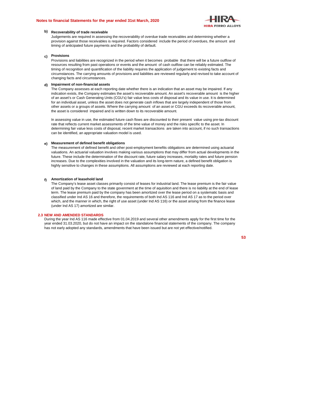

#### **b) Recoverability of trade receivable**

Judgements are required in assessing the recoverability of overdue trade receivables and determining whether a provision against those receivables is required. Factors considered include the period of overdues, the amount and timing of anticipated future payments and the probability of default.

#### **c) Provisions**

Provisions and liabilities are recognized in the period when it becomes probable that there will be a future outflow of resources resulting from past operations or events and the amount of cash outflow can be reliably estimated. The timing of recognition and quantification of the liability requires the application of judgement to existing facts and circumstances. The carrying amounts of provisions and liabilities are reviewed regularly and revised to take account of changing facts and circumstances.

#### **d) Impairment of non-financial assets**

The Company assesses at each reporting date whether there is an indication that an asset may be impaired. If any indication exists, the Company estimates the asset's recoverable amount. An asset's recoverable amount is the higher of an asset's or Cash Generating Units (CGU's) fair value less costs of disposal and its value in use. It is determined for an individual asset, unless the asset does not generate cash inflows that are largely independent of those from other assets or a groups of assets. Where the carrying amount of an asset or CGU exceeds its recoverable amount, the asset is considered impaired and is written down to its recoverable amount.

In assessing value in use, the estimated future cash flows are discounted to their present value using pre-tax discount rate that reflects current market assessments of the time value of money and the risks specific to the asset. In determining fair value less costs of disposal, recent market transactions are taken into account, if no such transactions can be identified, an appropriate valuation model is used.

#### **e) Measurement of defined benefit obligations**

The measurement of defined benefit and other post-employment benefits obligations are determined using actuarial valuations. An actuarial valuation involves making various assumptions that may differ from actual developments in the future. These include the determination of the discount rate, future salary increases, mortality rates and future pension increases. Due to the complexities involved in the valuation and its long-term nature, a defined benefit obligation is highly sensitive to changes in these assumptions. All assumptions are reviewed at each reporting date.

#### **f) Amortization of leasehold land**

The Company's lease asset classes primarily consist of leases for industrial land. The lease premium is the fair value of land paid by the Company to the state govenment at the time of aquisition and there is no liability at the end of lease term. The lease premium paid by the company has been amortized over the lease period on a systematic basis and classified under Ind AS 16 and therefore, the requirements of both Ind AS 116 and Ind AS 17 as to the period over which, and the manner in which, the right of use asset (under Ind AS 116) or the asset arising from the finance lease (under Ind AS 17) amortized are similar.

#### **2.3 NEW AND AMENDED STANDARDS**

During the year Ind AS 116 made effective from 01.04.2019 and several other amendments apply for the first time for the year ended 31.03.2020, but do not have an impact on the standalone financial statements of the company. The company has not early adopted any standards, amendments that have been issued but are not yet effective/notified.

**53**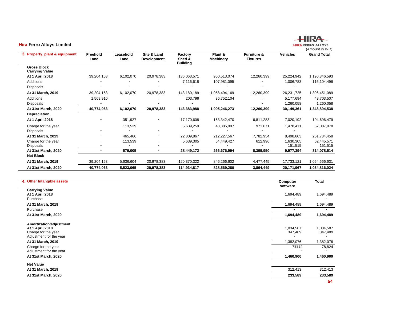### **Hira Ferro Alloys Limited**



(Amount in INR)

|                                             |                          |                   |                                   |                                      |                             |                                           |                 | (MHUUUHUHHHVHV)    |
|---------------------------------------------|--------------------------|-------------------|-----------------------------------|--------------------------------------|-----------------------------|-------------------------------------------|-----------------|--------------------|
| 3. Property, plant & equipment              | Freehold<br>Land         | Leasehold<br>Land | Site & Land<br><b>Development</b> | Factory<br>Shed &<br><b>Building</b> | Plant &<br><b>Machinery</b> | <b>Furniture &amp;</b><br><b>Fixtures</b> | <b>Vehicles</b> | <b>Grand Total</b> |
| <b>Gross Block</b><br><b>Carrying Value</b> |                          |                   |                                   |                                      |                             |                                           |                 |                    |
| At 1 April 2018                             | 39,204,153               | 6,102,070         | 20,978,383                        | 136,063,571                          | 950,513,074                 | 12,260,399                                | 25,224,942      | 1,190,346,593      |
| Additions                                   |                          |                   |                                   | 7,116,618                            | 107,981,095                 |                                           | 1,006,783       | 116,104,496        |
| Disposals                                   | -                        | ÷.                |                                   |                                      |                             |                                           |                 |                    |
| At 31 March, 2019                           | 39,204,153               | 6,102,070         | 20,978,383                        | 143,180,189                          | 1,058,494,169               | 12,260,399                                | 26,231,725      | 1,306,451,089      |
| Additions                                   | 1,569,910                |                   |                                   | 203,799                              | 36,752,104                  |                                           | 5,177,694       | 43,703,507         |
| Disposals                                   |                          |                   |                                   |                                      |                             |                                           | 260,058,        | 1,260,058          |
| At 31st March, 2020                         | 40,774,063               | 6,102,070         | 20,978,383                        | 143,383,988                          | 1,095,246,273               | 12,260,399                                | 30,149,361      | 1,348,894,538      |
| Depreciation                                |                          |                   |                                   |                                      |                             |                                           |                 |                    |
| At 1 April 2018                             | $\overline{\phantom{a}}$ | 351,927           |                                   | 17,170,608                           | 163,342,470                 | 6,811,283                                 | 7,020,192       | 194,696,479        |
| Charge for the year                         |                          | 113,539           |                                   | 5,639,259                            | 48,885,097                  | 971,671                                   | 1,478,411       | 57,087,978         |
| Disposals                                   |                          |                   |                                   |                                      |                             |                                           |                 |                    |
| At 31 March, 2019                           |                          | 465,466           |                                   | 22,809,867                           | 212,227,567                 | 7,782,954                                 | 8,498,603       | 251,784,458        |
| Charge for the year                         | -                        | 113,539           |                                   | 5,639,305                            | 54,449,427                  | 612,996                                   | 1,630,305       | 62,445,571         |
| Disposals                                   |                          |                   |                                   |                                      |                             |                                           | 151,515         | 151,515            |
| At 31st March, 2020                         | $\overline{\phantom{a}}$ | 579,005           | -                                 | 28,449,172                           | 266,676,994                 | 8,395,950                                 | 9,977,394       | 314,078,514        |
| <b>Net Block</b>                            |                          |                   |                                   |                                      |                             |                                           |                 |                    |
| At 31 March, 2019                           | 39,204,153               | 5,636,604         | 20,978,383                        | 120,370,322                          | 846,266,602                 | 4,477,445                                 | 17,733,121      | 1,054,666,631      |
| At 31st March, 2020                         | 40,774,063               | 5,523,065         | 20,978,383                        | 114,934,817                          | 828,569,280                 | 3,864,449                                 | 20,171,967      | 1,034,816,024      |

| 4. Other Intangible assets                                        | Computer<br>software              | <b>Total</b>             |
|-------------------------------------------------------------------|-----------------------------------|--------------------------|
| <b>Carrying Value</b><br>At 1 April 2018                          | 1,694,489                         | 1,694,489                |
| Purchase                                                          |                                   |                          |
| At 31 March, 2019                                                 | 1,694,489                         | 1,694,489                |
| Purchase                                                          | $-$                               | $\overline{\phantom{a}}$ |
| At 31st March, 2020                                               | 1,694,489                         | 1,694,489                |
| Amortization/adjustment                                           |                                   |                          |
| At 1 April 2018<br>Charge for the year<br>Adjustment for the year | 1,034,587<br>347,489              | 1,034,587<br>347,489     |
| At 31 March, 2019                                                 | 1,382,076                         | 1,382,076                |
| Charge for the year<br>Adjustment for the year                    | 78824<br>$\overline{\phantom{a}}$ | 78,824                   |
| At 31st March, 2020                                               | 1,460,900                         | 1,460,900                |
| <b>Net Value</b>                                                  |                                   |                          |
| At 31 March, 2019                                                 | 312,413                           | 312,413                  |
| At 31st March, 2020                                               | 233,589                           | 233,589                  |
|                                                                   |                                   | 54                       |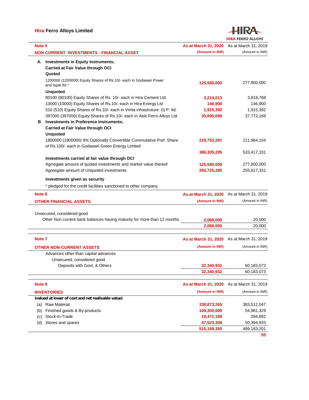# **Hira Ferro Alloys Limited**



|                   |                                                                                                                          |                                           | <b>FIIRA FERRU ALLUTS</b> |
|-------------------|--------------------------------------------------------------------------------------------------------------------------|-------------------------------------------|---------------------------|
| Note 5            |                                                                                                                          | As at March 31, 2020                      | As at March 31, 2019      |
|                   | <b>NON CURRENT INVESTMENTS - FINANCIAL ASSET</b>                                                                         | (Amount in INR)                           | (Amount in INR)           |
|                   | A. Investments in Equity Instruments;                                                                                    |                                           |                           |
|                   | <b>Carried at Fair Value through OCI</b>                                                                                 |                                           |                           |
|                   | Quoted                                                                                                                   |                                           |                           |
|                   | 1200000 (1200000) Equity Shares of Rs.10/- each in Godawari Power<br>and Ispat Itd.*                                     | 125,580,000                               | 277,800,000               |
|                   | <b>Unquoted</b>                                                                                                          |                                           |                           |
|                   | 80100 (80100) Equity Shares of Rs. 10/- each in Hira Cement Ltd.                                                         | 3,214,013                                 | 3,818,768                 |
|                   | 10000 (10000) Equity Shares of Rs.10/- each in Hira Energy Ltd                                                           | 146,900                                   | 146,900                   |
|                   | 510 (510) Equity Shares of Rs.10/- each in Vimla infrastruture (I) P. Itd.                                               | 1,915,392                                 | 1,915,392                 |
|                   | 397000 (397000) Equity Shares of Rs.10/- each in Alok Ferro Alloys Ltd                                                   | 35,695,699                                | 37,772,168                |
| в                 | <b>Investments in Preference Instruments;</b>                                                                            |                                           |                           |
|                   | <b>Carried at Fair Value through OCI</b>                                                                                 |                                           |                           |
|                   | <b>Unquoted</b>                                                                                                          |                                           |                           |
|                   | 1800000 (1800000) 9% Optionally Convertible Cummulative Pref. Share<br>of Rs.100/- each in Godawari Green Energy Limited | 219,753,281                               | 211,964,104               |
|                   |                                                                                                                          | 386,305,285                               | 533,417,331               |
|                   | Investments carried at fair value through OCI                                                                            |                                           |                           |
|                   | Agrregate amount of quoted investments and market value thereof                                                          | 125,580,000                               | 277,800,000               |
|                   | Agreegate amount of Unquoted investments                                                                                 | 260,725,285                               | 255,617,331               |
|                   | Investments given as security                                                                                            |                                           |                           |
|                   | * pledged for the credit facilities sanctioned to other company.                                                         |                                           |                           |
| Note <sub>6</sub> |                                                                                                                          | As at March 31, 2020 As at March 31, 2019 |                           |
|                   | <b>OTHER FINANCIAL ASSETS</b>                                                                                            | (Amount in INR)                           | (Amount in INR)           |
|                   |                                                                                                                          |                                           |                           |
|                   | Unsecured, considered good                                                                                               |                                           |                           |
|                   | Other Non current bank balances having maturity for more than 12 months                                                  | 2,066,000                                 | 20,000                    |
|                   |                                                                                                                          | 2,066,000                                 | 20,000                    |
|                   |                                                                                                                          |                                           |                           |
| Note 7            |                                                                                                                          | As at March 31, 2020                      | As at March 31, 2019      |
|                   | <b>OTHER NON-CURRENT ASSETS</b>                                                                                          | (Amount in INR)                           | (Amount in INR)           |
|                   | Advances other than capital advances                                                                                     |                                           |                           |
|                   | Unsecured, considered good                                                                                               |                                           |                           |
|                   | Deposits with Govt. & Others                                                                                             | 32,340,932                                | 60,183,073                |
|                   |                                                                                                                          | 32,340,932                                | 60,183,073                |
|                   |                                                                                                                          |                                           |                           |
| Note 8            |                                                                                                                          | As at March 31, 2020                      | As at March 31, 2019      |
|                   | <b>INVENTORIES</b>                                                                                                       | (Amount in INR)                           | (Amount in INR)           |
|                   | (valued at lower of cost and net realisable value)                                                                       |                                           |                           |
| (a)               | <b>Raw Material</b>                                                                                                      | 338,873,265                               | 383,512,047               |
| (b)               | Finished goods & By-products                                                                                             | 109,300,609                               | 54,981,329                |
| (c)               | Stock-in-Trade                                                                                                           | 19,471,168                                | 294,892                   |
| (d)               | Stores and spares                                                                                                        | 47,523,308                                | 50,394,933                |
|                   |                                                                                                                          | 515,168,350                               | 489,183,201               |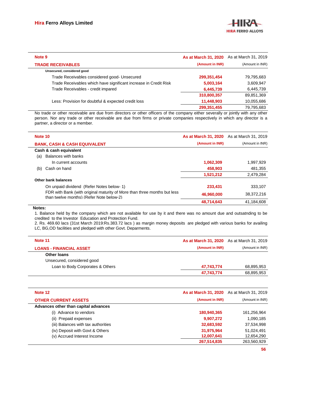

| Note 9                                                           | <b>As at March 31, 2020</b> As at March 31, 2019 |                 |
|------------------------------------------------------------------|--------------------------------------------------|-----------------|
| <b>TRADE RECEIVABLES</b>                                         | (Amount in INR)                                  | (Amount in INR) |
| Unsecured, considered good                                       |                                                  |                 |
| Trade Receivables considered good- Unsecured                     | 299,351,454                                      | 79,795,683      |
| Trade Receivables which have significant increase in Credit Risk | 5,003,164                                        | 3,609,947       |
| Trade Receivables - credit impared                               | 6,445,739                                        | 6.445,739       |
|                                                                  | 310,800,357                                      | 89,851,369      |
| Less: Provision for doubtful & expected credit loss              | 11,448,903                                       | 10,055,686      |
|                                                                  | 299,351,455                                      | 79,795,683      |

No trade or other receivable are due from directors orother officers of the company either severally orjointly with any other person. Nor any trade or other receivable are due from firms or private companies respectively in which any director is a partner, a director or a member.

| Note 10                                                                                                              | <b>As at March 31, 2020</b> As at March 31, 2019 |                 |
|----------------------------------------------------------------------------------------------------------------------|--------------------------------------------------|-----------------|
| <b>BANK, CASH &amp; CASH EQUIVALENT</b>                                                                              | (Amount in INR)                                  | (Amount in INR) |
| Cash & cash equivalent                                                                                               |                                                  |                 |
| Balances with banks<br>(a)                                                                                           |                                                  |                 |
| In current accounts                                                                                                  | 1,062,309                                        | 1,997,929       |
| Cash on hand<br>(b)                                                                                                  | 458,903                                          | 481,355         |
|                                                                                                                      | 1,521,212                                        | 2,479,284       |
| Other bank balances                                                                                                  |                                                  |                 |
| On unpaid dividend (Refer Notes below- 1)                                                                            | 233.431                                          | 333.107         |
| FDR with Bank (with original maturity of More than three months but less<br>than twelve months) (Refer Note below-2) | 46,960,000                                       | 38,372,216      |
|                                                                                                                      | 48.714.643                                       | 41,184,608      |

**Notes:**

à.

1. Balance held by the company which are not available for use by it and there was no amount due and outsatnding to be credited to the Investor Education and Protection Fund.

2. Rs. 469.60 lacs (31st March 2019:Rs.383.72 lacs ) as margin money deposits are pledged with various banks for availing LC, BG,OD facilities and pledged with other Govt. Deparments.

| <b>As at March 31, 2020</b> As at March 31, 2019 |                 |  |
|--------------------------------------------------|-----------------|--|
| (Amount in INR)                                  | (Amount in INR) |  |
|                                                  |                 |  |
|                                                  |                 |  |
| 47,743,774                                       | 68,895,953      |  |
| 47,743,774                                       | 68,895,953      |  |
|                                                  |                 |  |

| Note 12                              | <b>As at March 31, 2020</b> As at March 31, 2019 |                 |
|--------------------------------------|--------------------------------------------------|-----------------|
| <b>OTHER CURRENT ASSETS</b>          | (Amount in INR)                                  | (Amount in INR) |
| Advances other than capital advances |                                                  |                 |
| (i) Advance to vendors               | 180,940,365                                      | 161,256,964     |
| Prepaid expenses<br>(ii)             | 9,907,272                                        | 1,090,185       |
| (iii) Balances with tax authorities  | 32,683,592                                       | 37,534,998      |
| (iv) Deposit with Govt & Others      | 31,975,964                                       | 51.024.491      |
| (v) Accrued Interest Income          | 12,007,641                                       | 12,654,290      |
|                                      | 267,514,835                                      | 263,560,929     |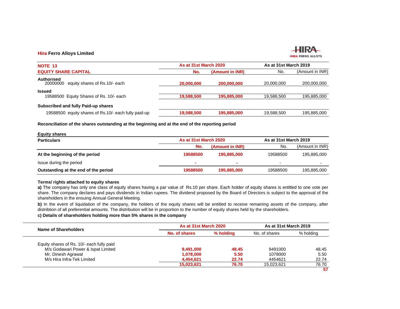

### **Hira Ferro Alloys Limited**

| NOTE 13                                                 |            | As at 31st March 2020 |            | As at 31st March 2019 |  |
|---------------------------------------------------------|------------|-----------------------|------------|-----------------------|--|
| <b>EQUITY SHARE CAPITAL</b>                             | No.        | (Amount in INR)       | No.        | (Amount in INR)       |  |
| Authorised<br>equity shares of Rs.10/- each<br>20000000 | 20,000,000 | 200,000,000           | 20,000,000 | 200,000,000           |  |
| <b>Issued</b>                                           |            |                       |            |                       |  |
| 19588500 Equity Shares of Rs. 10/- each                 | 19,588,500 | 195,885,000           | 19.588.500 | 195,885,000           |  |
| Subscribed and fully Paid-up shares                     |            |                       |            |                       |  |
| 19588500 equity shares of Rs.10/- each fully paid-up    | 19,588,500 | 195,885,000           | 19,588,500 | 195,885,000           |  |

### **Reconciliation of the shares outstanding at the beginning and at the end of the reporting period**

| <b>Equity shares</b>                        |          |                       |          |                          |
|---------------------------------------------|----------|-----------------------|----------|--------------------------|
| As at 31st March 2020<br><b>Particulars</b> |          | As at 31st March 2019 |          |                          |
|                                             | No.      | (Amount in INR)       | No.      | (Amount in INR)          |
| At the beginning of the period              | 19588500 | 195,885,000           | 19588500 | 195.885.000              |
| Issue during the period                     |          |                       |          | $\overline{\phantom{a}}$ |
| Outstanding at the end of the period        | 19588500 | 195,885,000           | 19588500 | 195,885,000              |

### **Terms/ rights attached to equity shares**

**a)** The company has only one class of equity shares having a par value of Rs.10 per share. Each holder of equity shares is entitled to one vote per share. The company declares and pays dividends in Indian rupees. The dividend proposed by the Board of Directors is subject to the approval of the shareholders in the ensuing Annual General Meeting.

**b)** In the event of liquidation of the company, the holders of the equity shares will be entitled to receive remaining assets of the company, after distribtion of all preferential amounts. The distribution will be in proportion to the number of equity shares held by the shareholders.

### **c) Details of shareholders holding more than 5% shares in the company**

| Name of Shareholders                      |               | As at 31st March 2020 |               | As at 31st March 2019 |
|-------------------------------------------|---------------|-----------------------|---------------|-----------------------|
|                                           | No. of shares | % holding             | No. of shares | % holding             |
| Equity shares of Rs. 10/- each fully paid |               |                       |               |                       |
| M/s Godawari Power & Ispat Limited        | 9,491,000     | 48.45                 | 9491000       | 48.45                 |
| Mr. Dinesh Agrawal                        | 1,078,000     | 5.50                  | 1078000       | 5.50                  |
| M/s Hira Infra-Tek I imited               | 4,454,621     | 22.74                 | 4454621       | 22.74                 |
|                                           | 15,023,621    | 76.70                 | 15,023,621    | 76.70                 |
|                                           |               |                       |               | 57                    |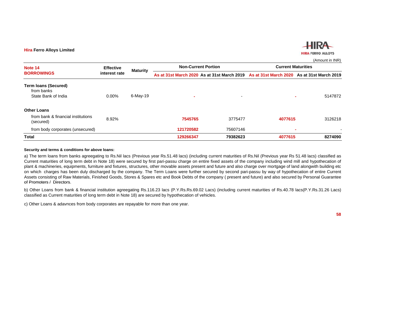#### **Hira Ferro Alloys Limited**



| Note 14                                         | <b>Effective</b> |                 | <b>Non-Current Portion</b> |                | <b>Current Maturities</b>                                                               |         |
|-------------------------------------------------|------------------|-----------------|----------------------------|----------------|-----------------------------------------------------------------------------------------|---------|
| <b>BORROWINGS</b>                               | interest rate    | <b>Maturity</b> |                            |                | As at 31st March 2020 As at 31st March 2019 As at 31st March 2020 As at 31st March 2019 |         |
| <b>Term loans (Secured)</b><br>from banks       |                  |                 |                            |                |                                                                                         |         |
| State Bank of India                             | $0.00\%$         | $6$ -May-19     | ۰                          | $\blacksquare$ |                                                                                         | 5147872 |
| <b>Other Loans</b>                              |                  |                 |                            |                |                                                                                         |         |
| from bank & financial institutions<br>(secured) | 8.92%            |                 | 7545765                    | 3775477        | 4077615                                                                                 | 3126218 |
| from body corporates (unsecured)                |                  |                 | 121720582                  | 75607146       |                                                                                         |         |
| <b>Total</b>                                    |                  |                 | 129266347                  | 79382623       | 4077615                                                                                 | 8274090 |

#### **Security and terms & conditions for above loans:**

a) The term loans from banks agreegating to Rs.Nil lacs (Previous year Rs.51.48 lacs) (including current maturities of Rs.Nil (Previous year Rs 51.48 lacs) classified as Current maturities of long term debt in Note 18) were secured by first pari-passu charge on entire fixed assets of the company including wind mill and hypothecation of plant & machineries, equipments, furniture and fixtures, structures, other movable assets present and future and also charge over mortgage of land alongwith building etc on which charges has been duly discharged by the company. The Term Loans were further secured by second pari-passu by way of hypothecation of entire Current Assets consisting of Raw Materials, Finished Goods, Stores & Spares etc and Book Debts of the company ( present and future) and also secured by Personal Guarantee of Promoters / Directors.

b) Other Loans from bank & financial institution agreegating Rs.116.23 lacs (P.Y.Rs.Rs.69.02 Lacs) (including current maturities of Rs.40.78 lacs(P.Y.Rs.31.26 Lacs) classified as Current maturities of long term debt in Note 18) are secured by hypothecation of vehicles.

c) Other Loans & adavnces from body corporates are repayable for more than one year.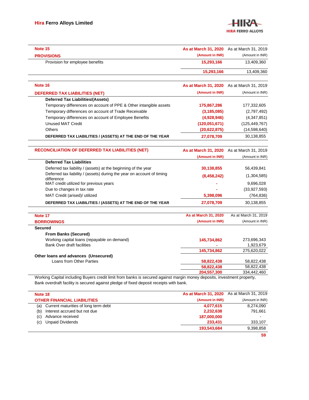

| Note 15                                                                                                                 | As at March 31, 2020      | As at March 31, 2019     |
|-------------------------------------------------------------------------------------------------------------------------|---------------------------|--------------------------|
| <b>PROVISIONS</b>                                                                                                       | (Amount in INR)           | (Amount in INR)          |
| Provision for employee benefits                                                                                         | 15,293,166                | 13,409,360               |
|                                                                                                                         | 15,293,166                | 13,409,360               |
| Note 16                                                                                                                 | As at March 31, 2020      | As at March 31, 2019     |
| <b>DEFERRED TAX LIABILITIES (NET)</b>                                                                                   | (Amount in INR)           | (Amount in INR)          |
| <b>Deferred Tax Liabilities/(Assets)</b>                                                                                |                           |                          |
| Temporary differences on account of PPE & Other intangible assets                                                       | 175,867,286               | 177,332,605              |
| Temporary differences on account of Trade Receivable                                                                    | (3, 185, 085)             | (2,797,492)              |
| Temporary differences on account of Employee Benefits                                                                   | (4,928,946)               | (4,347,851)              |
| <b>Unused MAT Credit</b>                                                                                                | (120, 051, 671)           | (125, 449, 767)          |
| <b>Others</b>                                                                                                           | (20, 622, 875)            | (14,598,640)             |
| DEFERRED TAX LIABILITIES / (ASSETS) AT THE END OF THE YEAR                                                              | 27,078,709                | 30,138,855               |
| <b>RECONCILIATION OF DEFERRED TAX LIABILITIES (NET)</b>                                                                 | As at March 31, 2020      | As at March 31, 2019     |
|                                                                                                                         | (Amount in INR)           | (Amount in INR)          |
| <b>Deferred Tax Liabilities</b>                                                                                         |                           |                          |
| Deferred tax liability / (assets) at the beginning of the year                                                          | 30,138,855                | 56,439,841               |
| Deferred tax liability / (assets) during the year on account of timing                                                  |                           |                          |
| difference                                                                                                              | (8,458,242)               | (1,304,585)              |
| MAT credit utilized for previous years                                                                                  |                           | 9,696,028                |
| Due to changes in tax rate                                                                                              |                           | (33,927,593)             |
| MAT Credit (arised)/ utilized                                                                                           | 5,398,096                 | (764, 836)               |
| DEFERRED TAX LIABILITIES / (ASSETS) AT THE END OF THE YEAR                                                              | 27,078,709                | 30,138,855               |
| Note 17                                                                                                                 | As at March 31, 2020      | As at March 31, 2019     |
| <b>BORROWINGS</b>                                                                                                       | (Amount in INR)           | (Amount in INR)          |
| <b>Secured</b>                                                                                                          |                           |                          |
| <b>From Banks (Secured)</b>                                                                                             |                           |                          |
| Working capital loans (repayable on demand)                                                                             | 145,734,862               | 273,696,343              |
| <b>Bank Over draft facilities</b>                                                                                       |                           | 1,923,679                |
|                                                                                                                         | 145,734,862               | 275,620,022              |
| Other loans and advances (Unsecured)                                                                                    |                           |                          |
| Loans from Other Parties                                                                                                | 58,822,438                | 58,822,438<br>58,822,438 |
|                                                                                                                         | 58,822,438<br>204,557,300 | 334,442,460              |
| Working Capital including Buyers credit limit from banks is secured against margin money deposits, investment property, |                           |                          |
| Bank overdraft facility is secured against pledge of fixed deposit receipts with bank.                                  |                           |                          |
| Note 18                                                                                                                 | As at March 31, 2020      | As at March 31, 2019     |
| OTHER FINANCIAL LIABILITIES                                                                                             | (Amount in INR)           | (Amount in INR)          |

| (Amount in INR) | (Amount in INR)          |
|-----------------|--------------------------|
| 4,077,615       | 8,274,090                |
| 2,232,638       | 791.661                  |
| 187,000,000     | $\overline{\phantom{0}}$ |
| 233,431         | 333,107                  |
| 193.543.684     | 9,398,858                |
|                 |                          |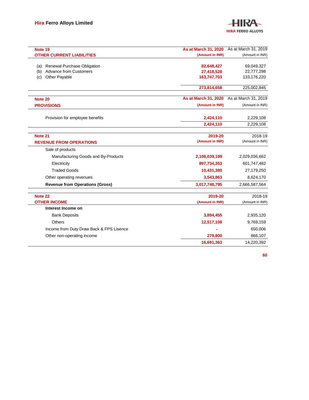

| Note 19                                  | As at March 31, 2020 | As at March 31, 2019 |
|------------------------------------------|----------------------|----------------------|
| <b>OTHER CURRENT LIABILITIES</b>         | (Amount in INR)      | (Amount in INR)      |
| Renewal Purchase Obligation<br>(a)       | 82,648,427           | 69,049,327           |
| <b>Advance from Customers</b><br>(b)     | 27,418,528           | 22,777,298           |
| Other Payable<br>(c)                     | 163,747,703          | 133,176,220          |
|                                          | 273,814,658          | 225,002,845          |
| Note 20                                  | As at March 31, 2020 | As at March 31, 2019 |
| <b>PROVISIONS</b>                        | (Amount in INR)      | (Amount in INR)      |
| Provision for employee benefits          | 2,424,110            | 2,229,108            |
|                                          | 2,424,110            | 2,229,108            |
| Note 21                                  | 2019-20              | 2018-19              |
| <b>REVENUE FROM OPERATIONS</b>           | (Amount in INR)      | (Amount in INR)      |
| Sale of products                         |                      |                      |
| Manufacturing Goods and By-Products      | 2,106,039,199        | 2,029,036,662        |
| Electricity                              | 897,734,353          | 601,747,482          |
| <b>Traded Goods</b>                      | 10,431,380           | 27,179,250           |
| Other operating revenues                 | 3,543,863            | 8,624,170            |
| <b>Revenue from Operations (Gross)</b>   | 3,017,748,795        | 2,666,587,564        |
| Note 22                                  | 2019-20              | 2018-19              |
| <b>OTHER INCOME</b>                      | (Amount in INR)      | (Amount in INR)      |
| Interest Income on                       |                      |                      |
| <b>Bank Deposits</b>                     | 3,894,455            | 2,935,120            |
| <b>Others</b>                            | 12,517,108           | 9,769,159            |
| Income from Duty Draw Back & FPS Lisence |                      | 650,006              |
| Other non-operating income               | 279,800              | 866,107              |
|                                          | 16,691,363           | 14,220,392           |

**60**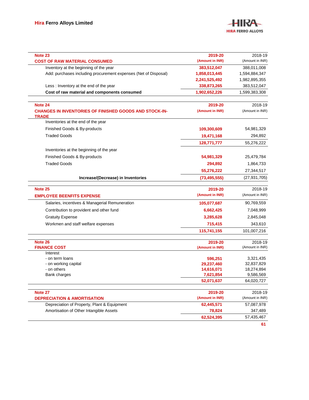

| Note 23                                                                       | 2019-20         | 2018-19                               |
|-------------------------------------------------------------------------------|-----------------|---------------------------------------|
| <b>COST OF RAW MATERIAL CONSUMED</b>                                          | (Amount in INR) | (Amount in INR)                       |
| Inventory at the beginning of the year                                        | 383,512,047     | 388,011,008                           |
| Add: purchases including procurement expenses (Net of Disposal)               | 1,858,013,445   | 1,594,884,347                         |
|                                                                               | 2,241,525,492   | 1,982,895,355                         |
| Less: Inventory at the end of the year                                        | 338,873,265     | 383,512,047                           |
| Cost of raw material and components consumed                                  | 1,902,652,226   | 1,599,383,308                         |
| Note 24                                                                       | 2019-20         | 2018-19                               |
| <b>CHANGES IN INVENTORIES OF FINISHED GOODS AND STOCK-IN-</b><br><b>TRADE</b> | (Amount in INR) | (Amount in INR)                       |
| Inventories at the end of the year                                            |                 |                                       |
| Finished Goods & By-products                                                  | 109,300,609     | 54,981,329                            |
| <b>Traded Goods</b>                                                           | 19,471,168      | 294,892                               |
|                                                                               | 128,771,777     | 55,276,222                            |
| Inventories at the beginning of the year                                      |                 |                                       |
| Finished Goods & By-products                                                  | 54,981,329      | 25,479,784                            |
| <b>Traded Goods</b>                                                           | 294,892         | 1,864,733                             |
|                                                                               | 55,276,222      | 27,344,517                            |
| Increase/(Decrease) in Inventories                                            | (73, 495, 555)  | (27, 931, 705)                        |
|                                                                               |                 |                                       |
| Note 25                                                                       | 2019-20         | 2018-19                               |
| <b>EMPLOYEE BEENFITS EXPENSE</b>                                              | (Amount in INR) | (Amount in INR)                       |
| Salaries, incentives & Managerial Remuneration                                | 105,077,687     | 90,769,559                            |
| Contribution to provident and other fund                                      | 6,662,425       | 7,048,999                             |
| <b>Gratuity Expense</b>                                                       | 3,285,628       | 2,845,048                             |
| Workmen and staff welfare expenses                                            | 715,415         | 343,610                               |
|                                                                               | 115,741,155     | 101,007,216                           |
| Note 26                                                                       | 2019-20         | 2018-19                               |
| <b>FINANCE COST</b>                                                           | (Amount in INR) | (Amount in INR)                       |
| Interest                                                                      |                 |                                       |
| - on term loans                                                               | 596,251         | 3,321,435                             |
|                                                                               |                 |                                       |
| - on working capital                                                          | 29,237,460      | 32,837,829                            |
| - on others                                                                   | 14,616,071      | 18,274,894                            |
| Bank charges                                                                  | 7,621,854       | 9,586,569                             |
|                                                                               | 52,071,637      | 64,020,727                            |
| Note 27                                                                       | 2019-20         |                                       |
| <b>DEPRECIATION &amp; AMORTISATION</b>                                        | (Amount in INR) |                                       |
| Depreciation of Property, Plant & Equipment                                   | 62,445,571      | 57,087,978                            |
| Amortisation of Other Intangible Assets                                       | 78,824          | 2018-19<br>(Amount in INR)<br>347,489 |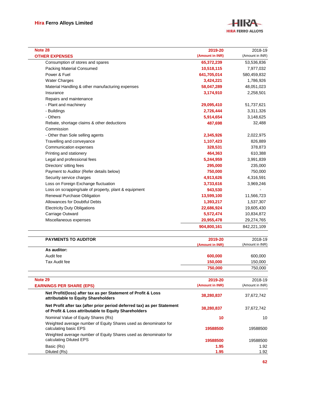

| Note 28                                                                                                                         | 2019-20         | 2018-19         |
|---------------------------------------------------------------------------------------------------------------------------------|-----------------|-----------------|
| <b>OTHER EXPENSES</b>                                                                                                           | (Amount in INR) | (Amount in INR) |
| Consumption of stores and spares                                                                                                | 65,372,239      | 53,536,836      |
| Packing Material Consumed                                                                                                       | 10,518,115      | 7,977,032       |
| Power & Fuel                                                                                                                    | 641,705,014     | 580,459,832     |
| <b>Water Charges</b>                                                                                                            | 3,424,221       | 1,786,926       |
| Material Handling & other manufacturing expenses                                                                                | 58,047,289      | 48,051,023      |
| Insurance                                                                                                                       | 3,174,910       | 2,258,501       |
| Repairs and maintenance                                                                                                         |                 |                 |
| - Plant and machinery                                                                                                           | 29,095,410      | 51,737,621      |
| - Buildings                                                                                                                     | 2,726,444       | 3,311,326       |
| - Others                                                                                                                        | 5,914,654       | 3,148,625       |
| Rebate, shortage claims & other deductions                                                                                      | 487,698         | 32,488          |
| Commission                                                                                                                      |                 |                 |
| - Other than Sole selling agents                                                                                                | 2,345,926       | 2,022,975       |
| Travelling and conveyance                                                                                                       | 1,107,423       | 826,889         |
| Communication expenses                                                                                                          | 328,531         | 378,873         |
| Printing and stationery                                                                                                         | 464,363         | 610,388         |
| Legal and professional fees                                                                                                     | 5,244,959       | 3,991,839       |
| Directors' sitting fees                                                                                                         | 295,000         | 235,000         |
| Payment to Auditor (Refer details below)                                                                                        | 750,000         | 750,000         |
| Security service charges                                                                                                        | 4,913,626       | 4,316,591       |
| Loss on Foreign Exchange fluctuation                                                                                            | 3,733,616       | 3,969,246       |
| Loss on scrapping/sale of property, plant & equipment                                                                           | 943,530         |                 |
| Renewal Purchase Obligation                                                                                                     | 13,599,100      | 11,566,723      |
| Allowances for Doubtful Debts                                                                                                   | 1,393,217       | 1,537,307       |
| <b>Electricity Duty Obligations</b>                                                                                             | 22,686,924      | 19,605,430      |
| Carriage Outward                                                                                                                | 5,572,474       | 10,834,872      |
| Miscellaneous expenses                                                                                                          | 20,955,478      | 29,274,765      |
|                                                                                                                                 | 904,800,161     | 842,221,109     |
| <b>PAYMENTS TO AUDITOR</b>                                                                                                      | 2019-20         | 2018-19         |
|                                                                                                                                 | (Amount in INR) | (Amount in INR) |
| As auditor:                                                                                                                     |                 |                 |
| Audit fee                                                                                                                       | 600,000         | 600,000         |
| Tax Audit fee                                                                                                                   | 150,000         | 150,000         |
|                                                                                                                                 | 750,000         | 750,000         |
| Note 29                                                                                                                         | 2019-20         | 2018-19         |
| <b>EARNINGS PER SHARE (EPS)</b>                                                                                                 | (Amount in INR) | (Amount in INR) |
| Net Profit/(loss) after tax as per Statement of Profit & Loss<br>attributable to Equity Shareholders                            | 38,280,837      | 37,672,742      |
| Net Profit after tax (after prior period deferred tax) as per Statement<br>of Profit & Loss attributable to Equity Shareholders | 38,280,837      | 37,672,742      |
| Nominal Value of Equity Shares (Rs)<br>Weighted average number of Foulty Shares used as denominator for                         | 10              | 10              |

| Nominal Value of Equity Shares (Rs)                                                         | 10       | 10       |  |
|---------------------------------------------------------------------------------------------|----------|----------|--|
| Weighted average number of Equity Shares used as denominator for<br>calculating basic EPS   | 19588500 | 19588500 |  |
| Weighted average number of Equity Shares used as denominator for<br>calculating Diluted EPS | 19588500 | 19588500 |  |
| Basic (Rs)                                                                                  | 1.95     | 1.92     |  |
| Diluted (Rs)                                                                                | 1.95     | 1.92     |  |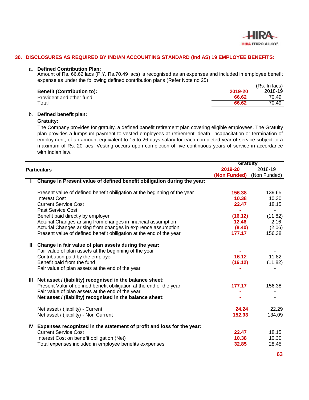

### **30. DISCLOSURES AS REQUIRED BY INDIAN ACCOUNTING STANDARD (Ind AS) 19 EMPLOYEE BENEFITS:**

### a. **Defined Contribution Plan:**

 $(De \ln \vert nce)$ Amount of Rs. 66.62 lacs (P.Y. Rs.70.49 lacs) is recognised as an expenses and included in employee benefit expense as under the following defined contribution plans (Refer Note no 25)

|                                   |         | $(1\sqrt{2}, 1111a\sqrt{2})$ |  |
|-----------------------------------|---------|------------------------------|--|
| <b>Benefit (Contribution to):</b> | 2019-20 | 2018-19                      |  |
| Provident and other fund          | 66.62   | 70.49                        |  |
| $\tau$ otal                       | 66.62   | 70.49                        |  |
|                                   |         |                              |  |

## b. **Defined benefit plan:**

### **Gratuity:**

The Company provides for gratuity, a defined banefit retirement plan covering eligible employees. The Gratuity plan provides a lumpsum payment to vested employees at retirement, death, incapacitation or termination of employment, of an amount equivalent to 15 to 26 days salary for each completed year of service subject to a maximum of Rs. 20 lacs. Vesting occurs upon completion of five continuous years of service in accordance with Indian law.

|              |                                                                           | <b>Gratuity</b> |                |  |
|--------------|---------------------------------------------------------------------------|-----------------|----------------|--|
|              | <b>Particulars</b>                                                        |                 | 2018-19        |  |
|              |                                                                           | (Non Funded)    | (Non Funded)   |  |
|              | Change in Present value of defined benefit obiligation during the year:   |                 |                |  |
|              | Present value of defined benefit obiligation at the beginning of the year | 156.38          | 139.65         |  |
|              | <b>Interest Cost</b>                                                      | 10.38           | 10.30          |  |
|              | <b>Current Service Cost</b>                                               | 22.47           | 18.15          |  |
|              | Past Service Cost                                                         |                 | $\blacksquare$ |  |
|              | Benefit paid directly by employer                                         | (16.12)         | (11.82)        |  |
|              | Acturial Changes arising from changes in financial assumption             | 12.46           | 2.16           |  |
|              | Acturial Changes arising from changes in expirence assumption             | (8.40)          | (2.06)         |  |
|              | Present value of defined benefit obiligation at the end of the year       | 177.17          | 156.38         |  |
| $\mathbf{u}$ | Change in fair value of plan assets during the year:                      |                 |                |  |
|              | Fair value of plan assets at the beginning of the year                    |                 |                |  |
|              | Contribution paid by the employer                                         | 16.12           | 11.82          |  |
|              | Benefit paid from the fund                                                | (16.12)         | (11.82)        |  |
|              | Fair value of plan assets at the end of the year                          |                 |                |  |
|              | III Net asset / (liability) recognised in the balance sheet:              |                 |                |  |
|              | Present Valur of defined benefit obiligation at the end of the year       | 177.17          | 156.38         |  |
|              | Fair value of plan assets at the end of the year                          |                 |                |  |
|              | Net asset / (liability) recognised in the balance sheet:                  |                 |                |  |
|              | Net asset / (liability) - Current                                         | 24.24           | 22.29          |  |
|              | Net asset / (liability) - Non Current                                     | 152.93          | 134.09         |  |
|              | IV Expenses recognized in the statement of profit and loss for the year:  |                 |                |  |
|              | <b>Current Service Cost</b>                                               | 22.47           | 18.15          |  |
|              | Interest Cost on benefit obiligation (Net)                                | 10.38           | 10.30          |  |
|              | Total expenses included in employee benefits exxpenses                    | 32.85           | 28.45          |  |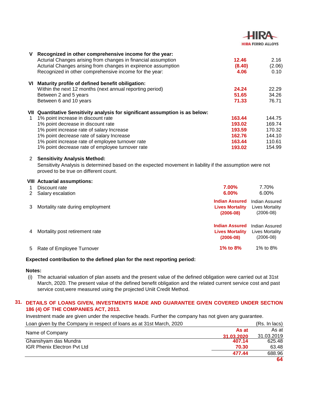

| V                   | Recognized in other comprehensive income for the year:<br>Acturial Changes arising from changes in financial assumption<br>Acturial Changes arising from changes in expirence assumption<br>Recognized in other comprehensive income for the year:                                                                                                      | 12.46<br>(8.40)<br>4.06                                        | 2.16<br>(2.06)<br>0.10                                   |  |
|---------------------|---------------------------------------------------------------------------------------------------------------------------------------------------------------------------------------------------------------------------------------------------------------------------------------------------------------------------------------------------------|----------------------------------------------------------------|----------------------------------------------------------|--|
| VI                  | Maturity profile of defined benefit obiligation:<br>Within the next 12 months (next annual reporting period)<br>Between 2 and 5 years<br>Between 6 and 10 years                                                                                                                                                                                         | 24.24<br>51.65<br>71.33                                        | 22.29<br>34.26<br>76.71                                  |  |
| VII<br>1            | Quantitative Sensitivity analysis for significant assumption is as below:<br>1% point increase in discount rate<br>1% point decrease in discount rate<br>1% point increase rate of salary Increase<br>1% point decrease rate of salary Increase<br>1% point increase rate of employee turnover rate<br>1% point decrease rate of employee turnover rate | 163.44<br>193.02<br>193.59<br>162.76<br>163.44<br>193.02       | 144.75<br>169.74<br>170.32<br>144.10<br>110.61<br>154.99 |  |
| 2                   | <b>Sensitivity Analysis Method:</b><br>Sensitivity Analysis is determined based on the expected movement in liability if the assumption were not<br>proved to be true on different count.                                                                                                                                                               |                                                                |                                                          |  |
|                     | <b>VIII Actuarial assumptions:</b>                                                                                                                                                                                                                                                                                                                      |                                                                |                                                          |  |
| 1<br>$\overline{2}$ | Discount rate<br>Salary escalation                                                                                                                                                                                                                                                                                                                      | 7.00%<br>6.00%                                                 | 7.70%<br>6.00%                                           |  |
| 3                   | Mortality rate during employment                                                                                                                                                                                                                                                                                                                        | <b>Indian Assured</b><br><b>Lives Mortality</b><br>$(2006-08)$ | Indian Assured<br><b>Lives Mortality</b><br>$(2006-08)$  |  |
| 4                   | Mortality post retirement rate                                                                                                                                                                                                                                                                                                                          | <b>Indian Assured</b><br><b>Lives Mortality</b><br>$(2006-08)$ | Indian Assured<br><b>Lives Mortality</b><br>$(2006-08)$  |  |

# 5 Rate of Employee Turnover **1% to 8%** 1% to 8%

### **Expected contribution to the defined plan for the next reporting period:**

### **Notes:**

(i) The actuarial valuation of plan assets and the present value of the defined obligation were carried out at 31st March, 2020. The present value of the defined benefit obligation and the related current service cost and past service cost,were measured using the projected Uniit Credit Method.

### **31. DETAILS OF LOANS GIVEN, INVESTMENTS MADE AND GUARANTEE GIVEN COVERED UNDER SECTION 186 (4) OF THE COMPANIES ACT, 2013.**

Investment made are given under the respective heads. Further the company has not given any guarantee.

| Loan given by the Company in respect of loans as at 31st March, 2020 |            | (Rs. In lacs) |
|----------------------------------------------------------------------|------------|---------------|
| Name of Company                                                      | As at      | As at         |
|                                                                      | 31.03.2020 | 31.03.2019    |
| Ghanshyam das Mundra                                                 | 407.14     | 625.48        |
| <b>IGR Phenix Electron Pyt Ltd</b>                                   | 70.30      | 63.48         |
|                                                                      | 477.44     | 688.96        |
|                                                                      |            | 64            |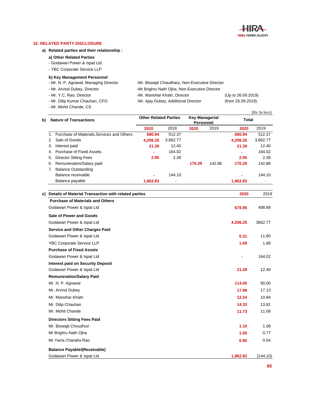

### **32. RELATED PARTY DISCLOSURE**

**a) Related parties and their relationship :**

### **a) Other Related Parties**

- Godawari Power & Ispat Ltd.
- YBC Corporate Service LLP

### **b) Key Management Personnel**

- 
- Mr. N. P. Agrawal, Managing Director -Mr. Biswajit Chaudhary, Non-Executive Director
- Mr. Arvind Dubey, Director **-Mr Brighru Nath Ojha, Non-Executive Director**
- Mr. Y.C. Rao, Director **-Mr. Manohar Khatri, Director** (Up to 26.09.2019)
- Mr. Dilip Kumar Chauhan, CFO -Mr. Ajay Dubey, Additional Director (from 26.09.2019)
- Mr. Mohit Chande, CS
- 
- -

|    |                                                         |                              |                          |                                    |        |          | (Rs. In lacs)  |
|----|---------------------------------------------------------|------------------------------|--------------------------|------------------------------------|--------|----------|----------------|
|    | <b>Nature of Transactions</b>                           | <b>Other Related Parties</b> |                          | <b>Key Managerial</b><br>Personnel |        | Total    |                |
|    |                                                         | 2020                         | 2019                     | 2020                               | 2019   | 2020     | 2019           |
|    | 1. Purchase of Materials, Services and Others           | 680.94                       | 512.37                   |                                    |        | 680.94   | 512.37         |
| 2. | Sale of Goods                                           | 4,206.25                     | 3,662.77                 |                                    |        | 4,206.25 | 3,662.77       |
|    | 3. Interest paid                                        | 21.39                        | 12.40                    |                                    |        | 21.39    | 12.40          |
| 4. | Purchase of Fixed Assets                                | ä,                           | 164.02                   |                                    |        | ÷.       | 164.02         |
|    | 5. Director Sitting Fees                                | 2.95                         | 2.39                     |                                    |        | 2.95     | 2.39           |
|    | 6. Remuneration/Salary paid                             |                              |                          | 170.29                             | 142.86 | 170.29   | 142.86         |
|    | 7. Balance Outstanding                                  |                              |                          |                                    |        |          |                |
|    | Balance receivable                                      | 1,862.83                     | 144.10<br>$\blacksquare$ |                                    |        | 1,862.83 | 144.10         |
|    | Balance payable                                         |                              |                          |                                    |        |          | $\blacksquare$ |
|    | c) Details of Material Transaction with related parties |                              |                          |                                    |        | 2020     | 2019           |
|    | <b>Purchase of Materials and Others</b>                 |                              |                          |                                    |        |          |                |
|    | Godawari Power & Ispat Ltd                              |                              |                          |                                    |        | 678.95   | 498.89         |
|    | <b>Sale of Power and Goods</b>                          |                              |                          |                                    |        |          |                |
|    | Godawari Power & Ispat Ltd                              |                              |                          |                                    |        | 4,206.25 | 3662.77        |
|    | <b>Service and Other Charges Paid</b>                   |                              |                          |                                    |        |          |                |
|    | Godawari Power & Ispat Ltd                              |                              |                          |                                    |        | 0.31     | 11.80          |
|    | <b>YBC Corporate Service LLP</b>                        |                              |                          |                                    |        | 1.68     | 1.68           |
|    | <b>Purchase of Fixed Assets</b>                         |                              |                          |                                    |        |          |                |
|    | Godawari Power & Ispat Ltd                              |                              |                          |                                    |        |          | 164.02         |
|    | <b>Interest paid on Security Deposit</b>                |                              |                          |                                    |        |          |                |
|    | Godawari Power & Ispat Ltd                              |                              |                          |                                    |        | 21.39    | 12.40          |
|    | <b>Remuneration/Salary Paid</b>                         |                              |                          |                                    |        |          |                |
|    | Mr. N. P. Agrawal                                       |                              |                          |                                    |        | 114.00   | 90.00          |
|    | Mr. Arvind Dubey                                        |                              |                          |                                    |        | 17.99    | 17.13          |
|    | Mr. Manohar Khatri                                      |                              |                          |                                    |        | 12.24    | 10.84          |
|    | Mr. Dilip Chauhan                                       |                              |                          |                                    |        | 14.33    | 13.81          |
|    | Mr. Mohit Chande                                        |                              |                          |                                    |        | 11.73    | 11.08          |
|    | <b>Directors Sitting Fees Paid</b>                      |                              |                          |                                    |        |          |                |
|    | Mr. Biswajit Choudhuri                                  |                              |                          |                                    |        | 1.10     | 1.08           |
|    | Mr Brighru Nath Ojha                                    |                              |                          |                                    |        | 1.05     | 0.77           |
|    | Mr. Yarra Chandra Rao                                   |                              |                          |                                    |        | 0.80     | 0.54           |
|    | <b>Balance Payable/(Receivable)</b>                     |                              |                          |                                    |        |          |                |
|    | Godawari Power & Ispat Ltd                              |                              |                          |                                    |        | 1,862.83 | (144.10)       |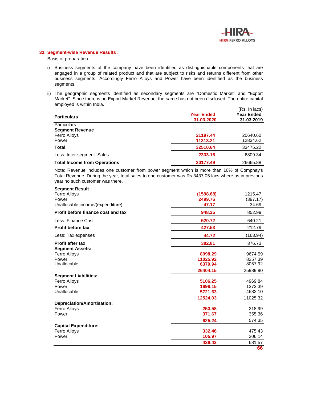

### **33. Segment-wise Revenue Results :**

Basis of preparation :

- i) Business segments of the company have been identified as distinguishable components that are engaged in a group of related product and that are subject to risks and returns different from other business segments. Accordingly Ferro Alloys and Power have been identified as the business segments.
- ii) The geographic segments identified as secondary segments are "Domestic Market" and "Export  $(D_2, I_2, I_3, \ldots)$ Market". Since there is no Export Market Revenue, the same has not been disclosed. The entire capital employed is within India.

|                   | (RS. In lacs)     |
|-------------------|-------------------|
| <b>Year Ended</b> | <b>Year Ended</b> |
| 31.03.2020        | 31.03.2019        |
|                   |                   |
|                   |                   |
| 21197.44          | 20640.60          |
| 11313.21          | 12834.62          |
| 32510.64          | 33475.22          |
| 2333.16           | 6809.34           |
| 30177.49          | 26665.88          |
|                   |                   |

Note: Revenue includes one customer from power segment which is more than 10% of Compnay's Total Revenue. During the year, total sales to one customer was Rs.3437.05 lacs where as in previous year no such customer was there.

| <b>Segment Result</b>              |                      |                   |
|------------------------------------|----------------------|-------------------|
| Ferro Alloys<br>Power              | (1598.68)<br>2499.76 | 1215.47           |
| Unallocable income/(expenditure)   | 47.17                | (397.17)<br>34.69 |
| Profit before finance cost and tax | 948.25               | 852.99            |
|                                    |                      |                   |
| Less: Finance Cost                 | 520.72               | 640.21            |
| <b>Profit before tax</b>           | 427.53               | 212.79            |
| Less: Tax expenses                 | 44.72                | (163.94)          |
| <b>Profit after tax</b>            | 382.81               | 376.73            |
| <b>Segment Assets:</b>             |                      |                   |
| Ferro Alloys                       | 8998.29              | 9674.59           |
| Power                              | 11025.92             | 8257.39           |
| Unallocable                        | 6379.94              | 8057.92           |
|                                    | 26404.15             | 25989.90          |
| <b>Segment Liabilities:</b>        |                      |                   |
| Ferro Alloys                       | 5106.25              | 4969.84           |
| Power                              | 1696.15              | 1373.39           |
| Unallocable                        | 5721.63              | 4682.10           |
|                                    | 12524.03             | 11025.32          |
| Depreciation/Amortisation:         |                      |                   |
| Ferro Alloys                       | 253.58               | 218.99            |
| Power                              | 371.67               | 355.36            |
|                                    | 625.24               | 574.35            |
| <b>Capital Expenditure:</b>        |                      |                   |
| <b>Ferro Alloys</b>                | 332.46               | 475.43            |
| Power                              | 105.97               | 206.14            |
|                                    | 438.43               | 681.57            |
|                                    |                      | 66                |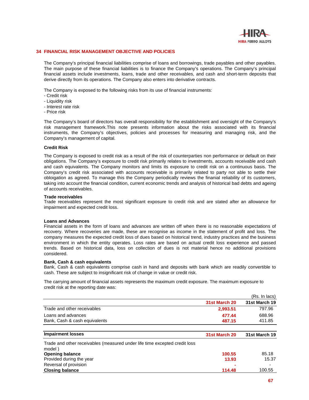

### **34 FINANCIAL RISK MANAGEMENT OBJECTIVE AND POLICIES**

The Company's principal financial liabilities comprise of loans and borrowings, trade payables and other payables. The main purpose of these financial liabilities is to finance the Company's operations. The Company's principal financial assets include investments, loans, trade and other receivables, and cash and short-term deposits that derive directly from its operations. The Company also enters into derivative contracts.

The Company is exposed to the following risks from its use of financial instruments:

- Credit risk
- Liquidity risk
- Interest rate risk
- Price risk

The Company's board of directors has overall responsibility for the establishment and oversight of the Company's risk management framework.This note presents information about the risks associated with its financial instruments, the Company's objectives, policies and processes for measuring and managing risk, and the Company's management of capital.

### **Credit Risk**

The Company is exposed to credit risk as a result of the risk of counterparties non performance or default on their obligations. The Company's exposure to credit risk primarily relates to investments, accounts receivable and cash and cash equivalents. The Company monitors and limits its exposure to credit risk on a continuous basis. The Company's credit risk associated with accounts receivable is primarily related to party not able to settle their obloigation as agreed. To manage this the Company periodically reviews the finanial reliability of its customers, taking into account the financial condition, current economic trends and analysis of historical bad debts and ageing of accounts receivables.

### **Trade receivables**

Trade receivables represent the most significant exposure to credit risk and are stated after an allowance for impairment and expected credit loss.

### **Loans and Advances**

Financial assets in the form of loans and advances are written off when there is no reasonable expectations of recovery. Where recoveries are made, these are recognise as income in the statement of profit and loss. The company measures the expected credit loss of dues based on historical trend, industry practices and the business environment in which the entity operates. Loss rates are based on actual credit loss experience and passed trends. Based on historical data, loss on collection of dues is not material hence no additional provisions considered.

### **Bank, Cash & cash equivalents**

Bank, Cash & cash equivalents comprise cash in hand and deposits with bank which are readily convertible to cash. These are subject to insignificant risk of change in value or credit risk.

The carrying amount of financial assets represents the maximum credit exposure. The maximum exposure to credit risk at the reporting date was:

|               | (Rs. In lacs) |
|---------------|---------------|
| 31st March 20 | 31st March 19 |
| 2,993.51      | 797.96        |
| 477.44        | 688.96        |
| 487.15        | 411.85        |
| 31st March 20 | 31st March 19 |
|               |               |

| Trade and other receivables (measured under life time excepted credit loss |        |        |  |
|----------------------------------------------------------------------------|--------|--------|--|
| model)                                                                     |        |        |  |
| <b>Opening balance</b>                                                     | 100.55 | 85.18  |  |
| Provided during the year                                                   | 13.93  | 15.37  |  |
| Reversal of provision                                                      |        | -      |  |
| <b>Closing balance</b>                                                     | 114.48 | 100.55 |  |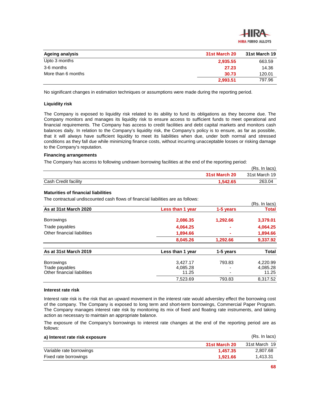

| <b>Ageing analysis</b> | 31st March 20 | 31st March 19 |
|------------------------|---------------|---------------|
| Upto 3 months          | 2,935.55      | 663.59        |
| 3-6 months             | 27.23         | 14.36         |
| More than 6 months     | 30.73         | 120.01        |
|                        | 2,993.51      | 797.96        |

No significant changes in estimation techniques or assumptions were made during the reporting period.

### **Liquidity risk**

The Company is exposed to liquidity risk related to its ability to fund its obligations as they become due. The Company monitors and manages its liquidity risk to ensure access to sufficient funds to meet operational and financial requirements. The Company has access to credit facilities and debt capital markets and monitors cash balances daily. In relation to the Company's liquidity risk, the Company's policy is to ensure, as far as possible, that it will always have sufficient liquidity to meet its liabilities when due, under both normal and stressed conditions as they fall due while minimizing finance costs, without incurring unacceptable losses orrisking damage to the Company's reputation.

### **Financing arrangements**

The Company has access to following undrawn borrowing facilities at the end of the reporting period:

|                      | $\tilde{\phantom{a}}$ | $\tilde{\phantom{a}}$ | - -           | (Rs. In lacs) |
|----------------------|-----------------------|-----------------------|---------------|---------------|
|                      |                       |                       | 31st March 20 | 31st March 19 |
| Cash Credit facility |                       |                       | 1.542.65      | 263.04        |

### **Maturities of financial liabilities**

The contractual undiscounted cash flows of financial liabilities are as follows:

|                  |           | (Rs. In lacs) |
|------------------|-----------|---------------|
| Less than 1 year | 1-5 years | Total         |
| 2,086.35         | 1,292.66  | 3,379.01      |
| 4,064.25         |           | 4,064.25      |
| 1,894.66         |           | 1,894.66      |
| 8,045.26         | 1,292.66  | 9,337.92      |
| Less than 1 year | 1-5 years | <b>Total</b>  |
| 3,427.17         | 793.83    | 4,220.99      |
| 4,085.28         |           | 4,085.28      |
| 11.25            |           | 11.25         |
| 7.523.69         | 793.83    | 8.317.52      |
|                  |           |               |

### **Interest rate risk**

Interest rate risk is the risk that an upward movement in the interest rate would adversley effect the borrowing cost of the company. The Company is exposed to long term and short-term borrowings, Commercial Paper Program. The Company manages interest rate risk by monitoring its mix of fixed and floating rate instruments, and taking action as necessary to maintain an appropriate balance.

The exposure of the Company's borrowings to interest rate changes at the end of the reporting period are as follows:

| a) Interest rate risk exposure |               | (Rs. In lacs) |  |
|--------------------------------|---------------|---------------|--|
|                                | 31st March 20 | 31st March 19 |  |
| Variable rate borrowings       | 1.457.35      | 2,807.68      |  |
| Fixed rate borrowings          | 1.921.66      | 1,413.31      |  |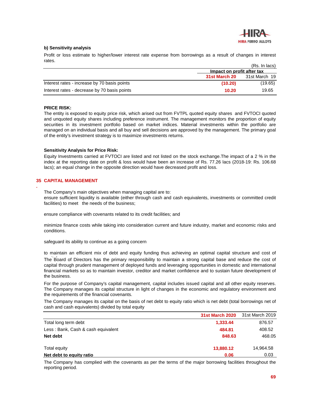

### **b) Sensitivity analysis**

Profit or loss estimate to higher/lower interest rate expense from borrowings as a result of changes in interest rates.

|                                              |                            | (Rs. In lacs) |
|----------------------------------------------|----------------------------|---------------|
|                                              | Impact on profit after tax |               |
|                                              | 31st March 20              | 31st March 19 |
| Interest rates - increase by 70 basis points | (10.20)                    | (19.65)       |
| Interest rates - decrease by 70 basis points | 10.20                      | 19.65         |

### **PRICE RISK:**

The entity is exposed to equity price risk, which arised out from FVTPL quoted equity shares and FVTOCI quoted and unquoted equity shares including preference instrument. The management monitors the proportion of equity securities in its investment portfolio based on market indices. Material investments within the portfolio are managed on an individual basis and all buy and sell decisions are approved by the management. The primary goal of the entity's investment strategy is to maximize investments returns.

### **Sensitivity Analysis for Price Risk:**

Equity Investments carried at FVTOCI are listed and not listed on the stock exchange.The impact of a 2 % in the index at the reporting date on profit & loss would have been an increase of Rs. 77.26 lacs (2018-19: Rs. 106.68 lacs); an equal change in the opposite direction would have decreased profit and loss.

# **35 . CAPITAL MANAGEMENT**

The Company's main objectives when managing capital are to: ensure sufficient liquidity is available (either through cash and cash equivalents, investments orcommitted credit facilities) to meet the needs of the business;

ensure compliance with covenants related to its credit facilities; and

minimize finance costs while taking into consideration current and future industry, market and economic risks and conditions.

safeguard its ability to continue as a going concern

to maintain an efficient mix of debt and equity funding thus achieving an optimal capital structure and cost of The Board of Directors has the primary responsibility to maintain a strong capital base and reduce the cost of capital through prudent management of deployed funds and leveraging opportunities in domestic and international financial markets so as to maintain investor, creditor and market confidence and to sustain future development of the business.

For the purpose of Company's capital management, capital includes issued capital and all other equity reserves. The Company manages its capital structure in light of changes in the economic and regulatory environment and the requirements of the financial covenants.

The Company manages its capital on the basis of net debt to equity ratio which is net debt (total borrowings net of cash and cash equivalents) divided by total equity

|                                    | <b>31st March 2020</b> | 31st March 2019 |
|------------------------------------|------------------------|-----------------|
| Total long term debt               | 1,333.44               | 876.57          |
| Less: Bank, Cash & cash equivalent | 484.81                 | 408.52          |
| Net debt                           | 848.63                 | 468.05          |
| Total equity                       | 13,880.12              | 14,964.58       |
| Net debt to equity ratio           | 0.06                   | 0.03            |

The Company has complied with the covenants as per the terms of the major borrowing facilities throughout the reporting period.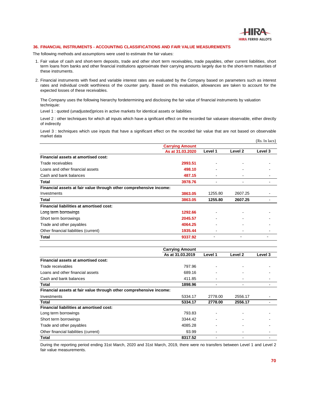

### **36. FINANCIAL INSTRUMENTS - ACCOUNTING CLASSIFICATIONS AND FAIR VALUE MEASUREMENTS**

The following methods and assumptions were used to estimate the fair values:

- 1. Fair value of cash and short-term deposits, trade and other short term receivables, trade payables, other current liabilities, short term loans from banks and other financial institutions approximate their carrying amounts largely due to the short-term maturities of these instruments.
- 2. Financial instruments with fixed and variable interest rates are evaluated by the Company based on parameters such as interest rates and individual credit worthiness of the counter party. Based on this evaluation, allowances are taken to account for the expected losses of these receivables.

The Company uses the following hierarchy fordetermining and disclosing the fair value of financial instruments by valuation techniquie:

Level 1 : quoted (unadjusted)prices in active markets for identical assets or liabilities

Level 2 : other techniques for which all inputs which have a ignificant effect on the recorded fair valueare observable, either directly of indirectly

(Rs. In lacs) Level 3 : techniques which use inputs that have a significant effect on the recorded fair value that are not based on observable market data

|                                                                    | <b>Carrying Amount</b> |                          |                    |         |
|--------------------------------------------------------------------|------------------------|--------------------------|--------------------|---------|
|                                                                    | As at 31.03.2020       | Level 1                  | Level <sub>2</sub> | Level 3 |
| Financial assets at amortised cost:                                |                        |                          |                    |         |
| Trade receivables                                                  | 2993.51                | $\blacksquare$           |                    |         |
| Loans and other financial assets                                   | 498.10                 | $\blacksquare$           | ۰                  | ۰       |
| Cash and bank balances                                             | 487.15                 | $\blacksquare$           | ۰                  |         |
| <b>Total</b>                                                       | 3978.76                |                          |                    |         |
| Financial assets at fair value through other comprehensive income: |                        |                          |                    |         |
| Investments                                                        | 3863.05                | 1255.80                  | 2607.25            |         |
| <b>Total</b>                                                       | 3863.05                | 1255.80                  | 2607.25            |         |
| Financial liabilities at amortised cost:                           |                        |                          |                    |         |
| Long term borrowings                                               | 1292.66                |                          |                    |         |
| Short term borrowings                                              | 2045.57                | $\overline{\phantom{0}}$ |                    |         |
| Trade and other payables                                           | 4064.25                | $\overline{\phantom{0}}$ | ۰                  | ۰       |
| Other financial liabilities (current)                              | 1935.44                | $\blacksquare$           | -                  |         |
| <b>Total</b>                                                       | 9337.92                |                          |                    |         |

|                                                                    | <b>Carrying Amount</b> |                          |         |         |
|--------------------------------------------------------------------|------------------------|--------------------------|---------|---------|
|                                                                    | As at 31.03.2019       | Level 1                  | Level 2 | Level 3 |
| Financial assets at amortised cost:                                |                        |                          |         |         |
| Trade receivables                                                  | 797.96                 | $\overline{\phantom{0}}$ |         |         |
| Loans and other financial assets                                   | 689.16                 | $\overline{\phantom{0}}$ | ۰       |         |
| Cash and bank balances                                             | 411.85                 | ۰                        | ۰       |         |
| Total                                                              | 1898.96                | $\overline{\phantom{0}}$ | ۰       |         |
| Financial assets at fair value through other comprehensive income: |                        |                          |         |         |
| Investments                                                        | 5334.17                | 2778.00                  | 2556.17 |         |
| <b>Total</b>                                                       | 5334.17                | 2778.00                  | 2556.17 |         |
| Financial liabilities at amortised cost:                           |                        |                          |         |         |
| Long term borrowings                                               | 793.83                 | $\overline{\phantom{0}}$ |         |         |
| Short term borrowings                                              | 3344.42                | $\blacksquare$           | ۰       |         |
| Trade and other payables                                           | 4085.28                | $\overline{\phantom{0}}$ | ۰       |         |
| Other financial liabilities (current)                              | 93.99                  | ٠                        | ۰       |         |
| <b>Total</b>                                                       | 8317.52                |                          |         |         |

During the reporting period ending 31st March, 2020 and 31st March, 2019, there were no transfers between Level 1 and Level 2 fair value measurements.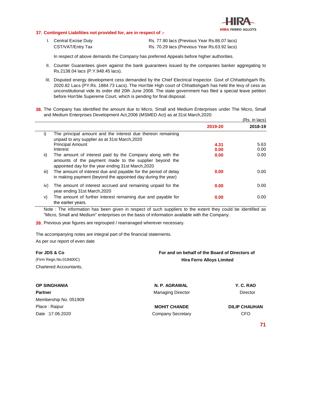

### **37. Contingent Liabilities not provided for, are in respect of :-**

| I. Central Excise Duty | Rs. 77.90 lacs (Previous Year Rs.86.07 lacs) |
|------------------------|----------------------------------------------|
| CST/VAT/Entry Tax      | Rs. 70.29 lacs (Previous Year Rs.63.92 lacs) |

In respect of above demands the Company has preferred Appeals before higher authorities.

- II. Counter Guarantees given against the bank guarantees issued by the companies banker aggregating to Rs.2138.04 lacs (P.Y.948.45 lacs).
- III. Disputed energy development cess demanded by the Chief Electrical Inspector. Govt of Chhattishgarh Rs. 2020.82 Lacs (PY.Rs. 1884.73 Lacs). The Hon'ble High court of Chhattishgarh has held the levy of cess as unconstitutional vide its order dtd 20th June 2008. The state government has filed a special leave petition before Hon'ble Supereme Court, which is pending for final disposal.
- **38.** The Company has identified the amount due to Micro, Small and Medium Enterprises under The Micro, Small and Medium Enterprises Development Act,2006 (MSMED Act) as at 31st March,2020:  $(De \text{ in } \text{lace})$

|                                                                                                                                                                                  |         | (RS. III 180S) |
|----------------------------------------------------------------------------------------------------------------------------------------------------------------------------------|---------|----------------|
|                                                                                                                                                                                  | 2019-20 | 2018-19        |
| i)<br>The principal amount and the interest due thereon remaining<br>unpaid to any supplier as at 31st March, 2020                                                               |         |                |
| <b>Principal Amount</b>                                                                                                                                                          | 4.31    | 5.63           |
| Interest                                                                                                                                                                         | 0.00    | 0.00           |
| ii)<br>The amount of interest paid by the Company along with the<br>amounts of the payment made to the supplier beyond the<br>appointed day for the year ending 31st March, 2020 | 0.00    | 0.00           |
| iii)<br>The amount of interest due and payable for the period of delay<br>in making payment (beyond the appointed day during the year)                                           | 0.00    | 0.00           |
| The amount of interest accrued and remaining unpaid for the<br>iv)<br>year ending 31st March, 2020                                                                               | 0.00    | 0.00           |
| The amount of further interest remaining due and payable for<br>V)<br>the earlier years.                                                                                         | 0.00    | 0.00           |
|                                                                                                                                                                                  |         |                |

Note : The information has been given in respect of such suppliers to the extent they could be identified as "Micro, Small and Medium" enterprises on the basis of information available with the Company. "Micro, Small and Medium" enterprises on the basis of information available with the Company.

**39.** Previous year figures are regrouped / rearranaged wherever necessary.

The accompanying notes are integral part of the financial statements.

As per our report of even date

| For JDS & Co           | For and on behalf of the Board of Directors of |                      |  |  |
|------------------------|------------------------------------------------|----------------------|--|--|
| (Firm Regn.No.018400C) | <b>Hira Ferro Alloys Limited</b>               |                      |  |  |
| Chartered Accountants, |                                                |                      |  |  |
| <b>OP SINGHANIA</b>    | N. P. AGRAWAL                                  | Y.C.RAO              |  |  |
| <b>Partner</b>         | <b>Managing Director</b>                       | <b>Director</b>      |  |  |
| Membership No. 051909  |                                                |                      |  |  |
| Place: Raipur          | <b>MOHIT CHANDE</b>                            | <b>DILIP CHAUHAN</b> |  |  |

Date :17.06.2020 CFO Company Secretary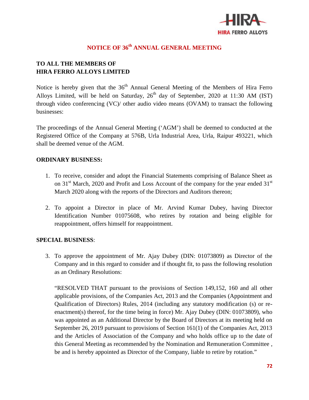

## **NOTICE OF 36th ANNUAL GENERAL MEETING**

# **TO ALL THE MEMBERS OF HIRA FERRO ALLOYS LIMITED**

Notice is hereby given that the  $36<sup>th</sup>$  Annual General Meeting of the Members of Hira Ferro Alloys Limited, will be held on Saturday,  $26<sup>th</sup>$  day of September, 2020 at 11:30 AM (IST) through video conferencing (VC)/ other audio video means (OVAM) to transact the following businesses:

The proceedings of the Annual General Meeting ('AGM') shall be deemed to conducted at the Registered Office of the Company at 576B, Urla Industrial Area, Urla, Raipur 493221, which shall be deemed venue of the AGM.

### **ORDINARY BUSINESS:**

- 1. To receive, consider and adopt the Financial Statements comprising of Balance Sheet as on  $31<sup>st</sup>$  March, 2020 and Profit and Loss Account of the company for the year ended  $31<sup>st</sup>$ March 2020 along with the reports of the Directors and Auditors thereon;
- 2. To appoint a Director in place of Mr. Arvind Kumar Dubey, having Director Identification Number 01075608, who retires by rotation and being eligible for reappointment, offers himself for reappointment.

#### **SPECIAL BUSINESS**:

3. To approve the appointment of Mr. Ajay Dubey (DIN: 01073809) as Director of the Company and in this regard to consider and if thought fit, to pass the following resolution as an Ordinary Resolutions:

"RESOLVED THAT pursuant to the provisions of Section 149,152, 160 and all other applicable provisions, of the Companies Act, 2013 and the Companies (Appointment and Qualification of Directors) Rules, 2014 (including any statutory modification (s) or re enactment(s) thereof, for the time being in force) Mr. Ajay Dubey (DIN: 01073809), who was appointed as an Additional Director by the Board of Directors at its meeting held on September 26, 2019 pursuant to provisions of Section 161(1) of the Companies Act, 2013 and the Articles of Association of the Company and who holds office up to the date of this General Meeting as recommended by the Nomination and Remuneration Committee , be and is hereby appointed as Director of the Company, liable to retire by rotation."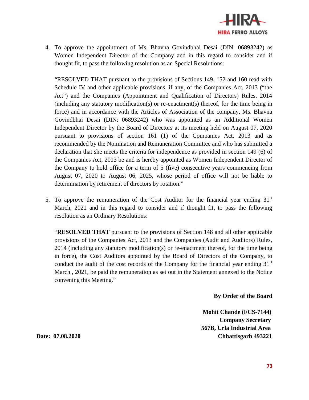

4. To approve the appointment of Ms. Bhavna Govindbhai Desai (DIN: 06893242) as Women Independent Director of the Company and in this regard to consider and if thought fit, to pass the following resolution as an Special Resolutions:

"RESOLVED THAT pursuant to the provisions of Sections 149, 152 and 160 read with Schedule IV and other applicable provisions, if any, of the Companies Act, 2013 ("the Act") and the Companies (Appointment and Qualification of Directors) Rules, 2014 (including any statutory modification(s) or re-enactment(s) thereof, for the time being in force) and in accordance with the Articles of Association of the company, Ms. Bhavna Govindbhai Desai (DIN: 06893242) who was appointed as an Additional Women Independent Director by the Board of Directors at its meeting held on August 07, 2020 pursuant to provisions of section 161 (1) of the Companies Act, 2013 and as recommended by the Nomination and Remuneration Committee and who has submitted a declaration that she meets the criteria for independence as provided in section 149 (6) of the Companies Act, 2013 be and is hereby appointed as Women Independent Director of the Company to hold office for a term of 5 (five) consecutive years commencing from August 07, 2020 to August 06, 2025, whose period of office will not be liable to determination by retirement of directors by rotation."

5. To approve the remuneration of the Cost Auditor for the financial year ending  $31<sup>st</sup>$ March, 2021 and in this regard to consider and if thought fit, to pass the following resolution as an Ordinary Resolutions:

"**RESOLVED THAT** pursuant to the provisions of Section 148 and all other applicable provisions of the Companies Act, 2013 and the Companies (Audit and Auditors) Rules, 2014 (including any statutory modification(s) or re-enactment thereof, for the time being in force), the Cost Auditors appointed by the Board of Directors of the Company, to conduct the audit of the cost records of the Company for the financial year ending  $31<sup>st</sup>$ March , 2021, be paid the remuneration as set out in the Statement annexed to the Notice convening this Meeting."

**By Order of the Board**

**Mohit Chande (FCS-7144) Company Secretary 567B, Urla Industrial Area Date: 07.08.2020 Chhattisgarh 493221**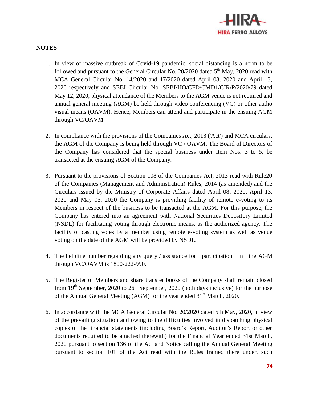

### **NOTES**

- 1. In view of massive outbreak of Covid-19 pandemic, social distancing is a norm to be followed and pursuant to the General Circular No. 20/2020 dated  $5<sup>th</sup>$  May, 2020 read with MCA General Circular No. 14/2020 and 17/2020 dated April 08, 2020 and April 13, 2020 respectively and SEBI Circular No. SEBI/HO/CFD/CMD1/CIR/P/2020/79 dated May 12, 2020, physical attendance of the Members to the AGM venue is not required and annual general meeting (AGM) be held through video conferencing (VC) or other audio visual means (OAVM). Hence, Members can attend and participate in the ensuing AGM through VC/OAVM.
- 2. In compliance with the provisions of the Companies Act, 2013 ('Act') and MCA circulars, the AGM of the Company is being held through VC / OAVM. The Board of Directors of the Company has considered that the special business under Item Nos. 3 to 5, be transacted at the ensuing AGM of the Company.
- 3. Pursuant to the provisions of Section 108 of the Companies Act, 2013 read with Rule20 of the Companies (Management and Administration) Rules, 2014 (as amended) and the Circulars issued by the Ministry of Corporate Affairs dated April 08, 2020, April 13, 2020 and May 05, 2020 the Company is providing facility of remote e-voting to its Members in respect of the business to be transacted at the AGM. For this purpose, the Company has entered into an agreement with National Securities Depository Limited (NSDL) for facilitating voting through electronic means, as the authorized agency. The facility of casting votes by a member using remote e-voting system as well as venue voting on the date of the AGM will be provided by NSDL.
- 4. The helpline number regarding any query / assistance for participation in the AGM through VC/OAVM is 1800-222-990.
- 5. The Register of Members and share transfer books of the Company shall remain closed from  $19<sup>th</sup>$  September, 2020 to  $26<sup>th</sup>$  September, 2020 (both days inclusive) for the purpose of the Annual General Meeting (AGM) for the year ended  $31<sup>st</sup>$  March, 2020.
- 6. In accordance with the MCA General Circular No. 20/2020 dated 5th May, 2020, in view of the prevailing situation and owing to the difficulties involved in dispatching physical copies of the financial statements (including Board's Report, Auditor's Report or other documents required to be attached therewith) for the Financial Year ended 31st March, 2020 pursuant to section 136 of the Act and Notice calling the Annual General Meeting pursuant to section 101 of the Act read with the Rules framed there under, such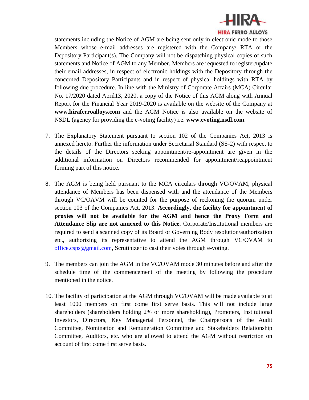

statements including the Notice of AGM are being sent only in electronic mode to those Members whose e-mail addresses are registered with the Company/ RTA or the Depository Participant(s). The Company will not be dispatching physical copies of such statements and Notice of AGM to any Member. Members are requested to register/update their email addresses, in respect of electronic holdings with the Depository through the concerned Depository Participants and in respect of physical holdings with RTA by following due procedure. In line with the Ministry of Corporate Affairs (MCA) Circular No. 17/2020 dated April13, 2020, a copy of the Notice of this AGM along with Annual Report for the Financial Year 2019-2020 is available on the website of the Company at **www.hiraferroalloys.com** and the AGM Notice is also available on the website of NSDL (agency for providing the e-voting facility) i.e. **www.evoting.nsdl.com**.

- 7. The Explanatory Statement pursuant to section 102 of the Companies Act, 2013 is annexed hereto. Further the information under Secretarial Standard (SS-2) with respect to the details of the Directors seeking appointment/re-appointment are given in the additional information on Directors recommended for appointment/reappointment forming part of this notice.
- 8. The AGM is being held pursuant to the MCA circulars through VC/OVAM, physical attendance of Members has been dispensed with and the attendance of the Members through VC/OAVM will be counted for the purpose of reckoning the quorum under section 103 of the Companies Act, 2013. **Accordingly, the facility for appointment of proxies will not be available for the AGM and hence the Proxy Form and Attendance Slip are not annexed to this Notice.** Corporate/Institutional members are required to send a scanned copy of its Board or Governing Body resolution/authorization etc., authorizing its representative to attend the AGM through VC/OVAM to office.csps@gmail.com, Scrutinizer to cast their votes through e-voting.
- 9. The members can join the AGM in the VC/OVAM mode 30 minutes before and after the schedule time of the commencement of the meeting by following the procedure mentioned in the notice.
- 10. The facility of participation at the AGM through VC/OVAM will be made available to at least 1000 members on first come first serve basis. This will not include large shareholders (shareholders holding 2% or more shareholding), Promoters, Institutional Investors, Directors, Key Managerial Personnel, the Chairpersons of the Audit Committee, Nomination and Remuneration Committee and Stakeholders Relationship Committee, Auditors, etc. who are allowed to attend the AGM without restriction on account of first come first serve basis.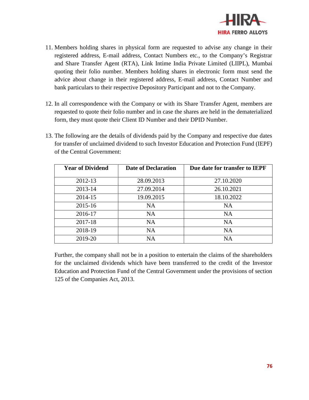

- 11. Members holding shares in physical form are requested to advise any change in their registered address, E-mail address, Contact Numbers etc., to the Company's Registrar and Share Transfer Agent (RTA), Link Intime India Private Limited (LIIPL), Mumbai quoting their folio number. Members holding shares in electronic form must send the advice about change in their registered address, E-mail address, Contact Number and bank particulars to their respective Depository Participant and not to the Company.
- 12. In all correspondence with the Company or with its Share Transfer Agent, members are requested to quote their folio number and in case the shares are held in the dematerialized form, they must quote their Client ID Number and their DPID Number.
- 13. The following are the details of dividends paid by the Company and respective due dates for transfer of unclaimed dividend to such Investor Education and Protection Fund (IEPF) of the Central Government:

| <b>Year of Dividend</b> | <b>Date of Declaration</b> | Due date for transfer to IEPF |
|-------------------------|----------------------------|-------------------------------|
| 2012-13                 | 28.09.2013                 | 27.10.2020                    |
| 2013-14                 | 27.09.2014                 | 26.10.2021                    |
| 2014-15                 | 19.09.2015                 | 18.10.2022                    |
| 2015-16                 | NA                         | <b>NA</b>                     |
| 2016-17                 | <b>NA</b>                  | <b>NA</b>                     |
| 2017-18                 | <b>NA</b>                  | <b>NA</b>                     |
| 2018-19                 | <b>NA</b>                  | <b>NA</b>                     |
| 2019-20                 | <b>NA</b>                  | <b>NA</b>                     |

Further, the company shall not be in a position to entertain the claims of the shareholders for the unclaimed dividends which have been transferred to the credit of the Investor Education and Protection Fund of the Central Government under the provisions of section 125 of the Companies Act, 2013.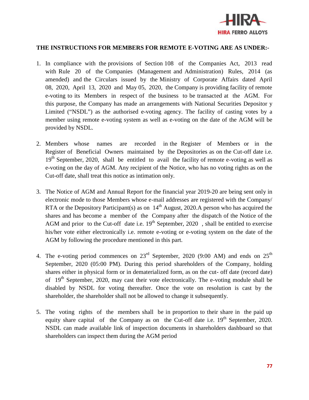

### **THE INSTRUCTIONS FOR MEMBERS FOR REMOTE E-VOTING ARE AS UNDER:-**

- 1. In compliance with the provisions of Section 108 of the Companies Act, 2013 read with Rule 20 of the Companies (Management and Administration) Rules, 2014 (as amended) and the Circulars issued by the Ministry of Corporate Affairs dated April 08, 2020, April 13, 2020 and May 05, 2020, the Company is providing facility of remote e-voting to its Members in respect of the business to be transacted at the AGM. For this purpose, the Company has made an arrangements with National Securities Depositor y Limited ("NSDL") as the authorised e-voting agency. The facility of casting votes by a member using remote e-voting system as well as e-voting on the date of the AGM will be provided by NSDL.
- 2. Members whose names are recorded in the Register of Members or in the Register of Beneficial Owners maintained by the Depositories as on the Cut-off date i.e.  $19<sup>th</sup>$  September, 2020, shall be entitled to avail the facility of remote e-voting as well as e-voting on the day of AGM. Any recipient of the Notice, who has no voting rights as on the Cut-off date, shall treat this notice as intimation only.
- 3. The Notice of AGM and Annual Report for the financial year 2019-20 are being sent only in electronic mode to those Members whose e-mail addresses are registered with the Company/ RTA or the Depository Participant(s) as on  $14<sup>th</sup>$  August, 2020.A person who has acquired the shares and has become a member of the Company after the dispatch of the Notice of the AGM and prior to the Cut-off date i.e.  $19<sup>th</sup>$  September, 2020, shall be entitled to exercise his/her vote either electronically i.e. remote e-voting or e-voting system on the date of the AGM by following the procedure mentioned in this part.
- 4. The e-voting period commences on  $23<sup>rd</sup>$  September, 2020 (9:00 AM) and ends on  $25<sup>th</sup>$ September, 2020 (05:00 PM). During this period shareholders of the Company, holding shares either in physical form or in dematerialized form, as on the cut- off date (record date) of  $19<sup>th</sup>$  September, 2020, may cast their vote electronically. The e-voting module shall be disabled by NSDL for voting thereafter. Once the vote on resolution is cast by the shareholder, the shareholder shall not be allowed to change it subsequently.
- 5. The voting rights of the members shall be in proportion to their share in the paid up equity share capital of the Company as on the Cut-off date i.e.  $19<sup>th</sup>$  September, 2020. NSDL can made available link of inspection documents in shareholders dashboard so that shareholders can inspect them during the AGM period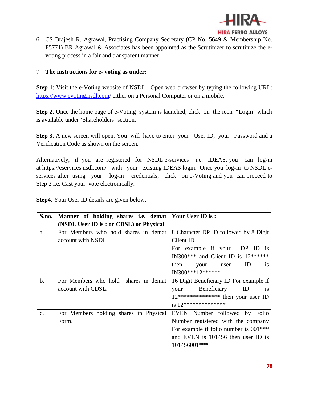

6. CS Brajesh R. Agrawal, Practising Company Secretary (CP No. 5649 & Membership No. F5771) BR Agrawal & Associates has been appointed as the Scrutinizer to scrutinize the e voting process in a fair and transparent manner.

### 7. **The instructions for e- voting as under:**

**Step 1**: Visit the e-Voting website of NSDL. Open web browser by typing the following URL: https://www.evoting.nsdl.com/ either on a Personal Computer or on a mobile.

**Step 2**: Once the home page of e-Voting system is launched, click on the icon "Login" which is available under 'Shareholders' section.

**Step 3**: A new screen will open. You will have to enter your User ID, your Password and a Verification Code as shown on the screen.

Alternatively, if you are registered for NSDL e-services i.e. IDEAS, you can log-in at https://eservices.nsdl.com/ with your existing IDEAS login. Once you log-in to NSDL e services after using your log-in credentials, click on e-Voting and you can proceed to Step 2 i.e. Cast your vote electronically.

**Step4**: Your User ID details are given below:

| S.no.          | Manner of holding shares i.e. demat   Your User ID is : |                                         |
|----------------|---------------------------------------------------------|-----------------------------------------|
|                | (NSDL User ID is: or CDSL) or Physical                  |                                         |
| a.             | For Members who hold shares in demat                    | 8 Character DP ID followed by 8 Digit   |
|                | account with NSDL.                                      | Client ID                               |
|                |                                                         | For example if your DP ID is            |
|                |                                                         | IN300*** and Client ID is $12******$    |
|                |                                                         | your user ID<br>then<br>is              |
|                |                                                         | IN300***12******                        |
| $\mathbf b$ .  | For Members who hold shares in demat                    | 16 Digit Beneficiary ID For example if  |
|                | account with CDSL.                                      | your Beneficiary ID<br>is               |
|                |                                                         | $12****************$ then your user ID  |
|                |                                                         | $is$ 12***************                  |
| $\mathbf{C}$ . | For Members holding shares in Physical                  | EVEN Number followed by Folio           |
|                | Form.                                                   | Number registered with the company      |
|                |                                                         | For example if folio number is $001***$ |
|                |                                                         | and EVEN is 101456 then user ID is      |
|                |                                                         | 101456001***                            |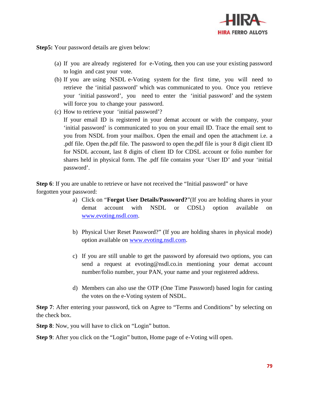

**Step5:** Your password details are given below:

- (a) If you are already registered for e-Voting, then you can use your existing password to login and cast your vote.
- (b) If you are using NSDL e-Voting system for the first time, you will need to retrieve the 'initial password' which was communicated to you. Once you retrieve your 'initial password', you need to enter the 'initial password' and the system will force you to change your password.
- (c) How to retrieve your 'initial password'?

If your email ID is registered in your demat account or with the company, your 'initial password' is communicated to you on your email ID. Trace the email sent to you from NSDL from your mailbox. Open the email and open the attachment i.e. a .pdf file. Open the.pdf file. The password to open the.pdf file is your 8 digit client ID for NSDL account, last 8 digits of client ID for CDSL account or folio number for shares held in physical form. The .pdf file contains your 'User ID' and your 'initial password'.

**Step 6**: If you are unable to retrieve or have not received the "Initial password" or have forgotten your password:

- a) Click on "**Forgot User Details/Password?**"(If you are holding shares in your demat account with NSDL or CDSL) option available on www.evoting.nsdl.com.
- b) Physical User Reset Password?" (If you are holding shares in physical mode) option available on www.evoting.nsdl.com.
- c) If you are still unable to get the password by aforesaid two options, you can send a request at evoting@nsdl.co.in mentioning your demat account number/folio number, your PAN, your name and your registered address.
- d) Members can also use the OTP (One Time Password) based login for casting the votes on the e-Voting system of NSDL.

**Step 7**: After entering your password, tick on Agree to "Terms and Conditions" by selecting on the check box.

**Step 8:** Now, you will have to click on "Login" button.

**Step 9**: After you click on the "Login" button, Home page of e-Voting will open.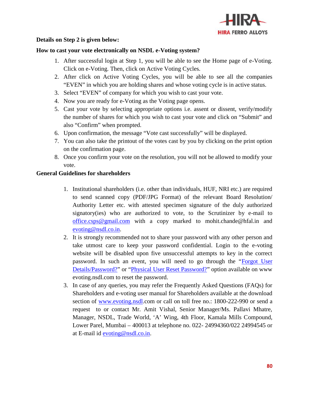

### **Details on Step 2 is given below:**

#### **How to cast your vote electronically on NSDL e-Voting system?**

- 1. After successful login at Step 1, you will be able to see the Home page of e-Voting. Click on e-Voting. Then, click on Active Voting Cycles.
- 2. After click on Active Voting Cycles, you will be able to see all the companies "EVEN" in which you are holding shares and whose voting cycle is in active status.
- 3. Select "EVEN" of company for which you wish to cast your vote.
- 4. Now you are ready for e-Voting as the Voting page opens.
- 5. Cast your vote by selecting appropriate options i.e. assent or dissent, verify/modify the number of shares for which you wish to cast your vote and click on "Submit" and also "Confirm" when prompted.
- 6. Upon confirmation, the message "Vote cast successfully" will be displayed.
- 7. You can also take the printout of the votes cast by you by clicking on the print option on the confirmation page.
- 8. Once you confirm your vote on the resolution, you will not be allowed to modify your vote.

#### **General Guidelines for shareholders**

- 1. Institutional shareholders (i.e. other than individuals, HUF, NRI etc.) are required to send scanned copy (PDF/JPG Format) of the relevant Board Resolution/ Authority Letter etc. with attested specimen signature of the duly authorized signatory(ies) who are authorized to vote, to the Scrutinizer by e-mail to office.csps@gmail.com with a copy marked to mohit.chande@hfal.in and evoting@nsdl.co.in.
- 2. It is strongly recommended not to share your password with any other person and take utmost care to keep your password confidential. Login to the e-voting website will be disabled upon five unsuccessful attempts to key in the correct password. In such an event, you will need to go through the "Forgot User Details/Password?" or "Physical User Reset Password?" option available on www evoting.nsdl.com to reset the password.
- 3. In case of any queries, you may refer the Frequently Asked Questions (FAQs) for Shareholders and e-voting user manual for Shareholders available at the download section of www.evoting.nsdl.com or call on toll free no.: 1800-222-990 or send a request to or contact Mr. Amit Vishal, Senior Manager/Ms. Pallavi Mhatre, Manager, NSDL, Trade World, 'A' Wing, 4th Floor, Kamala Mills Compound, Lower Parel, Mumbai – 400013 at telephone no. 022- 24994360/022 24994545 or at E-mail id evoting@nsdl.co.in.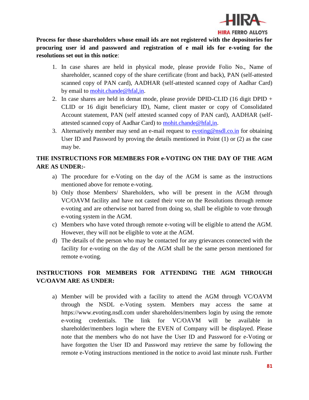

**Process for those shareholders whose email ids are not registered with the depositories for procuring user id and password and registration of e mail ids for e-voting for the resolutions set out in this notice**:

- 1. In case shares are held in physical mode, please provide Folio No., Name of shareholder, scanned copy of the share certificate (front and back), PAN (self-attested scanned copy of PAN card), AADHAR (self-attested scanned copy of Aadhar Card) by email to mohit.chande@hfal,in.
- 2. In case shares are held in demat mode, please provide DPID-CLID (16 digit DPID + CLID or 16 digit beneficiary ID), Name, client master or copy of Consolidated Account statement, PAN (self attested scanned copy of PAN card), AADHAR (self attested scanned copy of Aadhar Card) to mohit.chande@hfal,in.
- 3. Alternatively member may send an e-mail request to evoting@nsdl.co.in for obtaining User ID and Password by proving the details mentioned in Point (1) or (2) as the case may be.

## **THE INSTRUCTIONS FOR MEMBERS FOR e-VOTING ON THE DAY OF THE AGM ARE AS UNDER:-**

- a) The procedure for e-Voting on the day of the AGM is same as the instructions mentioned above for remote e-voting.
- b) Only those Members/ Shareholders, who will be present in the AGM through VC/OAVM facility and have not casted their vote on the Resolutions through remote e-voting and are otherwise not barred from doing so, shall be eligible to vote through e-voting system in the AGM.
- c) Members who have voted through remote e-voting will be eligible to attend the AGM. However, they will not be eligible to vote at the AGM.
- d) The details of the person who may be contacted for any grievances connected with the facility for e-voting on the day of the AGM shall be the same person mentioned for remote e-voting.

# **INSTRUCTIONS FOR MEMBERS FOR ATTENDING THE AGM THROUGH VC/OAVM ARE AS UNDER:**

a) Member will be provided with a facility to attend the AGM through VC/OAVM through the NSDL e-Voting system. Members may access the same at https://www.evoting.nsdl.com under shareholders/members login by using the remote e-voting credentials. The link for VC/OAVM will be available in shareholder/members login where the EVEN of Company will be displayed. Please note that the members who do not have the User ID and Password for e-Voting or have forgotten the User ID and Password may retrieve the same by following the remote e-Voting instructions mentioned in the notice to avoid last minute rush. Further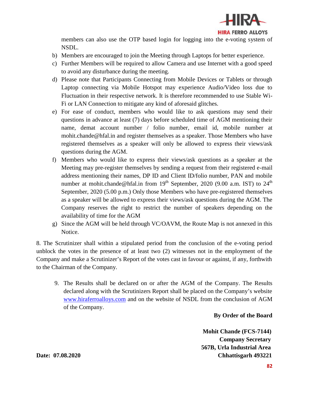

members can also use the OTP based login for logging into the e-voting system of NSDL.

- b) Members are encouraged to join the Meeting through Laptops for better experience.
- c) Further Members will be required to allow Camera and use Internet with a good speed to avoid any disturbance during the meeting.
- d) Please note that Participants Connecting from Mobile Devices or Tablets or through Laptop connecting via Mobile Hotspot may experience Audio/Video loss due to Fluctuation in their respective network. It is therefore recommended to use Stable Wi- Fi or LAN Connection to mitigate any kind of aforesaid glitches.
- e) For ease of conduct, members who would like to ask questions may send their questions in advance at least (7) days before scheduled time of AGM mentioning their name, demat account number / folio number, email id, mobile number at mohit.chande@hfal.in and register themselves as a speaker. Those Members who have registered themselves as a speaker will only be allowed to express their views/ask questions during the AGM.
- f) Members who would like to express their views/ask questions as a speaker at the Meeting may pre-register themselves by sending a request from their registered e-mail address mentioning their names, DP ID and Client ID/folio number, PAN and mobile number at mohit.chande@hfal.in from  $19^{th}$  September, 2020 (9.00 a.m. IST) to  $24^{th}$ September, 2020 (5.00 p.m.) Only those Members who have pre-registered themselves as a speaker will be allowed to express their views/ask questions during the AGM. The Company reserves the right to restrict the number of speakers depending on the availability of time for the AGM
- g) Since the AGM will be held through VC/OAVM, the Route Map is not annexed in this Notice.

8. The Scrutinizer shall within a stipulated period from the conclusion of the e-voting period unblock the votes in the presence of at least two (2) witnesses not in the employment of the Company and make a Scrutinizer's Report of the votes cast in favour or against, if any, forthwith to the Chairman of the Company.

9. The Results shall be declared on or after the AGM of the Company. The Results declared along with the Scrutinizers Report shall be placed on the Company's website www.hiraferroalloys.com and on the website of NSDL from the conclusion of AGM of the Company.

### **By Order of the Board**

**Mohit Chande (FCS-7144) Company Secretary 567B, Urla Industrial Area Date: 07.08.2020 Chhattisgarh 493221**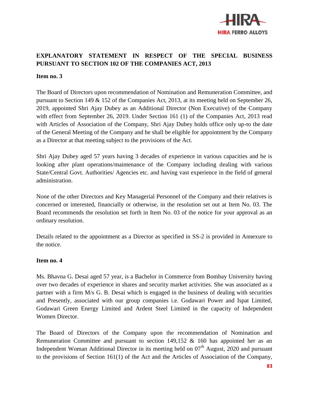

## **EXPLANATORY STATEMENT IN RESPECT OF THE SPECIAL BUSINESS PURSUANT TO SECTION 102 OF THE COMPANIES ACT, 2013**

### **Item no. 3**

The Board of Directors upon recommendation of Nomination and Remuneration Committee, and pursuant to Section 149 & 152 of the Companies Act, 2013, at its meeting held on September 26, 2019, appointed Shri Ajay Dubey as an Additional Director (Non Executive) of the Company with effect from September 26, 2019. Under Section 161 (1) of the Companies Act, 2013 read with Articles of Association of the Company, Shri Ajay Dubey holds office only up-to the date of the General Meeting of the Company and he shall be eligible for appointment by the Company as a Director at that meeting subject to the provisions of the Act.

Shri Ajay Dubey aged 57 years having 3 decades of experience in various capacities and he is looking after plant operations/maintenance of the Company including dealing with various State/Central Govt. Authorities/ Agencies etc. and having vast experience in the field of general administration.

None of the other Directors and Key Managerial Personnel of the Company and their relatives is concerned or interested, financially or otherwise, in the resolution set out at Item No. 03. The Board recommends the resolution set forth in Item No. 03 of the notice for your approval as an ordinary resolution.

Details related to the appointment as a Director as specified in SS-2 is provided in Annexure to the notice.

#### **Item no. 4**

Ms. Bhavna G. Desai aged 57 year, is a Bachelor in Commerce from Bombay University having over two decades of experience in shares and security market activities. She was associated as a partner with a firm M/s G. B. Desai which is engaged in the business of dealing with securities and Presently, associated with our group companies i.e. Godawari Power and Ispat Limited, Godawari Green Energy Limited and Ardent Steel Limited in the capacity of Independent Women Director.

The Board of Directors of the Company upon the recommendation of Nomination and Remuneration Committee and pursuant to section 149,152 & 160 has appointed her as an Independent Woman Additional Director in its meeting held on  $07<sup>th</sup>$  August, 2020 and pursuant to the provisions of Section 161(1) of the Act and the Articles of Association of the Company,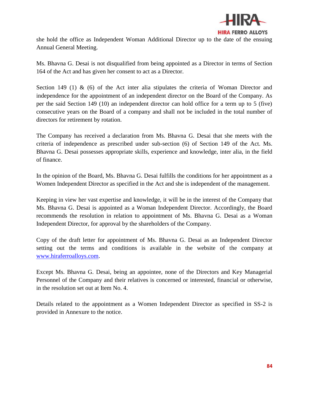

she hold the office as Independent Woman Additional Director up to the date of the ensuing Annual General Meeting.

Ms. Bhavna G. Desai is not disqualified from being appointed as a Director in terms of Section 164 of the Act and has given her consent to act as a Director.

Section 149 (1)  $\&$  (6) of the Act inter alia stipulates the criteria of Woman Director and independence for the appointment of an independent director on the Board of the Company. As per the said Section 149 (10) an independent director can hold office for a term up to 5 (five) consecutive years on the Board of a company and shall not be included in the total number of directors for retirement by rotation.

The Company has received a declaration from Ms. Bhavna G. Desai that she meets with the criteria of independence as prescribed under sub-section (6) of Section 149 of the Act. Ms. Bhavna G. Desai possesses appropriate skills, experience and knowledge, inter alia, in the field of finance.

In the opinion of the Board, Ms. Bhavna G. Desai fulfills the conditions for her appointment as a Women Independent Director as specified in the Act and she is independent of the management.

Keeping in view her vast expertise and knowledge, it will be in the interest of the Company that Ms. Bhavna G. Desai is appointed as a Woman Independent Director. Accordingly, the Board recommends the resolution in relation to appointment of Ms. Bhavna G. Desai as a Woman Independent Director, for approval by the shareholders of the Company.

Copy of the draft letter for appointment of Ms. Bhavna G. Desai as an Independent Director setting out the terms and conditions is available in the website of the company at www.hiraferroalloys.com.

Except Ms. Bhavna G. Desai, being an appointee, none of the Directors and Key Managerial Personnel of the Company and their relatives is concerned or interested, financial or otherwise, in the resolution set out at Item No. 4.

Details related to the appointment as a Women Independent Director as specified in SS-2 is provided in Annexure to the notice.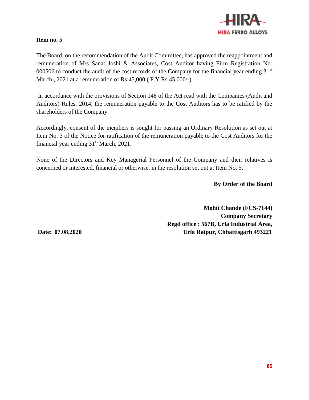

### **Item no. 5**

The Board, on the recommendation of the Audit Committee, has approved the reappointment and remuneration of M/s Sanat Joshi & Associates, Cost Auditor having Firm Registration No. 000506 to conduct the audit of the cost records of the Company for the financial year ending  $31<sup>st</sup>$ March , 2021 at a remuneration of Rs.45,000 ( P.Y.Rs.45,000/-).

In accordance with the provisions of Section 148 of the Act read with the Companies (Audit and Auditors) Rules, 2014, the remuneration payable to the Cost Auditors has to be ratified by the shareholders of the Company.

Accordingly, consent of the members is sought for passing an Ordinary Resolution as set out at Item No. 3 of the Notice for ratification of the remuneration payable to the Cost Auditors for the financial year ending  $31<sup>st</sup>$  March, 2021.

None of the Directors and Key Managerial Personnel of the Company and their relatives is concerned or interested, financial or otherwise, in the resolution set out at Item No. 5.

### **By Order of the Board**

**Mohit Chande (FCS-7144) Company Secretary Regd office : 567B, Urla Industrial Area, Date: 07.08.2020 Urla Raipur, Chhattisgarh 493221**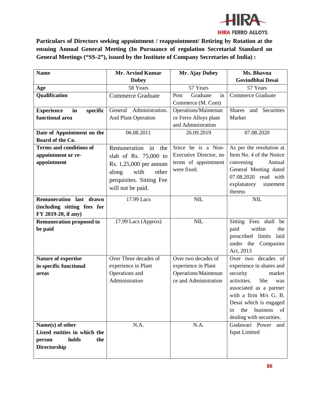

**Particulars of Directors seeking appointment / reappointment/ Retiring by Rotation at the ensuing Annual General Meeting (In Pursuance of regulation Secretarial Standard on General Meetings ("SS-2"), issued by the Institute of Company Secretaries of India) :**

| <b>Name</b>                                                                                | <b>Mr. Arvind Kumar</b>                                                                                                                                | Mr. Ajay Dubey                                                                      | Ms. Bhavna                                                                                                                                                                    |
|--------------------------------------------------------------------------------------------|--------------------------------------------------------------------------------------------------------------------------------------------------------|-------------------------------------------------------------------------------------|-------------------------------------------------------------------------------------------------------------------------------------------------------------------------------|
|                                                                                            | <b>Dubey</b>                                                                                                                                           |                                                                                     | Govindbhai Desai                                                                                                                                                              |
| Age                                                                                        | 58 Years                                                                                                                                               | 57 Years                                                                            | 57 Years                                                                                                                                                                      |
| Qualification                                                                              | <b>Commerce Graduate</b>                                                                                                                               | Graduate<br>in<br>Post<br>Commerce (M. Com)                                         | <b>Commerce Graduate</b>                                                                                                                                                      |
| <b>Experience</b><br>in<br>specific<br>functional area                                     | General Administration.<br>And Plant Operation                                                                                                         | Operations/Maintenan<br>ce Ferro Alloys plant<br>and Administration                 | Shares and Securities<br>Market                                                                                                                                               |
| Date of Appointment on the<br>Board of the Co.                                             | 06.08.2011                                                                                                                                             | 26.09.2019                                                                          | 07.08.2020                                                                                                                                                                    |
| <b>Terms and conditions of</b><br>appointment or re-<br>appointment                        | Remuneration in<br>the<br>slab of Rs. $75,000$ to<br>Rs. 1,25,000 per annum<br>with<br>along<br>other<br>perquisites. Sitting Fee<br>will not be paid. | Since he is a Non-<br>Executive Director, no<br>terms of appointment<br>were fixed. | As per the resolution at<br>Item No. 4 of the Notice<br>convening<br>Annual<br>General Meeting dated<br>07.08.2020 read with<br>explanatory<br>statement<br>thereto           |
| Remuneration last drawn<br>(including sitting fees for<br>FY 2019-20, if any)              | 17.99 Lacs                                                                                                                                             | <b>NIL</b>                                                                          | <b>NIL</b>                                                                                                                                                                    |
| <b>Remuneration proposed to</b><br>be paid                                                 | 17.99 Lacs (Approx)                                                                                                                                    | NIL                                                                                 | Sitting Fees shall be<br>paid<br>within<br>the<br>prescribed limits<br>laid<br>under the Companies<br>Act, 2013                                                               |
| Nature of expertise<br>in specific functional<br>areas                                     | Over Three decades of<br>experience in Plant<br>Operations and                                                                                         | Over two decades of<br>experience in Plant<br>Operations/Maintenan                  | Over two decades of<br>experience in shares and<br>security<br>market                                                                                                         |
|                                                                                            | Administration                                                                                                                                         | ce and Administration                                                               | activities.<br>She<br>was<br>associated as a partner<br>with a firm M/s G. B.<br>Desai which is engaged<br>the<br>business<br><sub>of</sub><br>in<br>dealing with securities. |
| Name(s) of other<br>Listed entities in which the<br>holds<br>the<br>person<br>Directorship | N.A.                                                                                                                                                   | N.A.                                                                                | Godawari Power<br>and<br>Ispat Limited                                                                                                                                        |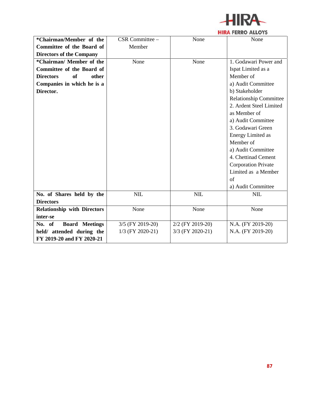

| *Chairman/Member of the            | CSR Committee -  | None             | None                          |
|------------------------------------|------------------|------------------|-------------------------------|
| Committee of the Board of          | Member           |                  |                               |
| <b>Directors of the Company</b>    |                  |                  |                               |
| *Chairman/ Member of the           | None             | None             | 1. Godawari Power and         |
| Committee of the Board of          |                  |                  | Ispat Limited as a            |
| <b>Directors</b><br>of<br>other    |                  |                  | Member of                     |
| Companies in which he is a         |                  |                  | a) Audit Committee            |
| Director.                          |                  |                  | b) Stakeholder                |
|                                    |                  |                  | <b>Relationship Committee</b> |
|                                    |                  |                  | 2. Ardent Steel Limited       |
|                                    |                  |                  | as Member of                  |
|                                    |                  |                  | a) Audit Committee            |
|                                    |                  |                  | 3. Godawari Green             |
|                                    |                  |                  | <b>Energy Limited as</b>      |
|                                    |                  |                  | Member of                     |
|                                    |                  |                  | a) Audit Committee            |
|                                    |                  |                  | 4. Chettinad Cement           |
|                                    |                  |                  | <b>Corporation Private</b>    |
|                                    |                  |                  | Limited as a Member           |
|                                    |                  |                  | of                            |
|                                    |                  |                  | a) Audit Committee            |
| No. of Shares held by the          | NIL              | <b>NIL</b>       | <b>NIL</b>                    |
| <b>Directors</b>                   |                  |                  |                               |
| <b>Relationship with Directors</b> | None             | None             | None                          |
| inter-se                           |                  |                  |                               |
| No. of<br><b>Board Meetings</b>    | 3/5 (FY 2019-20) | 2/2 (FY 2019-20) | N.A. (FY 2019-20)             |
| held/ attended during the          | 1/3 (FY 2020-21) | 3/3 (FY 2020-21) | N.A. (FY 2019-20)             |
| FY 2019-20 and FY 2020-21          |                  |                  |                               |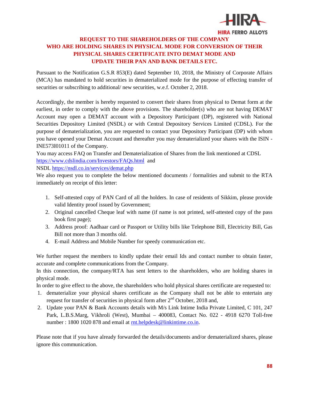

## **REQUEST TO THE SHAREHOLDERS OF THE COMPANY WHO ARE HOLDING SHARES IN PHYSICAL MODE FOR CONVERSION OF THEIR PHYSICAL SHARES CERTIFICATE INTO DEMAT MODE AND UPDATE THEIR PAN AND BANK DETAILS ETC.**

Pursuant to the Notification G.S.R 853(E) dated September 10, 2018, the Ministry of Corporate Affairs (MCA) has mandated to hold securities in dematerialized mode for the purpose of effecting transfer of securities or subscribing to additional/ new securities, w.e.f. October 2, 2018.

Accordingly, the member is hereby requested to convert their shares from physical to Demat form at the earliest, in order to comply with the above provisions. The shareholder(s) who are not having DEMAT Account may open a DEMAT account with a Depository Participant (DP), registered with National Securities Depository Limited (NSDL) or with Central Depository Services Limited (CDSL). For the purpose of dematerialization, you are requested to contact your Depository Participant (DP) with whom you have opened your Demat Account and thereafter you may dematerialized your shares with the ISIN - INE573I01011 of the Company.

You may access FAQ on Transfer and Dematerialization of Shares from the link mentioned at CDSL https://www.cdslindia.com/Investors/FAQs.html and

NSDL https://nsdl.co.in/services/demat.php

We also request you to complete the below mentioned documents / formalities and submit to the RTA immediately on receipt of this letter:

- 1. Self-attested copy of PAN Card of all the holders. In case of residents of Sikkim, please provide valid Identity proof issued by Government;
- 2. Original cancelled Cheque leaf with name (if name is not printed, self-attested copy of the pass book first page);
- 3. Address proof: Aadhaar card or Passport or Utility bills like Telephone Bill, Electricity Bill, Gas Bill not more than 3 months old.
- 4. E-mail Address and Mobile Number for speedy communication etc.

We further request the members to kindly update their email Ids and contact number to obtain faster, accurate and complete communications from the Company.

In this connection, the company/RTA has sent letters to the shareholders, who are holding shares in physical mode.

In order to give effect to the above, the shareholders who hold physical shares certificate are requested to:

- 1. dematerialize your physical shares certificate as the Company shall not be able to entertain any request for transfer of securities in physical form after  $2<sup>nd</sup>$  October, 2018 and,
- 2. Update your PAN & Bank Accounts details with M/s Link Intime India Private Limited, C 101, 247 Park, L.B.S.Marg, Vikhroli (West), Mumbai – 400083, Contact No. 022 - 4918 6270 Toll-free number : 1800 1020 878 and email at rnt.helpdesk@linkintime.co.in.

Please note that if you have already forwarded the details/documents and/or dematerialized shares, please ignore this communication.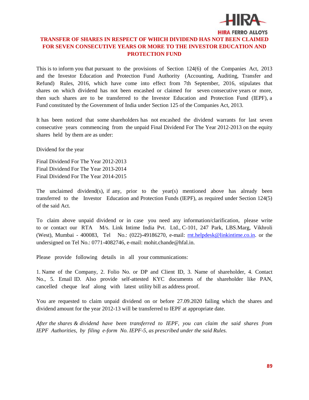

### **TRANSFER OF SHARES IN RESPECT OF WHICH DIVIDEND HAS NOT BEEN CLAIMED FOR SEVEN CONSECUTIVE YEARS OR MORE TO THE INVESTOR EDUCATION AND PROTECTION FUND**

This is to inform you that pursuant to the provisions of Section 124(6) of the Companies Act, 2013 and the Investor Education and Protection Fund Authority (Accounting, Auditing, Transfer and Refund) Rules, 2016, which have come into effect from 7th September, 2016, stipulates that shares on which dividend has not been encashed or claimed for seven consecutive years or more, then such shares are to be transferred to the Investor Education and Protection Fund (IEPF), a Fund constituted by the Government of India under Section 125 of the Companies Act, 2013.

It has been noticed that some shareholders has not encashed the dividend warrants for last seven consecutive years commencing from the unpaid Final Dividend For The Year 2012-2013 on the equity shares held by them are as under:

Dividend for the year

Final Dividend For The Year 2012-2013 Final Dividend For The Year 2013-2014 Final Dividend For The Year 2014-2015

The unclaimed dividend(s), if any, prior to the year(s) mentioned above has already been transferred to the Investor Education and Protection Funds (IEPF), as required under Section 124(5) of the said Act.

To claim above unpaid dividend or in case you need any information/clarification, please write to or contact our RTA M/s. Link Intime India Pvt. Ltd., C-101, 247 Park, LBS.Marg, Vikhroli (West), Mumbai - 400083, Tel No.: (022)-49186270, e-mail: rnt.helpdesk@linkintime.co.in. or the undersigned on Tel No.: 0771-4082746, e-mail: mohit.chande@hfal.in.

Please provide following details in all your communications:

1. Name of the Company, 2. Folio No. or DP and Client ID, 3. Name of shareholder, 4. Contact No., 5. Email ID. Also provide self-attested KYC documents of the shareholder like PAN, cancelled cheque leaf along with latest utility bill as address proof.

You are requested to claim unpaid dividend on or before 27.09.2020 failing which the shares and dividend amount for the year 2012-13 will be transferred to IEPF at appropriate date.

*After the shares & dividend have been transferred to IEPF, you can claim the said shares from IEPF Authorities, by filing e-form No. IEPF-5, as prescribed under the said Rules.*